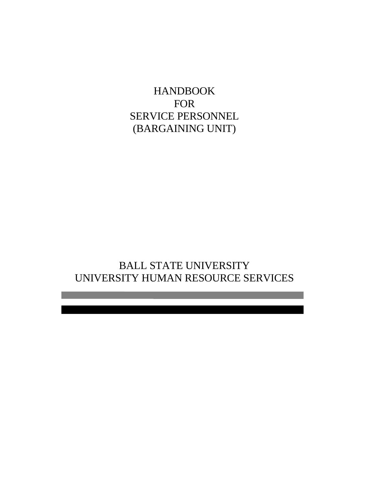HANDBOOK FOR SERVICE PERSONNEL (BARGAINING UNIT)

BALL STATE UNIVERSITY UNIVERSITY HUMAN RESOURCE SERVICES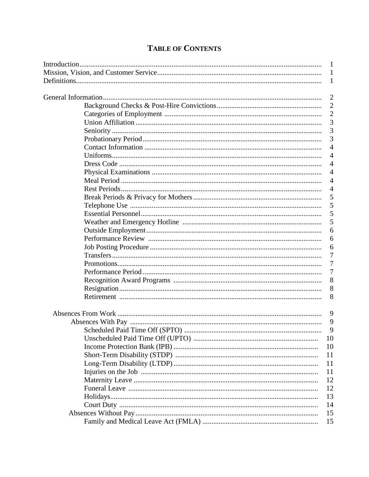| 10            |
|---------------|
| 10            |
| 11            |
| <sup>11</sup> |
| 11            |
| 12            |
| 12            |
| 13            |
| 14            |
| 15            |
| 15            |
|               |

# **TABLE OF CONTENTS**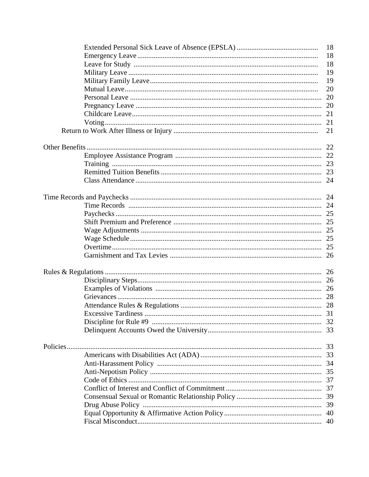|  | 18 |
|--|----|
|  | 18 |
|  | 18 |
|  | 19 |
|  | 19 |
|  | 20 |
|  | 20 |
|  | 20 |
|  |    |
|  |    |
|  | 21 |
|  |    |
|  |    |
|  |    |
|  |    |
|  |    |
|  |    |
|  |    |
|  |    |
|  |    |
|  |    |
|  |    |
|  |    |
|  |    |
|  |    |
|  |    |
|  |    |
|  |    |
|  |    |
|  |    |
|  |    |
|  |    |
|  |    |
|  |    |
|  |    |
|  |    |
|  |    |
|  |    |
|  |    |
|  |    |
|  |    |
|  | 39 |
|  |    |
|  |    |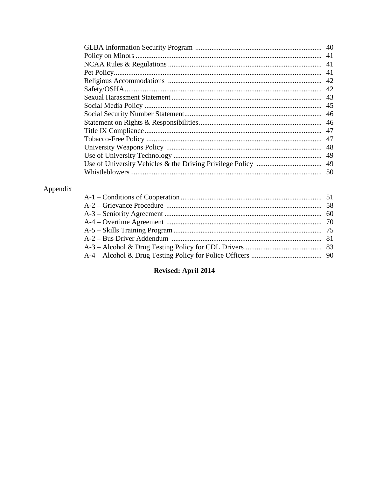| -41 |
|-----|
|     |
|     |
|     |
|     |
| -46 |
|     |
|     |
| 47  |
| 48  |
| 49  |
| 49  |
| -50 |

# Appendix

# **Revised: April 2014**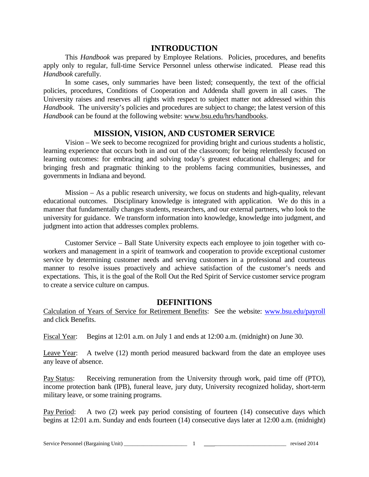# **INTRODUCTION**

This *Handbook* was prepared by Employee Relations. Policies, procedures, and benefits apply only to regular, full-time Service Personnel unless otherwise indicated. Please read this *Handbook* carefully.

In some cases, only summaries have been listed; consequently, the text of the official policies, procedures, Conditions of Cooperation and Addenda shall govern in all cases. The University raises and reserves all rights with respect to subject matter not addressed within this *Handbook*. The university's policies and procedures are subject to change; the latest version of this *Handbook* can be found at the following website: www.bsu.edu/hrs/handbooks.

# **MISSION, VISION, AND CUSTOMER SERVICE**

Vision – We seek to become recognized for providing bright and curious students a holistic, learning experience that occurs both in and out of the classroom; for being relentlessly focused on learning outcomes: for embracing and solving today's greatest educational challenges; and for bringing fresh and pragmatic thinking to the problems facing communities, businesses, and governments in Indiana and beyond.

Mission – As a public research university, we focus on students and high-quality, relevant educational outcomes. Disciplinary knowledge is integrated with application. We do this in a manner that fundamentally changes students, researchers, and our external partners, who look to the university for guidance. We transform information into knowledge, knowledge into judgment, and judgment into action that addresses complex problems.

Customer Service – Ball State University expects each employee to join together with coworkers and management in a spirit of teamwork and cooperation to provide exceptional customer service by determining customer needs and serving customers in a professional and courteous manner to resolve issues proactively and achieve satisfaction of the customer's needs and expectations. This, it is the goal of the Roll Out the Red Spirit of Service customer service program to create a service culture on campus.

# **DEFINITIONS**

Calculation of Years of Service for Retirement Benefits: See the website: [www.bsu.edu/payroll](http://www.bsu.edu/payroll) and click Benefits.

Fiscal Year: Begins at 12:01 a.m. on July 1 and ends at 12:00 a.m. (midnight) on June 30.

Leave Year: A twelve (12) month period measured backward from the date an employee uses any leave of absence.

Pay Status: Receiving remuneration from the University through work, paid time off (PTO), income protection bank (IPB), funeral leave, jury duty, University recognized holiday, short-term military leave, or some training programs.

Pay Period: A two (2) week pay period consisting of fourteen (14) consecutive days which begins at 12:01 a.m. Sunday and ends fourteen (14) consecutive days later at 12:00 a.m. (midnight)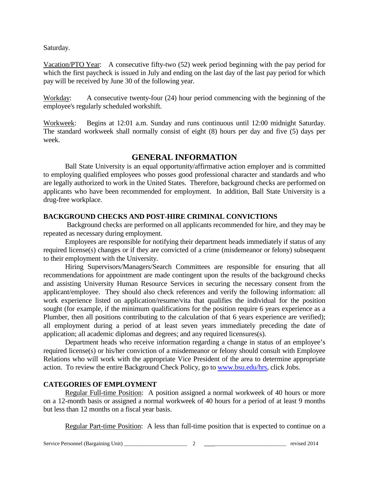Saturday.

Vacation/PTO Year: A consecutive fifty-two (52) week period beginning with the pay period for which the first paycheck is issued in July and ending on the last day of the last pay period for which pay will be received by June 30 of the following year.

Workday: A consecutive twenty-four (24) hour period commencing with the beginning of the employee's regularly scheduled workshift.

Workweek: Begins at 12:01 a.m. Sunday and runs continuous until 12:00 midnight Saturday. The standard workweek shall normally consist of eight (8) hours per day and five (5) days per week.

# **GENERAL INFORMATION**

Ball State University is an equal opportunity/affirmative action employer and is committed to employing qualified employees who posses good professional character and standards and who are legally authorized to work in the United States. Therefore, background checks are performed on applicants who have been recommended for employment. In addition, Ball State University is a drug-free workplace.

# **BACKGROUND CHECKS AND POST-HIRE CRIMINAL CONVICTIONS**

Background checks are performed on all applicants recommended for hire, and they may be repeated as necessary during employment.

Employees are responsible for notifying their department heads immediately if status of any required license(s) changes or if they are convicted of a crime (misdemeanor or felony) subsequent to their employment with the University.

Hiring Supervisors/Managers/Search Committees are responsible for ensuring that all recommendations for appointment are made contingent upon the results of the background checks and assisting University Human Resource Services in securing the necessary consent from the applicant/employee. They should also check references and verify the following information: all work experience listed on application/resume/vita that qualifies the individual for the position sought (for example, if the minimum qualifications for the position require 6 years experience as a Plumber, then all positions contributing to the calculation of that 6 years experience are verified); all employment during a period of at least seven years immediately preceding the date of application; all academic diplomas and degrees; and any required licensures(s).

Department heads who receive information regarding a change in status of an employee's required license(s) or his/her conviction of a misdemeanor or felony should consult with Employee Relations who will work with the appropriate Vice President of the area to determine appropriate action. To review the entire Background Check Policy, go to [www.bsu.edu/hrs,](http://www.bsu.edu/hrs) click Jobs.

# **CATEGORIES OF EMPLOYMENT**

Regular Full-time Position: A position assigned a normal workweek of 40 hours or more on a 12-month basis or assigned a normal workweek of 40 hours for a period of at least 9 months but less than 12 months on a fiscal year basis.

Regular Part-time Position: A less than full-time position that is expected to continue on a

Service Personnel (Bargaining Unit) \_\_\_\_\_\_\_\_\_\_\_\_\_\_\_\_\_\_\_\_\_\_\_ 2 \_\_\_\_\_\_\_\_\_\_\_\_\_\_\_\_\_\_\_\_\_\_\_\_\_\_\_\_\_ revised 2014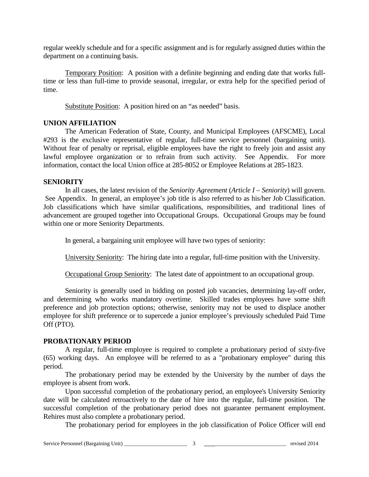regular weekly schedule and for a specific assignment and is for regularly assigned duties within the department on a continuing basis.

Temporary Position: A position with a definite beginning and ending date that works fulltime or less than full-time to provide seasonal, irregular, or extra help for the specified period of time.

Substitute Position: A position hired on an "as needed" basis.

### **UNION AFFILIATION**

The American Federation of State, County, and Municipal Employees (AFSCME), Local #293 is the exclusive representative of regular, full-time service personnel (bargaining unit). Without fear of penalty or reprisal, eligible employees have the right to freely join and assist any lawful employee organization or to refrain from such activity. See Appendix. For more information, contact the local Union office at 285-8052 or Employee Relations at 285-1823.

### **SENIORITY**

In all cases, the latest revision of the *Seniority Agreement* (*Article I – Seniority*) will govern. See Appendix. In general, an employee's job title is also referred to as his/her Job Classification. Job classifications which have similar qualifications, responsibilities, and traditional lines of advancement are grouped together into Occupational Groups. Occupational Groups may be found within one or more Seniority Departments.

In general, a bargaining unit employee will have two types of seniority:

University Seniority: The hiring date into a regular, full-time position with the University.

Occupational Group Seniority: The latest date of appointment to an occupational group.

Seniority is generally used in bidding on posted job vacancies, determining lay-off order, and determining who works mandatory overtime. Skilled trades employees have some shift preference and job protection options; otherwise, seniority may not be used to displace another employee for shift preference or to supercede a junior employee's previously scheduled Paid Time Off (PTO).

# **PROBATIONARY PERIOD**

A regular, full-time employee is required to complete a probationary period of sixty-five (65) working days. An employee will be referred to as a "probationary employee" during this period.

The probationary period may be extended by the University by the number of days the employee is absent from work.

Upon successful completion of the probationary period, an employee's University Seniority date will be calculated retroactively to the date of hire into the regular, full-time position. The successful completion of the probationary period does not guarantee permanent employment. Rehires must also complete a probationary period.

The probationary period for employees in the job classification of Police Officer will end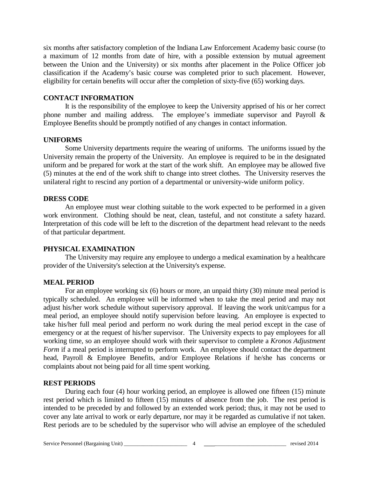six months after satisfactory completion of the Indiana Law Enforcement Academy basic course (to a maximum of 12 months from date of hire, with a possible extension by mutual agreement between the Union and the University) or six months after placement in the Police Officer job classification if the Academy's basic course was completed prior to such placement. However, eligibility for certain benefits will occur after the completion of sixty-five (65) working days.

#### **CONTACT INFORMATION**

It is the responsibility of the employee to keep the University apprised of his or her correct phone number and mailing address. The employee's immediate supervisor and Payroll & Employee Benefits should be promptly notified of any changes in contact information.

#### **UNIFORMS**

Some University departments require the wearing of uniforms. The uniforms issued by the University remain the property of the University. An employee is required to be in the designated uniform and be prepared for work at the start of the work shift. An employee may be allowed five (5) minutes at the end of the work shift to change into street clothes. The University reserves the unilateral right to rescind any portion of a departmental or university-wide uniform policy.

#### **DRESS CODE**

An employee must wear clothing suitable to the work expected to be performed in a given work environment. Clothing should be neat, clean, tasteful, and not constitute a safety hazard. Interpretation of this code will be left to the discretion of the department head relevant to the needs of that particular department.

#### **PHYSICAL EXAMINATION**

The University may require any employee to undergo a medical examination by a healthcare provider of the University's selection at the University's expense.

#### **MEAL PERIOD**

For an employee working six (6) hours or more, an unpaid thirty (30) minute meal period is typically scheduled. An employee will be informed when to take the meal period and may not adjust his/her work schedule without supervisory approval. If leaving the work unit/campus for a meal period, an employee should notify supervision before leaving. An employee is expected to take his/her full meal period and perform no work during the meal period except in the case of emergency or at the request of his/her supervisor. The University expects to pay employees for all working time, so an employee should work with their supervisor to complete a *Kronos Adjustment Form* if a meal period is interrupted to perform work. An employee should contact the department head, Payroll & Employee Benefits, and/or Employee Relations if he/she has concerns or complaints about not being paid for all time spent working.

#### **REST PERIODS**

During each four (4) hour working period, an employee is allowed one fifteen (15) minute rest period which is limited to fifteen (15) minutes of absence from the job. The rest period is intended to be preceded by and followed by an extended work period; thus, it may not be used to cover any late arrival to work or early departure, nor may it be regarded as cumulative if not taken. Rest periods are to be scheduled by the supervisor who will advise an employee of the scheduled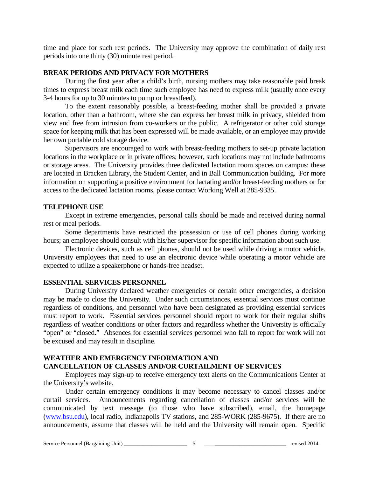time and place for such rest periods. The University may approve the combination of daily rest periods into one thirty (30) minute rest period.

#### **BREAK PERIODS AND PRIVACY FOR MOTHERS**

During the first year after a child's birth, nursing mothers may take reasonable paid break times to express breast milk each time such employee has need to express milk (usually once every 3-4 hours for up to 30 minutes to pump or breastfeed).

To the extent reasonably possible, a breast-feeding mother shall be provided a private location, other than a bathroom, where she can express her breast milk in privacy, shielded from view and free from intrusion from co-workers or the public. A refrigerator or other cold storage space for keeping milk that has been expressed will be made available, or an employee may provide her own portable cold storage device.

Supervisors are encouraged to work with breast-feeding mothers to set-up private lactation locations in the workplace or in private offices; however, such locations may not include bathrooms or storage areas. The University provides three dedicated lactation room spaces on campus: these are located in Bracken Library, the Student Center, and in Ball Communication building. For more information on supporting a positive environment for lactating and/or breast-feeding mothers or for access to the dedicated lactation rooms, please contact Working Well at 285-9335.

#### **TELEPHONE USE**

Except in extreme emergencies, personal calls should be made and received during normal rest or meal periods.

Some departments have restricted the possession or use of cell phones during working hours; an employee should consult with his/her supervisor for specific information about such use.

Electronic devices, such as cell phones, should not be used while driving a motor vehicle. University employees that need to use an electronic device while operating a motor vehicle are expected to utilize a speakerphone or hands-free headset.

#### **ESSENTIAL SERVICES PERSONNEL**

During University declared weather emergencies or certain other emergencies, a decision may be made to close the University. Under such circumstances, essential services must continue regardless of conditions, and personnel who have been designated as providing essential services must report to work. Essential services personnel should report to work for their regular shifts regardless of weather conditions or other factors and regardless whether the University is officially "open" or "closed." Absences for essential services personnel who fail to report for work will not be excused and may result in discipline.

#### **WEATHER AND EMERGENCY INFORMATION AND CANCELLATION OF CLASSES AND/OR CURTAILMENT OF SERVICES**

Employees may sign-up to receive emergency text alerts on the Communications Center at the University's website.

Under certain emergency conditions it may become necessary to cancel classes and/or curtail services. Announcements regarding cancellation of classes and/or services will be communicated by text message (to those who have subscribed), email, the homepage [\(www.bsu.edu\)](http://www.bsu.edu/), local radio, Indianapolis TV stations, and 285-WORK (285-9675). If there are no announcements, assume that classes will be held and the University will remain open. Specific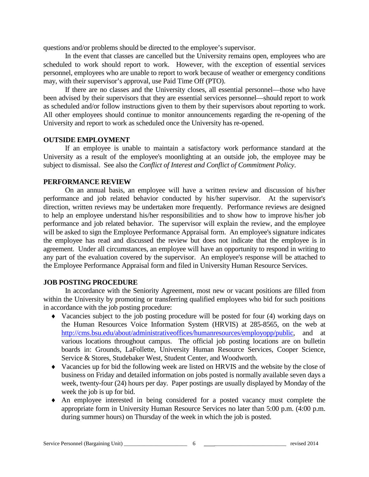questions and/or problems should be directed to the employee's supervisor.

In the event that classes are cancelled but the University remains open, employees who are scheduled to work should report to work. However, with the exception of essential services personnel, employees who are unable to report to work because of weather or emergency conditions may, with their supervisor's approval, use Paid Time Off (PTO).

If there are no classes and the University closes, all essential personnel—those who have been advised by their supervisors that they are essential services personnel—should report to work as scheduled and/or follow instructions given to them by their supervisors about reporting to work. All other employees should continue to monitor announcements regarding the re-opening of the University and report to work as scheduled once the University has re-opened.

#### **OUTSIDE EMPLOYMENT**

If an employee is unable to maintain a satisfactory work performance standard at the University as a result of the employee's moonlighting at an outside job, the employee may be subject to dismissal. See also the *Conflict of Interest and Conflict of Commitment Policy*.

#### **PERFORMANCE REVIEW**

On an annual basis, an employee will have a written review and discussion of his/her performance and job related behavior conducted by his/her supervisor. At the supervisor's direction, written reviews may be undertaken more frequently. Performance reviews are designed to help an employee understand his/her responsibilities and to show how to improve his/her job performance and job related behavior. The supervisor will explain the review, and the employee will be asked to sign the Employee Performance Appraisal form. An employee's signature indicates the employee has read and discussed the review but does not indicate that the employee is in agreement. Under all circumstances, an employee will have an opportunity to respond in writing to any part of the evaluation covered by the supervisor. An employee's response will be attached to the Employee Performance Appraisal form and filed in University Human Resource Services.

#### **JOB POSTING PROCEDURE**

In accordance with the Seniority Agreement, most new or vacant positions are filled from within the University by promoting or transferring qualified employees who bid for such positions in accordance with the job posting procedure:

- ♦ Vacancies subject to the job posting procedure will be posted for four (4) working days on the Human Resources Voice Information System (HRVIS) at 285-8565, on the web at [http://cms.bsu.edu/about/administrativeoffices/humanresources/employopp/public,](http://cms.bsu.edu/about/administrativeoffices/humanresources/employopp/public) and at various locations throughout campus. The official job posting locations are on bulletin boards in: Grounds, LaFollette, University Human Resource Services, Cooper Science, Service & Stores, Studebaker West, Student Center, and Woodworth.
- ♦ Vacancies up for bid the following week are listed on HRVIS and the website by the close of business on Friday and detailed information on jobs posted is normally available seven days a week, twenty-four (24) hours per day. Paper postings are usually displayed by Monday of the week the job is up for bid.
- ♦ An employee interested in being considered for a posted vacancy must complete the appropriate form in University Human Resource Services no later than 5:00 p.m. (4:00 p.m. during summer hours) on Thursday of the week in which the job is posted.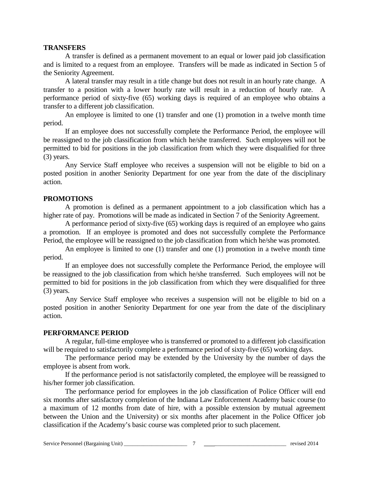#### **TRANSFERS**

A transfer is defined as a permanent movement to an equal or lower paid job classification and is limited to a request from an employee. Transfers will be made as indicated in Section 5 of the Seniority Agreement.

A lateral transfer may result in a title change but does not result in an hourly rate change. A transfer to a position with a lower hourly rate will result in a reduction of hourly rate. A performance period of sixty-five (65) working days is required of an employee who obtains a transfer to a different job classification.

An employee is limited to one (1) transfer and one (1) promotion in a twelve month time period.

If an employee does not successfully complete the Performance Period, the employee will be reassigned to the job classification from which he/she transferred. Such employees will not be permitted to bid for positions in the job classification from which they were disqualified for three (3) years.

Any Service Staff employee who receives a suspension will not be eligible to bid on a posted position in another Seniority Department for one year from the date of the disciplinary action.

#### **PROMOTIONS**

A promotion is defined as a permanent appointment to a job classification which has a higher rate of pay. Promotions will be made as indicated in Section 7 of the Seniority Agreement.

A performance period of sixty-five (65) working days is required of an employee who gains a promotion. If an employee is promoted and does not successfully complete the Performance Period, the employee will be reassigned to the job classification from which he/she was promoted.

An employee is limited to one (1) transfer and one (1) promotion in a twelve month time period.

If an employee does not successfully complete the Performance Period, the employee will be reassigned to the job classification from which he/she transferred. Such employees will not be permitted to bid for positions in the job classification from which they were disqualified for three (3) years.

Any Service Staff employee who receives a suspension will not be eligible to bid on a posted position in another Seniority Department for one year from the date of the disciplinary action.

#### **PERFORMANCE PERIOD**

A regular, full-time employee who is transferred or promoted to a different job classification will be required to satisfactorily complete a performance period of sixty-five (65) working days.

The performance period may be extended by the University by the number of days the employee is absent from work.

If the performance period is not satisfactorily completed, the employee will be reassigned to his/her former job classification.

The performance period for employees in the job classification of Police Officer will end six months after satisfactory completion of the Indiana Law Enforcement Academy basic course (to a maximum of 12 months from date of hire, with a possible extension by mutual agreement between the Union and the University) or six months after placement in the Police Officer job classification if the Academy's basic course was completed prior to such placement.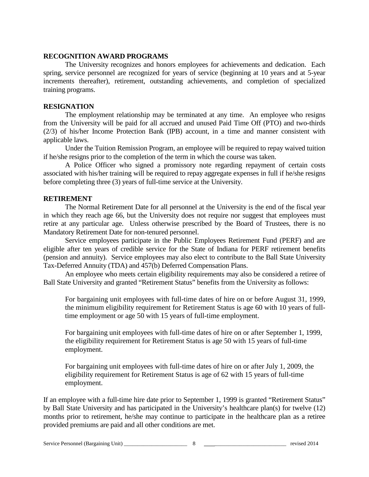#### **RECOGNITION AWARD PROGRAMS**

The University recognizes and honors employees for achievements and dedication. Each spring, service personnel are recognized for years of service (beginning at 10 years and at 5-year increments thereafter), retirement, outstanding achievements, and completion of specialized training programs.

#### **RESIGNATION**

The employment relationship may be terminated at any time. An employee who resigns from the University will be paid for all accrued and unused Paid Time Off (PTO) and two-thirds (2/3) of his/her Income Protection Bank (IPB) account, in a time and manner consistent with applicable laws.

Under the Tuition Remission Program, an employee will be required to repay waived tuition if he/she resigns prior to the completion of the term in which the course was taken.

A Police Officer who signed a promissory note regarding repayment of certain costs associated with his/her training will be required to repay aggregate expenses in full if he/she resigns before completing three (3) years of full-time service at the University.

#### **RETIREMENT**

The Normal Retirement Date for all personnel at the University is the end of the fiscal year in which they reach age 66, but the University does not require nor suggest that employees must retire at any particular age. Unless otherwise prescribed by the Board of Trustees, there is no Mandatory Retirement Date for non-tenured personnel.

Service employees participate in the Public Employees Retirement Fund (PERF) and are eligible after ten years of credible service for the State of Indiana for PERF retirement benefits (pension and annuity). Service employees may also elect to contribute to the Ball State University Tax-Deferred Annuity (TDA) and 457(b) Deferred Compensation Plans.

An employee who meets certain eligibility requirements may also be considered a retiree of Ball State University and granted "Retirement Status" benefits from the University as follows:

For bargaining unit employees with full-time dates of hire on or before August 31, 1999, the minimum eligibility requirement for Retirement Status is age 60 with 10 years of fulltime employment or age 50 with 15 years of full-time employment.

For bargaining unit employees with full-time dates of hire on or after September 1, 1999, the eligibility requirement for Retirement Status is age 50 with 15 years of full-time employment.

For bargaining unit employees with full-time dates of hire on or after July 1, 2009, the eligibility requirement for Retirement Status is age of 62 with 15 years of full-time employment.

If an employee with a full-time hire date prior to September 1, 1999 is granted "Retirement Status" by Ball State University and has participated in the University's healthcare plan(s) for twelve (12) months prior to retirement, he/she may continue to participate in the healthcare plan as a retiree provided premiums are paid and all other conditions are met.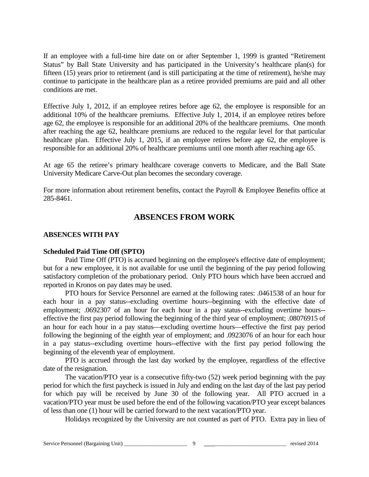If an employee with a full-time hire date on or after September 1, 1999 is granted "Retirement Status" by Ball State University and has participated in the University's healthcare plan(s) for fifteen (15) years prior to retirement (and is still participating at the time of retirement), he/she may continue to participate in the healthcare plan as a retiree provided premiums are paid and all other conditions are met.

Effective July 1, 2012, if an employee retires before age 62, the employee is responsible for an additional 10% of the healthcare premiums. Effective July 1, 2014, if an employee retires before age 62, the employee is responsible for an additional 20% of the healthcare premiums. One month after reaching the age 62, healthcare premiums are reduced to the regular level for that particular healthcare plan. Effective July 1, 2015, if an employee retires before age 62, the employee is responsible for an additional 20% of healthcare premiums until one month after reaching age 65.

At age 65 the retiree's primary healthcare coverage converts to Medicare, and the Ball State University Medicare Carve-Out plan becomes the secondary coverage.

For more information about retirement benefits, contact the Payroll & Employee Benefits office at 285-8461.

# **ABSENCES FROM WORK**

### **ABSENCES WITH PAY**

#### **Scheduled Paid Time Off (SPTO)**

Paid Time Off (PTO) is accrued beginning on the employee's effective date of employment; but for a new employee, it is not available for use until the beginning of the pay period following satisfactory completion of the probationary period. Only PTO hours which have been accrued and reported in Kronos on pay dates may be used.

PTO hours for Service Personnel are earned at the following rates: .0461538 of an hour for each hour in a pay status--excluding overtime hours--beginning with the effective date of employment; .0692307 of an hour for each hour in a pay status--excluding overtime hours-effective the first pay period following the beginning of the third year of employment; .08076915 of an hour for each hour in a pay status—excluding overtime hours—effective the first pay period following the beginning of the eighth year of employment; and .0923076 of an hour for each hour in a pay status--excluding overtime hours--effective with the first pay period following the beginning of the eleventh year of employment.

PTO is accrued through the last day worked by the employee, regardless of the effective date of the resignation.

The vacation/PTO year is a consecutive fifty-two (52) week period beginning with the pay period for which the first paycheck is issued in July and ending on the last day of the last pay period for which pay will be received by June 30 of the following year. All PTO accrued in a vacation/PTO year must be used before the end of the following vacation/PTO year except balances of less than one (1) hour will be carried forward to the next vacation/PTO year.

Holidays recognized by the University are not counted as part of PTO. Extra pay in lieu of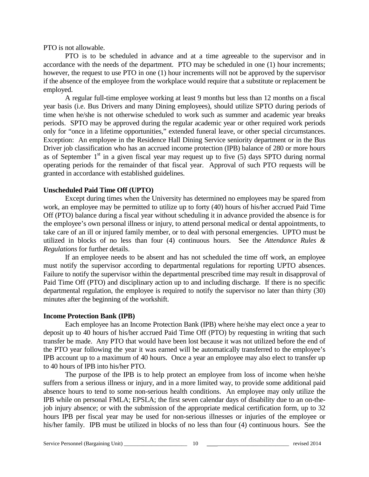PTO is not allowable.

PTO is to be scheduled in advance and at a time agreeable to the supervisor and in accordance with the needs of the department. PTO may be scheduled in one (1) hour increments; however, the request to use PTO in one (1) hour increments will not be approved by the supervisor if the absence of the employee from the workplace would require that a substitute or replacement be employed.

A regular full-time employee working at least 9 months but less than 12 months on a fiscal year basis (i.e. Bus Drivers and many Dining employees), should utilize SPTO during periods of time when he/she is not otherwise scheduled to work such as summer and academic year breaks periods. SPTO may be approved during the regular academic year or other required work periods only for "once in a lifetime opportunities," extended funeral leave, or other special circumstances. Exception: An employee in the Residence Hall Dining Service seniority department or in the Bus Driver job classification who has an accrued income protection (IPB) balance of 280 or more hours as of September  $1<sup>st</sup>$  in a given fiscal year may request up to five (5) days SPTO during normal operating periods for the remainder of that fiscal year. Approval of such PTO requests will be granted in accordance with established guidelines.

#### **Unscheduled Paid Time Off (UPTO)**

Except during times when the University has determined no employees may be spared from work, an employee may be permitted to utilize up to forty (40) hours of his/her accrued Paid Time Off (PTO) balance during a fiscal year without scheduling it in advance provided the absence is for the employee's own personal illness or injury, to attend personal medical or dental appointments, to take care of an ill or injured family member, or to deal with personal emergencies. UPTO must be utilized in blocks of no less than four (4) continuous hours. See the *Attendance Rules & Regulations* for further details.

If an employee needs to be absent and has not scheduled the time off work, an employee must notify the supervisor according to departmental regulations for reporting UPTO absences. Failure to notify the supervisor within the departmental prescribed time may result in disapproval of Paid Time Off (PTO) and disciplinary action up to and including discharge. If there is no specific departmental regulation, the employee is required to notify the supervisor no later than thirty (30) minutes after the beginning of the workshift.

#### **Income Protection Bank (IPB)**

Each employee has an Income Protection Bank (IPB) where he/she may elect once a year to deposit up to 40 hours of his/her accrued Paid Time Off (PTO) by requesting in writing that such transfer be made. Any PTO that would have been lost because it was not utilized before the end of the PTO year following the year it was earned will be automatically transferred to the employee's IPB account up to a maximum of 40 hours. Once a year an employee may also elect to transfer up to 40 hours of IPB into his/her PTO.

The purpose of the IPB is to help protect an employee from loss of income when he/she suffers from a serious illness or injury, and in a more limited way, to provide some additional paid absence hours to tend to some non-serious health conditions. An employee may only utilize the IPB while on personal FMLA; EPSLA; the first seven calendar days of disability due to an on-thejob injury absence; or with the submission of the appropriate medical certification form, up to 32 hours IPB per fiscal year may be used for non-serious illnesses or injuries of the employee or his/her family. IPB must be utilized in blocks of no less than four (4) continuous hours. See the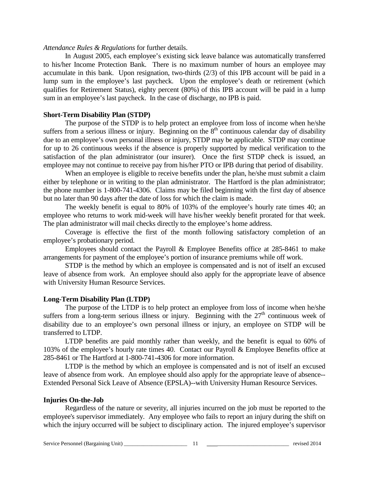#### *Attendance Rules & Regulations* for further details.

In August 2005, each employee's existing sick leave balance was automatically transferred to his/her Income Protection Bank. There is no maximum number of hours an employee may accumulate in this bank. Upon resignation, two-thirds (2/3) of this IPB account will be paid in a lump sum in the employee's last paycheck. Upon the employee's death or retirement (which qualifies for Retirement Status), eighty percent (80%) of this IPB account will be paid in a lump sum in an employee's last paycheck. In the case of discharge, no IPB is paid.

### **Short-Term Disability Plan (STDP)**

The purpose of the STDP is to help protect an employee from loss of income when he/she suffers from a serious illness or injury. Beginning on the  $8<sup>th</sup>$  continuous calendar day of disability due to an employee's own personal illness or injury, STDP may be applicable. STDP may continue for up to 26 continuous weeks if the absence is properly supported by medical verification to the satisfaction of the plan administrator (our insurer). Once the first STDP check is issued, an employee may not continue to receive pay from his/her PTO or IPB during that period of disability.

When an employee is eligible to receive benefits under the plan, he/she must submit a claim either by telephone or in writing to the plan administrator. The Hartford is the plan administrator; the phone number is 1-800-741-4306. Claims may be filed beginning with the first day of absence but no later than 90 days after the date of loss for which the claim is made.

The weekly benefit is equal to 80% of 103% of the employee's hourly rate times 40; an employee who returns to work mid-week will have his/her weekly benefit prorated for that week. The plan administrator will mail checks directly to the employee's home address.

Coverage is effective the first of the month following satisfactory completion of an employee's probationary period.

Employees should contact the Payroll & Employee Benefits office at 285-8461 to make arrangements for payment of the employee's portion of insurance premiums while off work.

STDP is the method by which an employee is compensated and is not of itself an excused leave of absence from work. An employee should also apply for the appropriate leave of absence with University Human Resource Services.

#### **Long-Term Disability Plan (LTDP)**

The purpose of the LTDP is to help protect an employee from loss of income when he/she suffers from a long-term serious illness or injury. Beginning with the  $27<sup>th</sup>$  continuous week of disability due to an employee's own personal illness or injury, an employee on STDP will be transferred to LTDP.

LTDP benefits are paid monthly rather than weekly, and the benefit is equal to 60% of 103% of the employee's hourly rate times 40. Contact our Payroll & Employee Benefits office at 285-8461 or The Hartford at 1-800-741-4306 for more information.

LTDP is the method by which an employee is compensated and is not of itself an excused leave of absence from work. An employee should also apply for the appropriate leave of absence-- Extended Personal Sick Leave of Absence (EPSLA)--with University Human Resource Services.

#### **Injuries On-the-Job**

Regardless of the nature or severity, all injuries incurred on the job must be reported to the employee's supervisor immediately. Any employee who fails to report an injury during the shift on which the injury occurred will be subject to disciplinary action. The injured employee's supervisor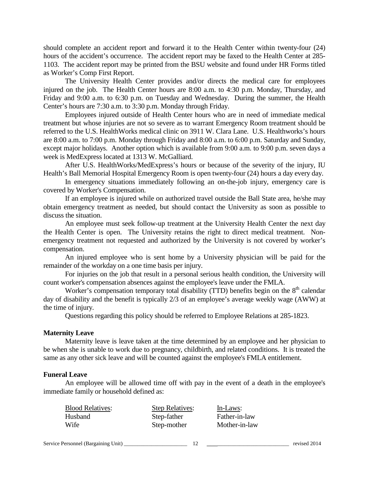should complete an accident report and forward it to the Health Center within twenty-four (24) hours of the accident's occurrence. The accident report may be faxed to the Health Center at 285- 1103. The accident report may be printed from the BSU website and found under HR Forms titled as Worker's Comp First Report.

The University Health Center provides and/or directs the medical care for employees injured on the job. The Health Center hours are 8:00 a.m. to 4:30 p.m. Monday, Thursday, and Friday and 9:00 a.m. to 6:30 p.m. on Tuesday and Wednesday. During the summer, the Health Center's hours are 7:30 a.m. to 3:30 p.m. Monday through Friday.

Employees injured outside of Health Center hours who are in need of immediate medical treatment but whose injuries are not so severe as to warrant Emergency Room treatment should be referred to the U.S. HealthWorks medical clinic on 3911 W. Clara Lane. U.S. Healthworks's hours are 8:00 a.m. to 7:00 p.m. Monday through Friday and 8:00 a.m. to 6:00 p.m. Saturday and Sunday, except major holidays. Another option which is available from 9:00 a.m. to 9:00 p.m. seven days a week is MedExpress located at 1313 W. McGalliard.

After U.S. HealthWorks/MedExpress's hours or because of the severity of the injury, IU Health's Ball Memorial Hospital Emergency Room is open twenty-four (24) hours a day every day.

In emergency situations immediately following an on-the-job injury, emergency care is covered by Worker's Compensation.

If an employee is injured while on authorized travel outside the Ball State area, he/she may obtain emergency treatment as needed, but should contact the University as soon as possible to discuss the situation.

An employee must seek follow-up treatment at the University Health Center the next day the Health Center is open. The University retains the right to direct medical treatment. Nonemergency treatment not requested and authorized by the University is not covered by worker's compensation.

An injured employee who is sent home by a University physician will be paid for the remainder of the workday on a one time basis per injury.

For injuries on the job that result in a personal serious health condition, the University will count worker's compensation absences against the employee's leave under the FMLA.

Worker's compensation temporary total disability (TTD) benefits begin on the  $8<sup>th</sup>$  calendar day of disability and the benefit is typically 2/3 of an employee's average weekly wage (AWW) at the time of injury.

Questions regarding this policy should be referred to Employee Relations at 285-1823.

#### **Maternity Leave**

Maternity leave is leave taken at the time determined by an employee and her physician to be when she is unable to work due to pregnancy, childbirth, and related conditions. It is treated the same as any other sick leave and will be counted against the employee's FMLA entitlement.

#### **Funeral Leave**

An employee will be allowed time off with pay in the event of a death in the employee's immediate family or household defined as:

| <b>Blood Relatives:</b> | <b>Step Relatives:</b> | In-Laws:      |
|-------------------------|------------------------|---------------|
| Husband                 | Step-father            | Father-in-law |
| Wife                    | Step-mother            | Mother-in-law |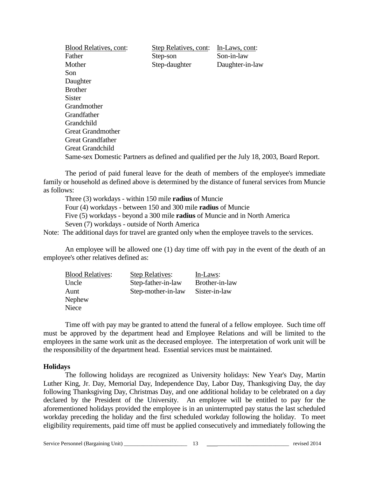| <b>Blood Relatives, cont:</b> | Step Relatives, cont: | In-Laws, cont:                                                                           |
|-------------------------------|-----------------------|------------------------------------------------------------------------------------------|
| Father                        | Step-son              | Son-in-law                                                                               |
| Mother                        | Step-daughter         | Daughter-in-law                                                                          |
| Son                           |                       |                                                                                          |
| Daughter                      |                       |                                                                                          |
| <b>Brother</b>                |                       |                                                                                          |
| <b>Sister</b>                 |                       |                                                                                          |
| Grandmother                   |                       |                                                                                          |
| <b>Grandfather</b>            |                       |                                                                                          |
| Grandchild                    |                       |                                                                                          |
| <b>Great Grandmother</b>      |                       |                                                                                          |
| <b>Great Grandfather</b>      |                       |                                                                                          |
| <b>Great Grandchild</b>       |                       |                                                                                          |
|                               |                       | Same-sex Domestic Partners as defined and qualified per the July 18, 2003, Board Report. |

The period of paid funeral leave for the death of members of the employee's immediate family or household as defined above is determined by the distance of funeral services from Muncie as follows:

Three (3) workdays - within 150 mile **radius** of Muncie Four (4) workdays - between 150 and 300 mile **radius** of Muncie Five (5) workdays - beyond a 300 mile **radius** of Muncie and in North America Seven (7) workdays - outside of North America

Note: The additional days for travel are granted only when the employee travels to the services.

An employee will be allowed one (1) day time off with pay in the event of the death of an employee's other relatives defined as:

| <b>Blood Relatives:</b> | <b>Step Relatives:</b> | In-Laws:       |
|-------------------------|------------------------|----------------|
| Uncle                   | Step-father-in-law     | Brother-in-law |
| Aunt                    | Step-mother-in-law     | Sister-in-law  |
| Nephew                  |                        |                |
| Niece                   |                        |                |
|                         |                        |                |

Time off with pay may be granted to attend the funeral of a fellow employee. Such time off must be approved by the department head and Employee Relations and will be limited to the employees in the same work unit as the deceased employee. The interpretation of work unit will be the responsibility of the department head. Essential services must be maintained.

#### **Holidays**

The following holidays are recognized as University holidays: New Year's Day, Martin Luther King, Jr. Day, Memorial Day, Independence Day, Labor Day, Thanksgiving Day, the day following Thanksgiving Day, Christmas Day, and one additional holiday to be celebrated on a day declared by the President of the University. An employee will be entitled to pay for the aforementioned holidays provided the employee is in an uninterrupted pay status the last scheduled workday preceding the holiday and the first scheduled workday following the holiday. To meet eligibility requirements, paid time off must be applied consecutively and immediately following the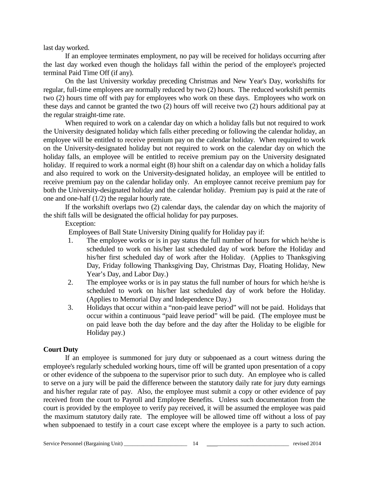last day worked.

If an employee terminates employment, no pay will be received for holidays occurring after the last day worked even though the holidays fall within the period of the employee's projected terminal Paid Time Off (if any).

On the last University workday preceding Christmas and New Year's Day, workshifts for regular, full-time employees are normally reduced by two (2) hours. The reduced workshift permits two (2) hours time off with pay for employees who work on these days. Employees who work on these days and cannot be granted the two (2) hours off will receive two (2) hours additional pay at the regular straight-time rate.

When required to work on a calendar day on which a holiday falls but not required to work the University designated holiday which falls either preceding or following the calendar holiday, an employee will be entitled to receive premium pay on the calendar holiday. When required to work on the University-designated holiday but not required to work on the calendar day on which the holiday falls, an employee will be entitled to receive premium pay on the University designated holiday. If required to work a normal eight (8) hour shift on a calendar day on which a holiday falls and also required to work on the University-designated holiday, an employee will be entitled to receive premium pay on the calendar holiday only. An employee cannot receive premium pay for both the University-designated holiday and the calendar holiday. Premium pay is paid at the rate of one and one-half (1/2) the regular hourly rate.

If the workshift overlaps two (2) calendar days, the calendar day on which the majority of the shift falls will be designated the official holiday for pay purposes.

Exception:

Employees of Ball State University Dining qualify for Holiday pay if:

- 1. The employee works or is in pay status the full number of hours for which he/she is scheduled to work on his/her last scheduled day of work before the Holiday and his/her first scheduled day of work after the Holiday. (Applies to Thanksgiving Day, Friday following Thanksgiving Day, Christmas Day, Floating Holiday, New Year's Day, and Labor Day.)
- 2. The employee works or is in pay status the full number of hours for which he/she is scheduled to work on his/her last scheduled day of work before the Holiday. (Applies to Memorial Day and Independence Day.)
- 3. Holidays that occur within a "non-paid leave period" will not be paid. Holidays that occur within a continuous "paid leave period" will be paid. (The employee must be on paid leave both the day before and the day after the Holiday to be eligible for Holiday pay.)

# **Court Duty**

If an employee is summoned for jury duty or subpoenaed as a court witness during the employee's regularly scheduled working hours, time off will be granted upon presentation of a copy or other evidence of the subpoena to the supervisor prior to such duty. An employee who is called to serve on a jury will be paid the difference between the statutory daily rate for jury duty earnings and his/her regular rate of pay. Also, the employee must submit a copy or other evidence of pay received from the court to Payroll and Employee Benefits. Unless such documentation from the court is provided by the employee to verify pay received, it will be assumed the employee was paid the maximum statutory daily rate. The employee will be allowed time off without a loss of pay when subpoenaed to testify in a court case except where the employee is a party to such action.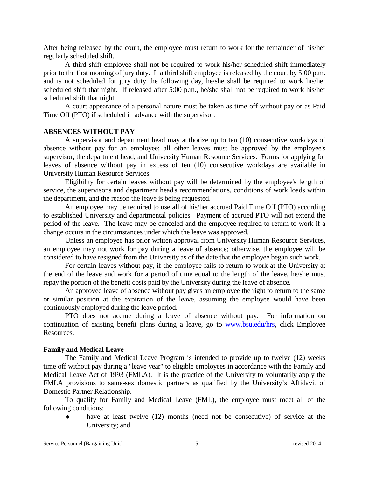After being released by the court, the employee must return to work for the remainder of his/her regularly scheduled shift.

A third shift employee shall not be required to work his/her scheduled shift immediately prior to the first morning of jury duty. If a third shift employee is released by the court by 5:00 p.m. and is not scheduled for jury duty the following day, he/she shall be required to work his/her scheduled shift that night. If released after 5:00 p.m., he/she shall not be required to work his/her scheduled shift that night.

A court appearance of a personal nature must be taken as time off without pay or as Paid Time Off (PTO) if scheduled in advance with the supervisor.

#### **ABSENCES WITHOUT PAY**

A supervisor and department head may authorize up to ten (10) consecutive workdays of absence without pay for an employee; all other leaves must be approved by the employee's supervisor, the department head, and University Human Resource Services. Forms for applying for leaves of absence without pay in excess of ten (10) consecutive workdays are available in University Human Resource Services.

Eligibility for certain leaves without pay will be determined by the employee's length of service, the supervisor's and department head's recommendations, conditions of work loads within the department, and the reason the leave is being requested.

An employee may be required to use all of his/her accrued Paid Time Off (PTO) according to established University and departmental policies. Payment of accrued PTO will not extend the period of the leave. The leave may be canceled and the employee required to return to work if a change occurs in the circumstances under which the leave was approved.

Unless an employee has prior written approval from University Human Resource Services, an employee may not work for pay during a leave of absence; otherwise, the employee will be considered to have resigned from the University as of the date that the employee began such work.

For certain leaves without pay, if the employee fails to return to work at the University at the end of the leave and work for a period of time equal to the length of the leave, he/she must repay the portion of the benefit costs paid by the University during the leave of absence.

An approved leave of absence without pay gives an employee the right to return to the same or similar position at the expiration of the leave, assuming the employee would have been continuously employed during the leave period.

PTO does not accrue during a leave of absence without pay. For information on continuation of existing benefit plans during a leave, go to [www.bsu.edu/hrs,](http://www.bsu.edu/hrs) click Employee Resources.

#### **Family and Medical Leave**

The Family and Medical Leave Program is intended to provide up to twelve (12) weeks time off without pay during a "leave year" to eligible employees in accordance with the Family and Medical Leave Act of 1993 (FMLA). It is the practice of the University to voluntarily apply the FMLA provisions to same-sex domestic partners as qualified by the University's Affidavit of Domestic Partner Relationship.

To qualify for Family and Medical Leave (FML), the employee must meet all of the following conditions:

♦ have at least twelve (12) months (need not be consecutive) of service at the University; and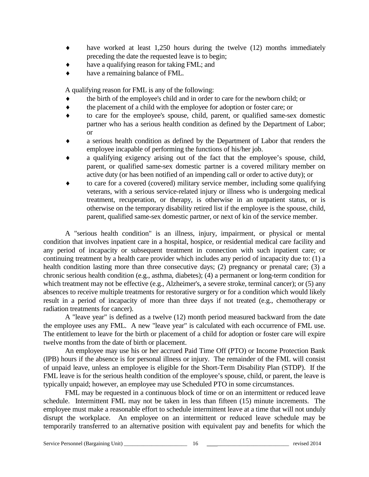- ♦ have worked at least 1,250 hours during the twelve (12) months immediately preceding the date the requested leave is to begin;
- have a qualifying reason for taking FML; and
- have a remaining balance of FML.

A qualifying reason for FML is any of the following:

- the birth of the employee's child and in order to care for the newborn child; or
- ♦ the placement of a child with the employee for adoption or foster care; or
- to care for the employee's spouse, child, parent, or qualified same-sex domestic partner who has a serious health condition as defined by the Department of Labor; or
- a serious health condition as defined by the Department of Labor that renders the employee incapable of performing the functions of his/her job.
- a qualifying exigency arising out of the fact that the employee's spouse, child, parent, or qualified same-sex domestic partner is a covered military member on active duty (or has been notified of an impending call or order to active duty); or
- to care for a covered (covered) military service member, including some qualifying veterans, with a serious service-related injury or illness who is undergoing medical treatment, recuperation, or therapy, is otherwise in an outpatient status, or is otherwise on the temporary disability retired list if the employee is the spouse, child, parent, qualified same-sex domestic partner, or next of kin of the service member.

A "serious health condition" is an illness, injury, impairment, or physical or mental condition that involves inpatient care in a hospital, hospice, or residential medical care facility and any period of incapacity or subsequent treatment in connection with such inpatient care; or continuing treatment by a health care provider which includes any period of incapacity due to: (1) a health condition lasting more than three consecutive days; (2) pregnancy or prenatal care; (3) a chronic serious health condition (e.g., asthma, diabetes); (4) a permanent or long-term condition for which treatment may not be effective (e.g., Alzheimer's, a severe stroke, terminal cancer); or (5) any absences to receive multiple treatments for restorative surgery or for a condition which would likely result in a period of incapacity of more than three days if not treated (e.g., chemotherapy or radiation treatments for cancer).

A "leave year" is defined as a twelve (12) month period measured backward from the date the employee uses any FML. A new "leave year" is calculated with each occurrence of FML use. The entitlement to leave for the birth or placement of a child for adoption or foster care will expire twelve months from the date of birth or placement.

An employee may use his or her accrued Paid Time Off (PTO) or Income Protection Bank (IPB) hours if the absence is for personal illness or injury. The remainder of the FML will consist of unpaid leave, unless an employee is eligible for the Short-Term Disability Plan (STDP). If the FML leave is for the serious health condition of the employee's spouse, child, or parent, the leave is typically unpaid; however, an employee may use Scheduled PTO in some circumstances.

FML may be requested in a continuous block of time or on an intermittent or reduced leave schedule. Intermittent FML may not be taken in less than fifteen (15) minute increments. The employee must make a reasonable effort to schedule intermittent leave at a time that will not unduly disrupt the workplace. An employee on an intermittent or reduced leave schedule may be temporarily transferred to an alternative position with equivalent pay and benefits for which the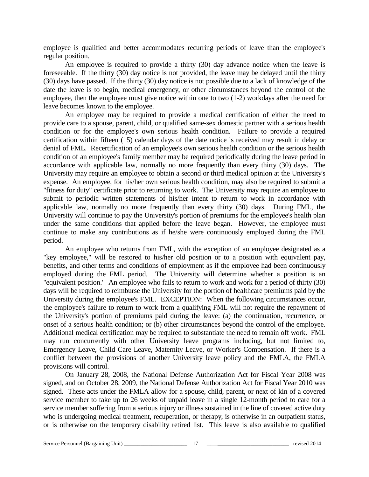employee is qualified and better accommodates recurring periods of leave than the employee's regular position.

An employee is required to provide a thirty (30) day advance notice when the leave is foreseeable. If the thirty (30) day notice is not provided, the leave may be delayed until the thirty (30) days have passed. If the thirty (30) day notice is not possible due to a lack of knowledge of the date the leave is to begin, medical emergency, or other circumstances beyond the control of the employee, then the employee must give notice within one to two (1-2) workdays after the need for leave becomes known to the employee.

An employee may be required to provide a medical certification of either the need to provide care to a spouse, parent, child, or qualified same-sex domestic partner with a serious health condition or for the employee's own serious health condition. Failure to provide a required certification within fifteen (15) calendar days of the date notice is received may result in delay or denial of FML. Recertification of an employee's own serious health condition or the serious health condition of an employee's family member may be required periodically during the leave period in accordance with applicable law, normally no more frequently than every thirty (30) days. The University may require an employee to obtain a second or third medical opinion at the University's expense. An employee, for his/her own serious health condition, may also be required to submit a "fitness for duty" certificate prior to returning to work. The University may require an employee to submit to periodic written statements of his/her intent to return to work in accordance with applicable law, normally no more frequently than every thirty (30) days. During FML, the University will continue to pay the University's portion of premiums for the employee's health plan under the same conditions that applied before the leave began. However, the employee must continue to make any contributions as if he/she were continuously employed during the FML period.

An employee who returns from FML, with the exception of an employee designated as a "key employee," will be restored to his/her old position or to a position with equivalent pay, benefits, and other terms and conditions of employment as if the employee had been continuously employed during the FML period. The University will determine whether a position is an "equivalent position." An employee who fails to return to work and work for a period of thirty (30) days will be required to reimburse the University for the portion of healthcare premiums paid by the University during the employee's FML. EXCEPTION: When the following circumstances occur, the employee's failure to return to work from a qualifying FML will not require the repayment of the University's portion of premiums paid during the leave: (a) the continuation, recurrence, or onset of a serious health condition; or (b) other circumstances beyond the control of the employee. Additional medical certification may be required to substantiate the need to remain off work. FML may run concurrently with other University leave programs including, but not limited to, Emergency Leave, Child Care Leave, Maternity Leave, or Worker's Compensation. If there is a conflict between the provisions of another University leave policy and the FMLA, the FMLA provisions will control.

On January 28, 2008, the National Defense Authorization Act for Fiscal Year 2008 was signed, and on October 28, 2009, the National Defense Authorization Act for Fiscal Year 2010 was signed. These acts under the FMLA allow for a spouse, child, parent, or next of kin of a covered service member to take up to 26 weeks of unpaid leave in a single 12-month period to care for a service member suffering from a serious injury or illness sustained in the line of covered active duty who is undergoing medical treatment, recuperation, or therapy, is otherwise in an outpatient status, or is otherwise on the temporary disability retired list. This leave is also available to qualified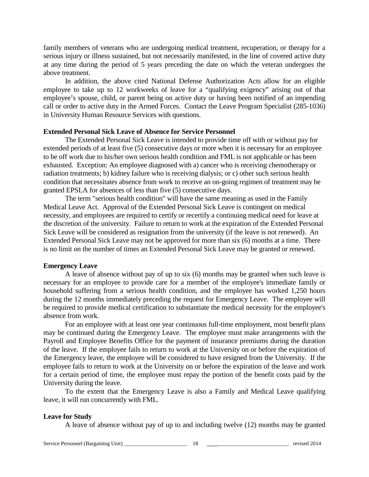family members of veterans who are undergoing medical treatment, recuperation, or therapy for a serious injury or illness sustained, but not necessarily manifested, in the line of covered active duty at any time during the period of 5 years preceding the date on which the veteran undergoes the above treatment.

In addition, the above cited National Defense Authorization Acts allow for an eligible employee to take up to 12 workweeks of leave for a "qualifying exigency" arising out of that employee's spouse, child, or parent being on active duty or having been notified of an impending call or order to active duty in the Armed Forces. Contact the Leave Program Specialist (285-1036) in University Human Resource Services with questions.

### **Extended Personal Sick Leave of Absence for Service Personnel**

The Extended Personal Sick Leave is intended to provide time off with or without pay for extended periods of at least five (5) consecutive days or more when it is necessary for an employee to be off work due to his/her own serious health condition and FML is not applicable or has been exhausted. Exception: An employee diagnosed with a) cancer who is receiving chemotherapy or radiation treatments; b) kidney failure who is receiving dialysis; or c) other such serious health condition that necessitates absence from work to receive an on-going regimen of treatment may be granted EPSLA for absences of less than five (5) consecutive days.

The term "serious health condition" will have the same meaning as used in the Family Medical Leave Act. Approval of the Extended Personal Sick Leave is contingent on medical necessity, and employees are required to certify or recertify a continuing medical need for leave at the discretion of the university. Failure to return to work at the expiration of the Extended Personal Sick Leave will be considered as resignation from the university (if the leave is not renewed). An Extended Personal Sick Leave may not be approved for more than six (6) months at a time. There is no limit on the number of times an Extended Personal Sick Leave may be granted or renewed.

#### **Emergency Leave**

A leave of absence without pay of up to six (6) months may be granted when such leave is necessary for an employee to provide care for a member of the employee's immediate family or household suffering from a serious health condition, and the employee has worked 1,250 hours during the 12 months immediately preceding the request for Emergency Leave. The employee will be required to provide medical certification to substantiate the medical necessity for the employee's absence from work.

For an employee with at least one year continuous full-time employment, most benefit plans may be continued during the Emergency Leave. The employee must make arrangements with the Payroll and Employee Benefits Office for the payment of insurance premiums during the duration of the leave. If the employee fails to return to work at the University on or before the expiration of the Emergency leave, the employee will be considered to have resigned from the University. If the employee fails to return to work at the University on or before the expiration of the leave and work for a certain period of time, the employee must repay the portion of the benefit costs paid by the University during the leave.

To the extent that the Emergency Leave is also a Family and Medical Leave qualifying leave, it will run concurrently with FML.

#### **Leave for Study**

A leave of absence without pay of up to and including twelve (12) months may be granted

Service Personnel (Bargaining Unit) \_\_\_\_\_\_\_\_\_\_\_\_\_\_\_\_\_\_\_\_\_\_\_ 18 \_\_\_\_\_\_\_\_\_\_\_\_\_\_\_\_\_\_\_\_\_\_\_\_\_\_\_\_\_ revised 2014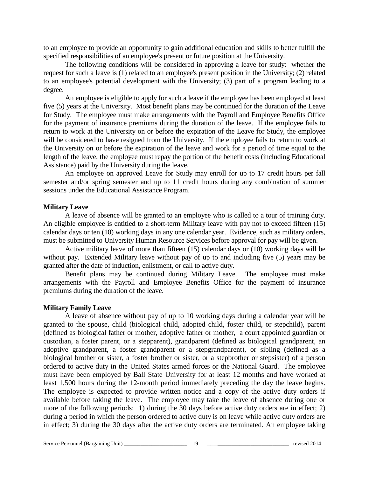to an employee to provide an opportunity to gain additional education and skills to better fulfill the specified responsibilities of an employee's present or future position at the University.

The following conditions will be considered in approving a leave for study: whether the request for such a leave is (1) related to an employee's present position in the University; (2) related to an employee's potential development with the University; (3) part of a program leading to a degree.

An employee is eligible to apply for such a leave if the employee has been employed at least five (5) years at the University. Most benefit plans may be continued for the duration of the Leave for Study. The employee must make arrangements with the Payroll and Employee Benefits Office for the payment of insurance premiums during the duration of the leave. If the employee fails to return to work at the University on or before the expiration of the Leave for Study, the employee will be considered to have resigned from the University. If the employee fails to return to work at the University on or before the expiration of the leave and work for a period of time equal to the length of the leave, the employee must repay the portion of the benefit costs (including Educational Assistance) paid by the University during the leave.

An employee on approved Leave for Study may enroll for up to 17 credit hours per fall semester and/or spring semester and up to 11 credit hours during any combination of summer sessions under the Educational Assistance Program.

### **Military Leave**

A leave of absence will be granted to an employee who is called to a tour of training duty. An eligible employee is entitled to a short-term Military leave with pay not to exceed fifteen (15) calendar days or ten (10) working days in any one calendar year. Evidence, such as military orders, must be submitted to University Human Resource Services before approval for pay will be given.

Active military leave of more than fifteen (15) calendar days or (10) working days will be without pay. Extended Military leave without pay of up to and including five (5) years may be granted after the date of induction, enlistment, or call to active duty.

Benefit plans may be continued during Military Leave. The employee must make arrangements with the Payroll and Employee Benefits Office for the payment of insurance premiums during the duration of the leave.

#### **Military Family Leave**

A leave of absence without pay of up to 10 working days during a calendar year will be granted to the spouse, child (biological child, adopted child, foster child, or stepchild), parent (defined as biological father or mother, adoptive father or mother, a court appointed guardian or custodian, a foster parent, or a stepparent), grandparent (defined as biological grandparent, an adoptive grandparent, a foster grandparent or a stepgrandparent), or sibling (defined as a biological brother or sister, a foster brother or sister, or a stepbrother or stepsister) of a person ordered to active duty in the United States armed forces or the National Guard. The employee must have been employed by Ball State University for at least 12 months and have worked at least 1,500 hours during the 12-month period immediately preceding the day the leave begins. The employee is expected to provide written notice and a copy of the active duty orders if available before taking the leave. The employee may take the leave of absence during one or more of the following periods: 1) during the 30 days before active duty orders are in effect; 2) during a period in which the person ordered to active duty is on leave while active duty orders are in effect; 3) during the 30 days after the active duty orders are terminated. An employee taking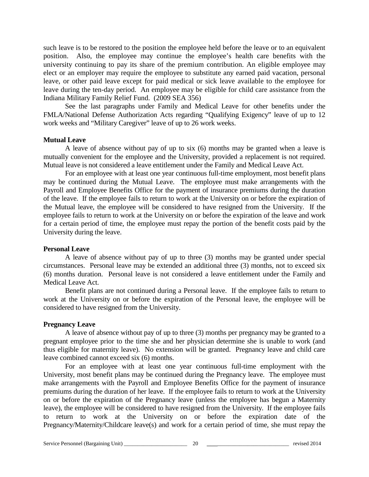such leave is to be restored to the position the employee held before the leave or to an equivalent position. Also, the employee may continue the employee's health care benefits with the university continuing to pay its share of the premium contribution. An eligible employee may elect or an employer may require the employee to substitute any earned paid vacation, personal leave, or other paid leave except for paid medical or sick leave available to the employee for leave during the ten-day period. An employee may be eligible for child care assistance from the Indiana Military Family Relief Fund. (2009 SEA 356)

See the last paragraphs under Family and Medical Leave for other benefits under the FMLA/National Defense Authorization Acts regarding "Qualifying Exigency" leave of up to 12 work weeks and "Military Caregiver" leave of up to 26 work weeks.

#### **Mutual Leave**

A leave of absence without pay of up to six (6) months may be granted when a leave is mutually convenient for the employee and the University, provided a replacement is not required. Mutual leave is not considered a leave entitlement under the Family and Medical Leave Act.

For an employee with at least one year continuous full-time employment, most benefit plans may be continued during the Mutual Leave. The employee must make arrangements with the Payroll and Employee Benefits Office for the payment of insurance premiums during the duration of the leave. If the employee fails to return to work at the University on or before the expiration of the Mutual leave, the employee will be considered to have resigned from the University. If the employee fails to return to work at the University on or before the expiration of the leave and work for a certain period of time, the employee must repay the portion of the benefit costs paid by the University during the leave.

#### **Personal Leave**

A leave of absence without pay of up to three (3) months may be granted under special circumstances. Personal leave may be extended an additional three (3) months, not to exceed six (6) months duration. Personal leave is not considered a leave entitlement under the Family and Medical Leave Act.

Benefit plans are not continued during a Personal leave. If the employee fails to return to work at the University on or before the expiration of the Personal leave, the employee will be considered to have resigned from the University.

#### **Pregnancy Leave**

A leave of absence without pay of up to three (3) months per pregnancy may be granted to a pregnant employee prior to the time she and her physician determine she is unable to work (and thus eligible for maternity leave). No extension will be granted. Pregnancy leave and child care leave combined cannot exceed six (6) months.

For an employee with at least one year continuous full-time employment with the University, most benefit plans may be continued during the Pregnancy leave. The employee must make arrangements with the Payroll and Employee Benefits Office for the payment of insurance premiums during the duration of her leave. If the employee fails to return to work at the University on or before the expiration of the Pregnancy leave (unless the employee has begun a Maternity leave), the employee will be considered to have resigned from the University. If the employee fails to return to work at the University on or before the expiration date of the Pregnancy/Maternity/Childcare leave(s) and work for a certain period of time, she must repay the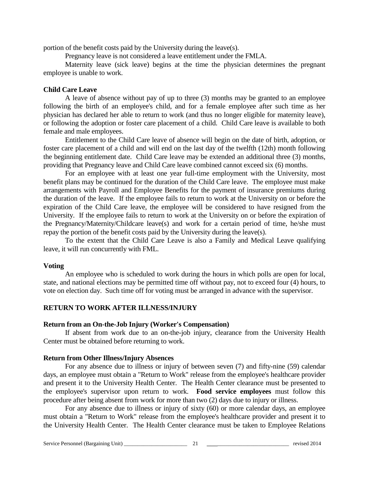portion of the benefit costs paid by the University during the leave(s).

Pregnancy leave is not considered a leave entitlement under the FMLA.

Maternity leave (sick leave) begins at the time the physician determines the pregnant employee is unable to work.

### **Child Care Leave**

A leave of absence without pay of up to three (3) months may be granted to an employee following the birth of an employee's child, and for a female employee after such time as her physician has declared her able to return to work (and thus no longer eligible for maternity leave), or following the adoption or foster care placement of a child. Child Care leave is available to both female and male employees.

Entitlement to the Child Care leave of absence will begin on the date of birth, adoption, or foster care placement of a child and will end on the last day of the twelfth (12th) month following the beginning entitlement date. Child Care leave may be extended an additional three (3) months, providing that Pregnancy leave and Child Care leave combined cannot exceed six (6) months.

For an employee with at least one year full-time employment with the University, most benefit plans may be continued for the duration of the Child Care leave. The employee must make arrangements with Payroll and Employee Benefits for the payment of insurance premiums during the duration of the leave. If the employee fails to return to work at the University on or before the expiration of the Child Care leave, the employee will be considered to have resigned from the University. If the employee fails to return to work at the University on or before the expiration of the Pregnancy/Maternity/Childcare leave(s) and work for a certain period of time, he/she must repay the portion of the benefit costs paid by the University during the leave(s).

To the extent that the Child Care Leave is also a Family and Medical Leave qualifying leave, it will run concurrently with FML.

#### **Voting**

An employee who is scheduled to work during the hours in which polls are open for local, state, and national elections may be permitted time off without pay, not to exceed four (4) hours, to vote on election day. Such time off for voting must be arranged in advance with the supervisor.

# **RETURN TO WORK AFTER ILLNESS/INJURY**

#### **Return from an On-the-Job Injury (Worker's Compensation)**

If absent from work due to an on-the-job injury, clearance from the University Health Center must be obtained before returning to work.

# **Return from Other Illness/Injury Absences**

For any absence due to illness or injury of between seven (7) and fifty-nine (59) calendar days, an employee must obtain a "Return to Work" release from the employee's healthcare provider and present it to the University Health Center. The Health Center clearance must be presented to the employee's supervisor upon return to work. **Food service employees** must follow this procedure after being absent from work for more than two (2) days due to injury or illness.

For any absence due to illness or injury of sixty (60) or more calendar days, an employee must obtain a "Return to Work" release from the employee's healthcare provider and present it to the University Health Center. The Health Center clearance must be taken to Employee Relations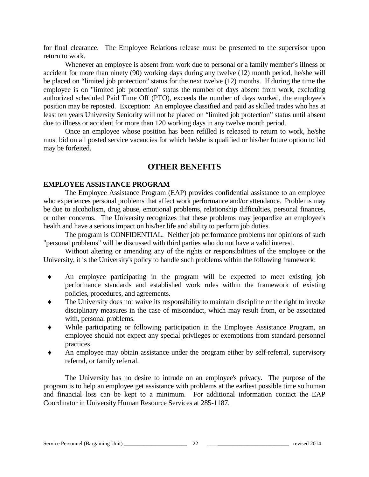for final clearance. The Employee Relations release must be presented to the supervisor upon return to work.

Whenever an employee is absent from work due to personal or a family member's illness or accident for more than ninety (90) working days during any twelve (12) month period, he/she will be placed on "limited job protection" status for the next twelve (12) months. If during the time the employee is on "limited job protection" status the number of days absent from work, excluding authorized scheduled Paid Time Off (PTO), exceeds the number of days worked, the employee's position may be reposted. Exception: An employee classified and paid as skilled trades who has at least ten years University Seniority will not be placed on "limited job protection" status until absent due to illness or accident for more than 120 working days in any twelve month period.

Once an employee whose position has been refilled is released to return to work, he/she must bid on all posted service vacancies for which he/she is qualified or his/her future option to bid may be forfeited.

# **OTHER BENEFITS**

#### **EMPLOYEE ASSISTANCE PROGRAM**

The Employee Assistance Program (EAP) provides confidential assistance to an employee who experiences personal problems that affect work performance and/or attendance. Problems may be due to alcoholism, drug abuse, emotional problems, relationship difficulties, personal finances, or other concerns. The University recognizes that these problems may jeopardize an employee's health and have a serious impact on his/her life and ability to perform job duties.

The program is CONFIDENTIAL. Neither job performance problems nor opinions of such "personal problems" will be discussed with third parties who do not have a valid interest.

Without altering or amending any of the rights or responsibilities of the employee or the University, it is the University's policy to handle such problems within the following framework:

- ♦ An employee participating in the program will be expected to meet existing job performance standards and established work rules within the framework of existing policies, procedures, and agreements.
- The University does not waive its responsibility to maintain discipline or the right to invoke disciplinary measures in the case of misconduct, which may result from, or be associated with, personal problems.
- While participating or following participation in the Employee Assistance Program, an employee should not expect any special privileges or exemptions from standard personnel practices.
- An employee may obtain assistance under the program either by self-referral, supervisory referral, or family referral.

The University has no desire to intrude on an employee's privacy. The purpose of the program is to help an employee get assistance with problems at the earliest possible time so human and financial loss can be kept to a minimum. For additional information contact the EAP Coordinator in University Human Resource Services at 285-1187.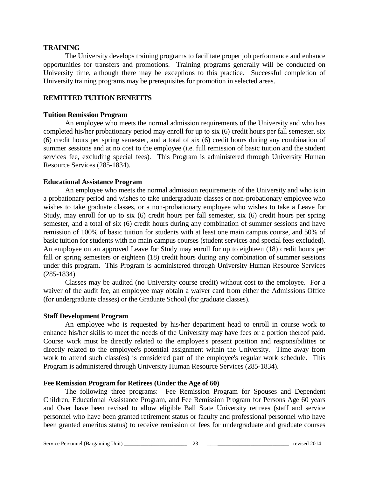#### **TRAINING**

The University develops training programs to facilitate proper job performance and enhance opportunities for transfers and promotions. Training programs generally will be conducted on University time, although there may be exceptions to this practice. Successful completion of University training programs may be prerequisites for promotion in selected areas.

### **REMITTED TUITION BENEFITS**

#### **Tuition Remission Program**

An employee who meets the normal admission requirements of the University and who has completed his/her probationary period may enroll for up to six (6) credit hours per fall semester, six (6) credit hours per spring semester, and a total of six (6) credit hours during any combination of summer sessions and at no cost to the employee (i.e. full remission of basic tuition and the student services fee, excluding special fees). This Program is administered through University Human Resource Services (285-1834).

#### **Educational Assistance Program**

An employee who meets the normal admission requirements of the University and who is in a probationary period and wishes to take undergraduate classes or non-probationary employee who wishes to take graduate classes, or a non-probationary employee who wishes to take a Leave for Study, may enroll for up to six (6) credit hours per fall semester, six (6) credit hours per spring semester, and a total of six (6) credit hours during any combination of summer sessions and have remission of 100% of basic tuition for students with at least one main campus course, and 50% of basic tuition for students with no main campus courses (student services and special fees excluded). An employee on an approved Leave for Study may enroll for up to eighteen (18) credit hours per fall or spring semesters or eighteen (18) credit hours during any combination of summer sessions under this program. This Program is administered through University Human Resource Services (285-1834).

Classes may be audited (no University course credit) without cost to the employee. For a waiver of the audit fee, an employee may obtain a waiver card from either the Admissions Office (for undergraduate classes) or the Graduate School (for graduate classes).

#### **Staff Development Program**

An employee who is requested by his/her department head to enroll in course work to enhance his/her skills to meet the needs of the University may have fees or a portion thereof paid. Course work must be directly related to the employee's present position and responsibilities or directly related to the employee's potential assignment within the University. Time away from work to attend such class(es) is considered part of the employee's regular work schedule. This Program is administered through University Human Resource Services (285-1834).

#### **Fee Remission Program for Retirees (Under the Age of 60)**

The following three programs: Fee Remission Program for Spouses and Dependent Children, Educational Assistance Program, and Fee Remission Program for Persons Age 60 years and Over have been revised to allow eligible Ball State University retirees (staff and service personnel who have been granted retirement status or faculty and professional personnel who have been granted emeritus status) to receive remission of fees for undergraduate and graduate courses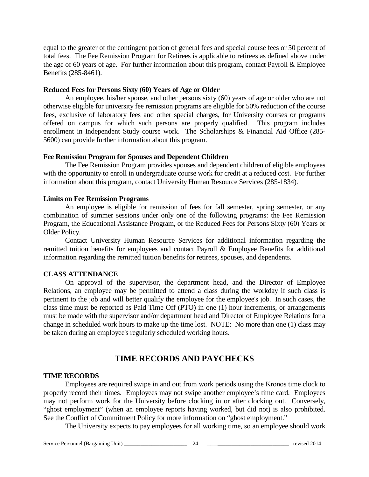equal to the greater of the contingent portion of general fees and special course fees or 50 percent of total fees. The Fee Remission Program for Retirees is applicable to retirees as defined above under the age of 60 years of age. For further information about this program, contact Payroll & Employee Benefits (285-8461).

#### **Reduced Fees for Persons Sixty (60) Years of Age or Older**

An employee, his/her spouse, and other persons sixty (60) years of age or older who are not otherwise eligible for university fee remission programs are eligible for 50% reduction of the course fees, exclusive of laboratory fees and other special charges, for University courses or programs offered on campus for which such persons are properly qualified. This program includes enrollment in Independent Study course work. The Scholarships & Financial Aid Office (285- 5600) can provide further information about this program.

### **Fee Remission Program for Spouses and Dependent Children**

The Fee Remission Program provides spouses and dependent children of eligible employees with the opportunity to enroll in undergraduate course work for credit at a reduced cost. For further information about this program, contact University Human Resource Services (285-1834).

### **Limits on Fee Remission Programs**

An employee is eligible for remission of fees for fall semester, spring semester, or any combination of summer sessions under only one of the following programs: the Fee Remission Program, the Educational Assistance Program, or the Reduced Fees for Persons Sixty (60) Years or Older Policy.

Contact University Human Resource Services for additional information regarding the remitted tuition benefits for employees and contact Payroll & Employee Benefits for additional information regarding the remitted tuition benefits for retirees, spouses, and dependents.

# **CLASS ATTENDANCE**

On approval of the supervisor, the department head, and the Director of Employee Relations, an employee may be permitted to attend a class during the workday if such class is pertinent to the job and will better qualify the employee for the employee's job. In such cases, the class time must be reported as Paid Time Off (PTO) in one (1) hour increments, or arrangements must be made with the supervisor and/or department head and Director of Employee Relations for a change in scheduled work hours to make up the time lost. NOTE: No more than one (1) class may be taken during an employee's regularly scheduled working hours.

# **TIME RECORDS AND PAYCHECKS**

# **TIME RECORDS**

Employees are required swipe in and out from work periods using the Kronos time clock to properly record their times. Employees may not swipe another employee's time card. Employees may not perform work for the University before clocking in or after clocking out. Conversely, "ghost employment" (when an employee reports having worked, but did not) is also prohibited. See the Conflict of Commitment Policy for more information on "ghost employment."

The University expects to pay employees for all working time, so an employee should work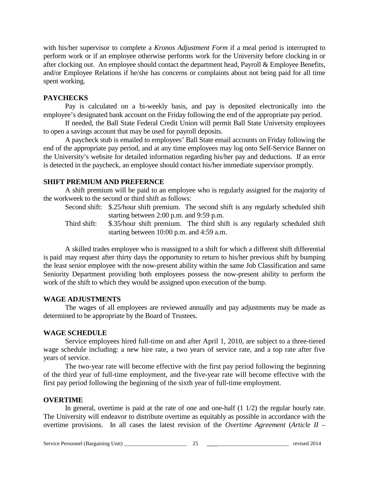with his/her supervisor to complete a *Kronos Adjustment Form* if a meal period is interrupted to perform work or if an employee otherwise performs work for the University before clocking in or after clocking out. An employee should contact the department head, Payroll & Employee Benefits, and/or Employee Relations if he/she has concerns or complaints about not being paid for all time spent working.

### **PAYCHECKS**

Pay is calculated on a bi-weekly basis, and pay is deposited electronically into the employee's designated bank account on the Friday following the end of the appropriate pay period.

If needed, the Ball State Federal Credit Union will permit Ball State University employees to open a savings account that may be used for payroll deposits.

A paycheck stub is emailed to employees' Ball State email accounts on Friday following the end of the appropriate pay period, and at any time employees may log onto Self-Service Banner on the University's website for detailed information regarding his/her pay and deductions. If an error is detected in the paycheck, an employee should contact his/her immediate supervisor promptly.

### **SHIFT PREMIUM AND PREFERNCE**

A shift premium will be paid to an employee who is regularly assigned for the majority of the workweek to the second or third shift as follows:

Second shift: \$.25/hour shift premium. The second shift is any regularly scheduled shift starting between 2:00 p.m. and 9:59 p.m.

Third shift: \$.35/hour shift premium. The third shift is any regularly scheduled shift starting between 10:00 p.m. and 4:59 a.m.

A skilled trades employee who is reassigned to a shift for which a different shift differential is paid may request after thirty days the opportunity to return to his/her previous shift by bumping the least senior employee with the now-present ability within the same Job Classification and same Seniority Department providing both employees possess the now-present ability to perform the work of the shift to which they would be assigned upon execution of the bump.

#### **WAGE ADJUSTMENTS**

The wages of all employees are reviewed annually and pay adjustments may be made as determined to be appropriate by the Board of Trustees.

# **WAGE SCHEDULE**

Service employees hired full-time on and after April 1, 2010, are subject to a three-tiered wage schedule including: a new hire rate, a two years of service rate, and a top rate after five years of service.

The two-year rate will become effective with the first pay period following the beginning of the third year of full-time employment, and the five-year rate will become effective with the first pay period following the beginning of the sixth year of full-time employment.

# **OVERTIME**

In general, overtime is paid at the rate of one and one-half (1 1/2) the regular hourly rate. The University will endeavor to distribute overtime as equitably as possible in accordance with the overtime provisions. In all cases the latest revision of the *Overtime Agreement* (*Article II –*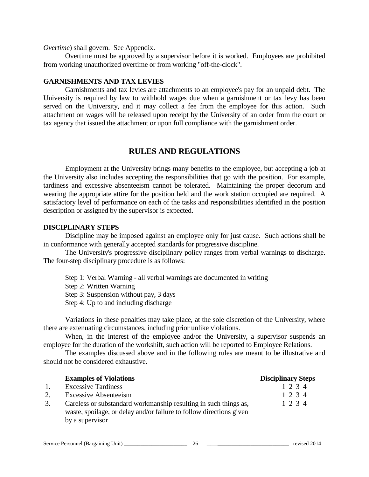#### *Overtime*) shall govern. See Appendix.

Overtime must be approved by a supervisor before it is worked. Employees are prohibited from working unauthorized overtime or from working "off-the-clock".

#### **GARNISHMENTS AND TAX LEVIES**

Garnishments and tax levies are attachments to an employee's pay for an unpaid debt. The University is required by law to withhold wages due when a garnishment or tax levy has been served on the University, and it may collect a fee from the employee for this action. Such attachment on wages will be released upon receipt by the University of an order from the court or tax agency that issued the attachment or upon full compliance with the garnishment order.

# **RULES AND REGULATIONS**

Employment at the University brings many benefits to the employee, but accepting a job at the University also includes accepting the responsibilities that go with the position. For example, tardiness and excessive absenteeism cannot be tolerated. Maintaining the proper decorum and wearing the appropriate attire for the position held and the work station occupied are required. A satisfactory level of performance on each of the tasks and responsibilities identified in the position description or assigned by the supervisor is expected.

#### **DISCIPLINARY STEPS**

Discipline may be imposed against an employee only for just cause. Such actions shall be in conformance with generally accepted standards for progressive discipline.

The University's progressive disciplinary policy ranges from verbal warnings to discharge. The four-step disciplinary procedure is as follows:

- Step 1: Verbal Warning all verbal warnings are documented in writing
- Step 2: Written Warning
- Step 3: Suspension without pay, 3 days
- Step 4: Up to and including discharge

Variations in these penalties may take place, at the sole discretion of the University, where there are extenuating circumstances, including prior unlike violations.

When, in the interest of the employee and/or the University, a supervisor suspends an employee for the duration of the workshift, such action will be reported to Employee Relations.

The examples discussed above and in the following rules are meant to be illustrative and should not be considered exhaustive.

|                  | <b>Examples of Violations</b>                                       | <b>Disciplinary Steps</b> |
|------------------|---------------------------------------------------------------------|---------------------------|
| $\overline{1}$ . | <b>Excessive Tardiness</b>                                          | 1 2 3 4                   |
| 2.               | <b>Excessive Absenteeism</b>                                        | 1 2 3 4                   |
| 3.               | Careless or substandard workmanship resulting in such things as,    | 1 2 3 4                   |
|                  | waste, spoilage, or delay and/or failure to follow directions given |                           |
|                  | by a supervisor                                                     |                           |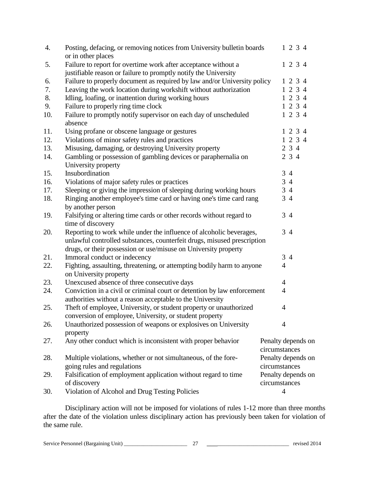| 4.  | Posting, defacing, or removing notices from University bulletin boards<br>or in other places                                         | 1 2 3 4                             |
|-----|--------------------------------------------------------------------------------------------------------------------------------------|-------------------------------------|
| 5.  | Failure to report for overtime work after acceptance without a<br>justifiable reason or failure to promptly notify the University    | 1 2 3 4                             |
| 6.  | Failure to properly document as required by law and/or University policy                                                             | 1 2 3 4                             |
| 7.  | Leaving the work location during workshift without authorization                                                                     | 1 2 3 4                             |
| 8.  | Idling, loafing, or inattention during working hours                                                                                 | 1 2 3 4                             |
| 9.  | Failure to properly ring time clock                                                                                                  | 1 2 3 4                             |
| 10. | Failure to promptly notify supervisor on each day of unscheduled                                                                     | 1 2 3 4                             |
|     | absence                                                                                                                              |                                     |
| 11. | Using profane or obscene language or gestures                                                                                        | 1 2 3 4                             |
| 12. | Violations of minor safety rules and practices                                                                                       | 1 2 3 4                             |
| 13. | Misusing, damaging, or destroying University property                                                                                | 2 3 4                               |
| 14. | Gambling or possession of gambling devices or paraphernalia on                                                                       | 2 3 4                               |
|     | University property                                                                                                                  |                                     |
| 15. | Insubordination                                                                                                                      | 34                                  |
| 16. | Violations of major safety rules or practices                                                                                        | 3<br>$\overline{4}$                 |
| 17. | Sleeping or giving the impression of sleeping during working hours                                                                   | 34                                  |
| 18. | Ringing another employee's time card or having one's time card rang<br>by another person                                             | 34                                  |
| 19. | Falsifying or altering time cards or other records without regard to                                                                 | 34                                  |
|     | time of discovery                                                                                                                    |                                     |
| 20. | Reporting to work while under the influence of alcoholic beverages,                                                                  | 34                                  |
|     | unlawful controlled substances, counterfeit drugs, misused prescription                                                              |                                     |
|     | drugs, or their possession or use/misuse on University property                                                                      |                                     |
| 21. | Immoral conduct or indecency                                                                                                         | 34                                  |
| 22. | Fighting, assaulting, threatening, or attempting bodily harm to anyone<br>on University property                                     | $\overline{4}$                      |
| 23. | Unexcused absence of three consecutive days                                                                                          | $\overline{4}$                      |
| 24. | Conviction in a civil or criminal court or detention by law enforcement<br>authorities without a reason acceptable to the University | $\overline{4}$                      |
| 25. | Theft of employee, University, or student property or unauthorized                                                                   | $\overline{4}$                      |
|     | conversion of employee, University, or student property                                                                              |                                     |
| 26. | Unauthorized possession of weapons or explosives on University                                                                       | 4                                   |
|     | property                                                                                                                             |                                     |
| 27. | Any other conduct which is inconsistent with proper behavior                                                                         | Penalty depends on<br>circumstances |
| 28. | Multiple violations, whether or not simultaneous, of the fore-                                                                       | Penalty depends on                  |
|     | going rules and regulations                                                                                                          | circumstances                       |
| 29. | Falsification of employment application without regard to time                                                                       | Penalty depends on                  |
|     | of discovery                                                                                                                         | circumstances                       |
| 30. | Violation of Alcohol and Drug Testing Policies                                                                                       | $\overline{4}$                      |
|     |                                                                                                                                      |                                     |

Disciplinary action will not be imposed for violations of rules 1-12 more than three months after the date of the violation unless disciplinary action has previously been taken for violation of the same rule.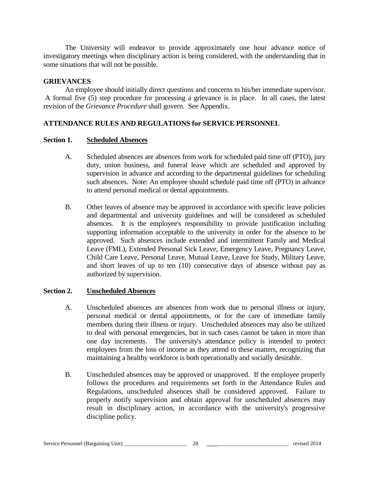The University will endeavor to provide approximately one hour advance notice of investigatory meetings when disciplinary action is being considered, with the understanding that in some situations that will not be possible.

### **GRIEVANCES**

An employee should initially direct questions and concerns to his/her immediate supervisor. A formal five (5) step procedure for processing a grievance is in place. In all cases, the latest revision of the *Grievance Procedure* shall govern. See Appendix.

### **ATTENDANCE RULES AND REGULATIONS for SERVICE PERSONNEL**

#### **Section 1. Scheduled Absences**

- A. Scheduled absences are absences from work for scheduled paid time off (PTO), jury duty, union business, and funeral leave which are scheduled and approved by supervision in advance and according to the departmental guidelines for scheduling such absences. Note: An employee should schedule paid time off (PTO) in advance to attend personal medical or dental appointments.
- B. Other leaves of absence may be approved in accordance with specific leave policies and departmental and university guidelines and will be considered as scheduled absences. It is the employee's responsibility to provide justification including supporting information acceptable to the university in order for the absence to be approved. Such absences include extended and intermittent Family and Medical Leave (FML), Extended Personal Sick Leave, Emergency Leave, Pregnancy Leave, Child Care Leave, Personal Leave, Mutual Leave, Leave for Study, Military Leave, and short leaves of up to ten (10) consecutive days of absence without pay as authorized by supervision.

### **Section 2. Unscheduled Absences**

- A. Unscheduled absences are absences from work due to personal illness or injury, personal medical or dental appointments, or for the care of immediate family members during their illness or injury. Unscheduled absences may also be utilized to deal with personal emergencies, but in such cases cannot be taken in more than one day increments. The university's attendance policy is intended to protect employees from the loss of income as they attend to these matters, recognizing that maintaining a healthy workforce is both operationally and socially desirable.
- B. Unscheduled absences may be approved or unapproved. If the employee properly follows the procedures and requirements set forth in the Attendance Rules and Regulations, unscheduled absences shall be considered approved. Failure to properly notify supervision and obtain approval for unscheduled absences may result in disciplinary action, in accordance with the university's progressive discipline policy.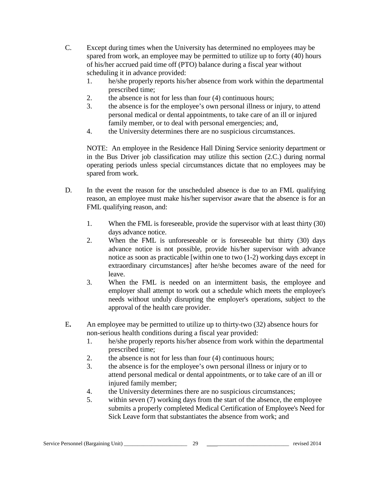- C. Except during times when the University has determined no employees may be spared from work, an employee may be permitted to utilize up to forty (40) hours of his/her accrued paid time off (PTO) balance during a fiscal year without scheduling it in advance provided:
	- 1. he/she properly reports his/her absence from work within the departmental prescribed time;
	- 2. the absence is not for less than four (4) continuous hours;
	- 3. the absence is for the employee's own personal illness or injury, to attend personal medical or dental appointments, to take care of an ill or injured family member, or to deal with personal emergencies; and,
	- 4. the University determines there are no suspicious circumstances.

NOTE: An employee in the Residence Hall Dining Service seniority department or in the Bus Driver job classification may utilize this section (2.C.) during normal operating periods unless special circumstances dictate that no employees may be spared from work.

- D. In the event the reason for the unscheduled absence is due to an FML qualifying reason, an employee must make his/her supervisor aware that the absence is for an FML qualifying reason, and:
	- 1. When the FML is foreseeable, provide the supervisor with at least thirty (30) days advance notice.
	- 2. When the FML is unforeseeable or is foreseeable but thirty (30) days advance notice is not possible, provide his/her supervisor with advance notice as soon as practicable [within one to two (1-2) working days except in extraordinary circumstances] after he/she becomes aware of the need for leave.
	- 3. When the FML is needed on an intermittent basis, the employee and employer shall attempt to work out a schedule which meets the employee's needs without unduly disrupting the employer's operations, subject to the approval of the health care provider.
- E**.** An employee may be permitted to utilize up to thirty-two (32) absence hours for non-serious health conditions during a fiscal year provided:
	- 1. he/she properly reports his/her absence from work within the departmental prescribed time;
	- 2. the absence is not for less than four (4) continuous hours;
	- 3. the absence is for the employee's own personal illness or injury or to attend personal medical or dental appointments, or to take care of an ill or injured family member;
	- 4. the University determines there are no suspicious circumstances;
	- 5. within seven (7) working days from the start of the absence, the employee submits a properly completed Medical Certification of Employee's Need for Sick Leave form that substantiates the absence from work; and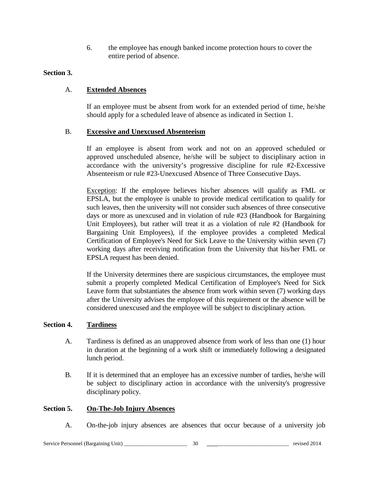6. the employee has enough banked income protection hours to cover the entire period of absence.

### **Section 3.**

### A. **Extended Absences**

If an employee must be absent from work for an extended period of time, he/she should apply for a scheduled leave of absence as indicated in Section 1.

#### B. **Excessive and Unexcused Absenteeism**

If an employee is absent from work and not on an approved scheduled or approved unscheduled absence, he/she will be subject to disciplinary action in accordance with the university's progressive discipline for rule #2-Excessive Absenteeism or rule #23-Unexcused Absence of Three Consecutive Days.

Exception: If the employee believes his/her absences will qualify as FML or EPSLA, but the employee is unable to provide medical certification to qualify for such leaves, then the university will not consider such absences of three consecutive days or more as unexcused and in violation of rule #23 (Handbook for Bargaining Unit Employees), but rather will treat it as a violation of rule #2 (Handbook for Bargaining Unit Employees), if the employee provides a completed Medical Certification of Employee's Need for Sick Leave to the University within seven (7) working days after receiving notification from the University that his/her FML or EPSLA request has been denied.

If the University determines there are suspicious circumstances, the employee must submit a properly completed Medical Certification of Employee's Need for Sick Leave form that substantiates the absence from work within seven (7) working days after the University advises the employee of this requirement or the absence will be considered unexcused and the employee will be subject to disciplinary action.

#### **Section 4. Tardiness**

- A. Tardiness is defined as an unapproved absence from work of less than one (1) hour in duration at the beginning of a work shift or immediately following a designated lunch period.
- B. If it is determined that an employee has an excessive number of tardies, he/she will be subject to disciplinary action in accordance with the university's progressive disciplinary policy.

#### **Section 5. On-The-Job Injury Absences**

A. On-the-job injury absences are absences that occur because of a university job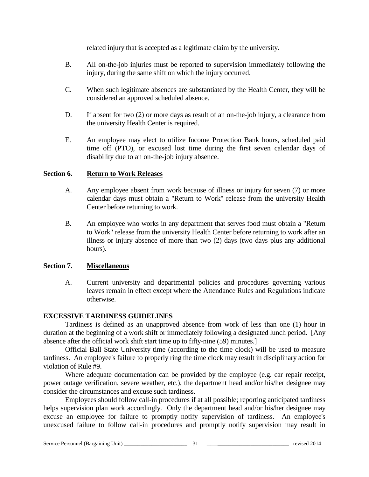related injury that is accepted as a legitimate claim by the university.

- B. All on-the-job injuries must be reported to supervision immediately following the injury, during the same shift on which the injury occurred.
- C. When such legitimate absences are substantiated by the Health Center, they will be considered an approved scheduled absence.
- D. If absent for two (2) or more days as result of an on-the-job injury, a clearance from the university Health Center is required.
- E. An employee may elect to utilize Income Protection Bank hours, scheduled paid time off (PTO), or excused lost time during the first seven calendar days of disability due to an on-the-job injury absence.

### **Section 6. Return to Work Releases**

- A. Any employee absent from work because of illness or injury for seven (7) or more calendar days must obtain a "Return to Work" release from the university Health Center before returning to work.
- B. An employee who works in any department that serves food must obtain a "Return to Work" release from the university Health Center before returning to work after an illness or injury absence of more than two (2) days (two days plus any additional hours).

#### **Section 7. Miscellaneous**

A. Current university and departmental policies and procedures governing various leaves remain in effect except where the Attendance Rules and Regulations indicate otherwise.

# **EXCESSIVE TARDINESS GUIDELINES**

Tardiness is defined as an unapproved absence from work of less than one (1) hour in duration at the beginning of a work shift or immediately following a designated lunch period. [Any absence after the official work shift start time up to fifty-nine (59) minutes.]

Official Ball State University time (according to the time clock) will be used to measure tardiness. An employee's failure to properly ring the time clock may result in disciplinary action for violation of Rule #9.

Where adequate documentation can be provided by the employee (e.g. car repair receipt, power outage verification, severe weather, etc.), the department head and/or his/her designee may consider the circumstances and excuse such tardiness.

Employees should follow call-in procedures if at all possible; reporting anticipated tardiness helps supervision plan work accordingly. Only the department head and/or his/her designee may excuse an employee for failure to promptly notify supervision of tardiness. An employee's unexcused failure to follow call-in procedures and promptly notify supervision may result in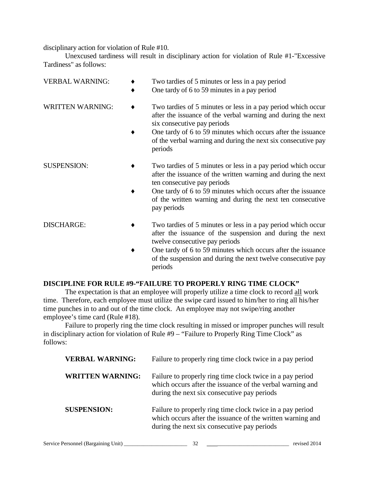disciplinary action for violation of Rule #10.

Unexcused tardiness will result in disciplinary action for violation of Rule #1-"Excessive Tardiness" as follows:

| <b>VERBAL WARNING:</b>  | Two tardies of 5 minutes or less in a pay period<br>One tardy of 6 to 59 minutes in a pay period                                                             |
|-------------------------|--------------------------------------------------------------------------------------------------------------------------------------------------------------|
| <b>WRITTEN WARNING:</b> | Two tardies of 5 minutes or less in a pay period which occur<br>after the issuance of the verbal warning and during the next<br>six consecutive pay periods  |
|                         | One tardy of 6 to 59 minutes which occurs after the issuance<br>of the verbal warning and during the next six consecutive pay<br>periods                     |
| <b>SUSPENSION:</b>      | Two tardies of 5 minutes or less in a pay period which occur<br>after the issuance of the written warning and during the next<br>ten consecutive pay periods |
|                         | One tardy of 6 to 59 minutes which occurs after the issuance<br>of the written warning and during the next ten consecutive<br>pay periods                    |
| <b>DISCHARGE:</b>       | Two tardies of 5 minutes or less in a pay period which occur<br>after the issuance of the suspension and during the next<br>twelve consecutive pay periods   |
|                         | One tardy of 6 to 59 minutes which occurs after the issuance<br>of the suspension and during the next twelve consecutive pay                                 |

# **DISCIPLINE FOR RULE #9-"FAILURE TO PROPERLY RING TIME CLOCK"**

periods

The expectation is that an employee will properly utilize a time clock to record all work time. Therefore, each employee must utilize the swipe card issued to him/her to ring all his/her time punches in to and out of the time clock. An employee may not swipe/ring another employee's time card (Rule #18).

Failure to properly ring the time clock resulting in missed or improper punches will result in disciplinary action for violation of Rule #9 – "Failure to Properly Ring Time Clock" as follows:

| <b>VERBAL WARNING:</b>  | Failure to properly ring time clock twice in a pay period                                                                                                              |
|-------------------------|------------------------------------------------------------------------------------------------------------------------------------------------------------------------|
| <b>WRITTEN WARNING:</b> | Failure to properly ring time clock twice in a pay period<br>which occurs after the issuance of the verbal warning and<br>during the next six consecutive pay periods  |
| <b>SUSPENSION:</b>      | Failure to properly ring time clock twice in a pay period<br>which occurs after the issuance of the written warning and<br>during the next six consecutive pay periods |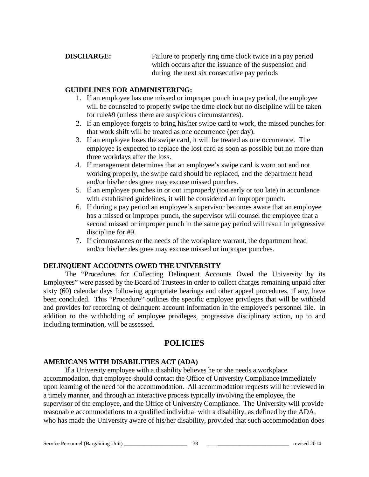**DISCHARGE:** Failure to properly ring time clock twice in a pay period which occurs after the issuance of the suspension and during the next six consecutive pay periods

#### **GUIDELINES FOR ADMINISTERING:**

- 1. If an employee has one missed or improper punch in a pay period, the employee will be counseled to properly swipe the time clock but no discipline will be taken for rule#9 (unless there are suspicious circumstances).
- 2. If an employee forgets to bring his/her swipe card to work, the missed punches for that work shift will be treated as one occurrence (per day).
- 3. If an employee loses the swipe card, it will be treated as one occurrence. The employee is expected to replace the lost card as soon as possible but no more than three workdays after the loss.
- 4. If management determines that an employee's swipe card is worn out and not working properly, the swipe card should be replaced, and the department head and/or his/her designee may excuse missed punches.
- 5. If an employee punches in or out improperly (too early or too late) in accordance with established guidelines, it will be considered an improper punch.
- 6. If during a pay period an employee's supervisor becomes aware that an employee has a missed or improper punch, the supervisor will counsel the employee that a second missed or improper punch in the same pay period will result in progressive discipline for #9.
- 7. If circumstances or the needs of the workplace warrant, the department head and/or his/her designee may excuse missed or improper punches.

## **DELINQUENT ACCOUNTS OWED THE UNIVERSITY**

The "Procedures for Collecting Delinquent Accounts Owed the University by its Employees" were passed by the Board of Trustees in order to collect charges remaining unpaid after sixty (60) calendar days following appropriate hearings and other appeal procedures, if any, have been concluded. This "Procedure" outlines the specific employee privileges that will be withheld and provides for recording of delinquent account information in the employee's personnel file. In addition to the withholding of employee privileges, progressive disciplinary action, up to and including termination, will be assessed.

# **POLICIES**

## **AMERICANS WITH DISABILITIES ACT (ADA)**

If a University employee with a disability believes he or she needs a workplace accommodation, that employee should contact the Office of University Compliance immediately upon learning of the need for the accommodation. All accommodation requests will be reviewed in a timely manner, and through an interactive process typically involving the employee, the supervisor of the employee, and the Office of University Compliance. The University will provide reasonable accommodations to a qualified individual with a disability, as defined by the ADA, who has made the University aware of his/her disability, provided that such accommodation does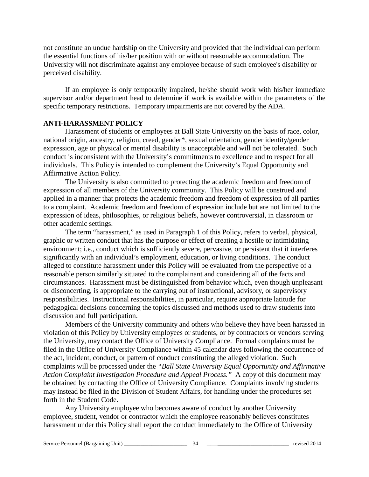not constitute an undue hardship on the University and provided that the individual can perform the essential functions of his/her position with or without reasonable accommodation. The University will not discriminate against any employee because of such employee's disability or perceived disability.

If an employee is only temporarily impaired, he/she should work with his/her immediate supervisor and/or department head to determine if work is available within the parameters of the specific temporary restrictions. Temporary impairments are not covered by the ADA.

#### **ANTI-HARASSMENT POLICY**

Harassment of students or employees at Ball State University on the basis of race, color, national origin, ancestry, religion, creed, gender\*, sexual orientation, gender identity/gender expression, age or physical or mental disability is unacceptable and will not be tolerated. Such conduct is inconsistent with the University's commitments to excellence and to respect for all individuals. This Policy is intended to complement the University's Equal Opportunity and Affirmative Action Policy.

The University is also committed to protecting the academic freedom and freedom of expression of all members of the University community. This Policy will be construed and applied in a manner that protects the academic freedom and freedom of expression of all parties to a complaint. Academic freedom and freedom of expression include but are not limited to the expression of ideas, philosophies, or religious beliefs, however controversial, in classroom or other academic settings.

The term "harassment," as used in Paragraph 1 of this Policy, refers to verbal, physical, graphic or written conduct that has the purpose or effect of creating a hostile or intimidating environment; i.e., conduct which is sufficiently severe, pervasive, or persistent that it interferes significantly with an individual's employment, education, or living conditions. The conduct alleged to constitute harassment under this Policy will be evaluated from the perspective of a reasonable person similarly situated to the complainant and considering all of the facts and circumstances. Harassment must be distinguished from behavior which, even though unpleasant or disconcerting, is appropriate to the carrying out of instructional, advisory, or supervisory responsibilities. Instructional responsibilities, in particular, require appropriate latitude for pedagogical decisions concerning the topics discussed and methods used to draw students into discussion and full participation.

Members of the University community and others who believe they have been harassed in violation of this Policy by University employees or students, or by contractors or vendors serving the University, may contact the Office of University Compliance. Formal complaints must be filed in the Office of University Compliance within 45 calendar days following the occurrence of the act, incident, conduct, or pattern of conduct constituting the alleged violation. Such complaints will be processed under the *"Ball State University Equal Opportunity and Affirmative Action Complaint Investigation Procedure and Appeal Process."* A copy of this document may be obtained by contacting the Office of University Compliance. Complaints involving students may instead be filed in the Division of Student Affairs, for handling under the procedures set forth in the Student Code.

Any University employee who becomes aware of conduct by another University employee, student, vendor or contractor which the employee reasonably believes constitutes harassment under this Policy shall report the conduct immediately to the Office of University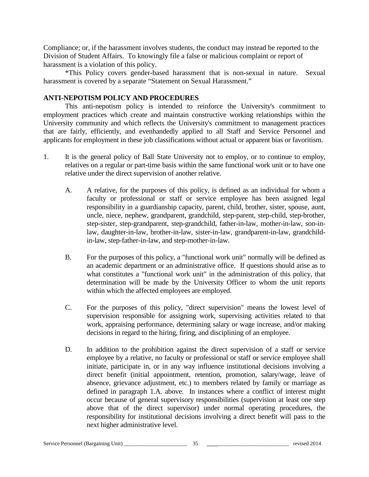Compliance; or, if the harassment involves students, the conduct may instead be reported to the Division of Student Affairs. To knowingly file a false or malicious complaint or report of harassment is a violation of this policy.

\*This Policy covers gender-based harassment that is non-sexual in nature. Sexual harassment is covered by a separate "Statement on Sexual Harassment."

#### **ANTI-NEPOTISM POLICY AND PROCEDURES**

This anti-nepotism policy is intended to reinforce the University's commitment to employment practices which create and maintain constructive working relationships within the University community and which reflects the University's commitment to management practices that are fairly, efficiently, and evenhandedly applied to all Staff and Service Personnel and applicants for employment in these job classifications without actual or apparent bias or favoritism.

- 1. It is the general policy of Ball State University not to employ, or to continue to employ, relatives on a regular or part-time basis within the same functional work unit or to have one relative under the direct supervision of another relative.
	- A. A relative, for the purposes of this policy, is defined as an individual for whom a faculty or professional or staff or service employee has been assigned legal responsibility in a guardianship capacity, parent, child, brother, sister, spouse, aunt, uncle, niece, nephew, grandparent, grandchild, step-parent, step-child, step-brother, step-sister, step-grandparent, step-grandchild, father-in-law, mother-in-law, son-inlaw, daughter-in-law, brother-in-law, sister-in-law, grandparent-in-law, grandchildin-law, step-father-in-law, and step-mother-in-law.
	- B. For the purposes of this policy, a "functional work unit" normally will be defined as an academic department or an administrative office. If questions should arise as to what constitutes a "functional work unit" in the administration of this policy, that determination will be made by the University Officer to whom the unit reports within which the affected employees are employed.
	- C. For the purposes of this policy, "direct supervision" means the lowest level of supervision responsible for assigning work, supervising activities related to that work, appraising performance, determining salary or wage increase, and/or making decisions in regard to the hiring, firing, and disciplining of an employee.
	- D. In addition to the prohibition against the direct supervision of a staff or service employee by a relative, no faculty or professional or staff or service employee shall initiate, participate in, or in any way influence institutional decisions involving a direct benefit (initial appointment, retention, promotion, salary/wage, leave of absence, grievance adjustment, etc.) to members related by family or marriage as defined in paragraph 1.A. above. In instances where a conflict of interest might occur because of general supervisory responsibilities (supervision at least one step above that of the direct supervisor) under normal operating procedures, the responsibility for institutional decisions involving a direct benefit will pass to the next higher administrative level.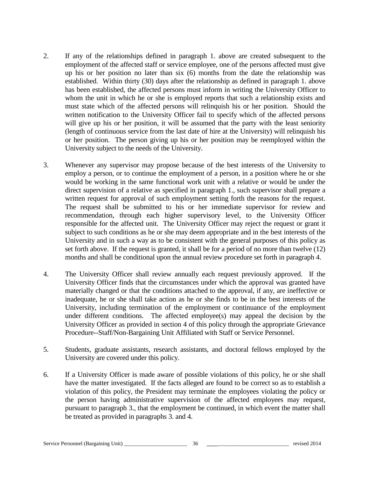- 2. If any of the relationships defined in paragraph 1. above are created subsequent to the employment of the affected staff or service employee, one of the persons affected must give up his or her position no later than six (6) months from the date the relationship was established. Within thirty (30) days after the relationship as defined in paragraph 1. above has been established, the affected persons must inform in writing the University Officer to whom the unit in which he or she is employed reports that such a relationship exists and must state which of the affected persons will relinquish his or her position. Should the written notification to the University Officer fail to specify which of the affected persons will give up his or her position, it will be assumed that the party with the least seniority (length of continuous service from the last date of hire at the University) will relinquish his or her position. The person giving up his or her position may be reemployed within the University subject to the needs of the University.
- 3. Whenever any supervisor may propose because of the best interests of the University to employ a person, or to continue the employment of a person, in a position where he or she would be working in the same functional work unit with a relative or would be under the direct supervision of a relative as specified in paragraph 1., such supervisor shall prepare a written request for approval of such employment setting forth the reasons for the request. The request shall be submitted to his or her immediate supervisor for review and recommendation, through each higher supervisory level, to the University Officer responsible for the affected unit. The University Officer may reject the request or grant it subject to such conditions as he or she may deem appropriate and in the best interests of the University and in such a way as to be consistent with the general purposes of this policy as set forth above. If the request is granted, it shall be for a period of no more than twelve (12) months and shall be conditional upon the annual review procedure set forth in paragraph 4.
- 4. The University Officer shall review annually each request previously approved. If the University Officer finds that the circumstances under which the approval was granted have materially changed or that the conditions attached to the approval, if any, are ineffective or inadequate, he or she shall take action as he or she finds to be in the best interests of the University, including termination of the employment or continuance of the employment under different conditions. The affected employee(s) may appeal the decision by the University Officer as provided in section 4 of this policy through the appropriate Grievance Procedure--Staff/Non-Bargaining Unit Affiliated with Staff or Service Personnel.
- 5. Students, graduate assistants, research assistants, and doctoral fellows employed by the University are covered under this policy.
- 6. If a University Officer is made aware of possible violations of this policy, he or she shall have the matter investigated. If the facts alleged are found to be correct so as to establish a violation of this policy, the President may terminate the employees violating the policy or the person having administrative supervision of the affected employees may request, pursuant to paragraph 3., that the employment be continued, in which event the matter shall be treated as provided in paragraphs 3. and 4.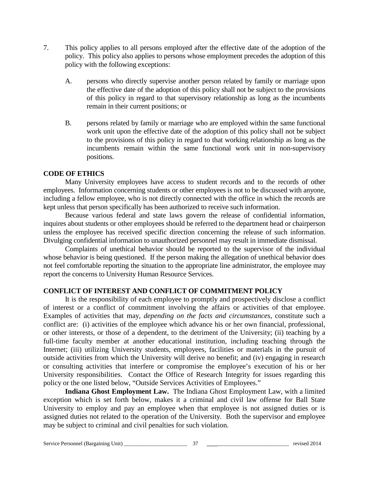- 7. This policy applies to all persons employed after the effective date of the adoption of the policy. This policy also applies to persons whose employment precedes the adoption of this policy with the following exceptions:
	- A. persons who directly supervise another person related by family or marriage upon the effective date of the adoption of this policy shall not be subject to the provisions of this policy in regard to that supervisory relationship as long as the incumbents remain in their current positions; or
	- B. persons related by family or marriage who are employed within the same functional work unit upon the effective date of the adoption of this policy shall not be subject to the provisions of this policy in regard to that working relationship as long as the incumbents remain within the same functional work unit in non-supervisory positions.

#### **CODE OF ETHICS**

Many University employees have access to student records and to the records of other employees. Information concerning students or other employees is not to be discussed with anyone, including a fellow employee, who is not directly connected with the office in which the records are kept unless that person specifically has been authorized to receive such information.

Because various federal and state laws govern the release of confidential information, inquires about students or other employees should be referred to the department head or chairperson unless the employee has received specific direction concerning the release of such information. Divulging confidential information to unauthorized personnel may result in immediate dismissal.

Complaints of unethical behavior should be reported to the supervisor of the individual whose behavior is being questioned. If the person making the allegation of unethical behavior does not feel comfortable reporting the situation to the appropriate line administrator, the employee may report the concerns to University Human Resource Services.

#### **CONFLICT OF INTEREST AND CONFLICT OF COMMITMENT POLICY**

It is the responsibility of each employee to promptly and prospectively disclose a conflict of interest or a conflict of commitment involving the affairs or activities of that employee. Examples of activities that may, *depending on the facts and circumstances,* constitute such a conflict are: (i) activities of the employee which advance his or her own financial, professional, or other interests, or those of a dependent, to the detriment of the University; (ii) teaching by a full-time faculty member at another educational institution, including teaching through the Internet; (iii) utilizing University students, employees, facilities or materials in the pursuit of outside activities from which the University will derive no benefit; and (iv) engaging in research or consulting activities that interfere or compromise the employee's execution of his or her University responsibilities. Contact the Office of Research Integrity for issues regarding this policy or the one listed below, "Outside Services Activities of Employees."

**Indiana Ghost Employment Law.** The Indiana Ghost Employment Law, with a limited exception which is set forth below, makes it a criminal and civil law offense for Ball State University to employ and pay an employee when that employee is not assigned duties or is assigned duties not related to the operation of the University. Both the supervisor and employee may be subject to criminal and civil penalties for such violation.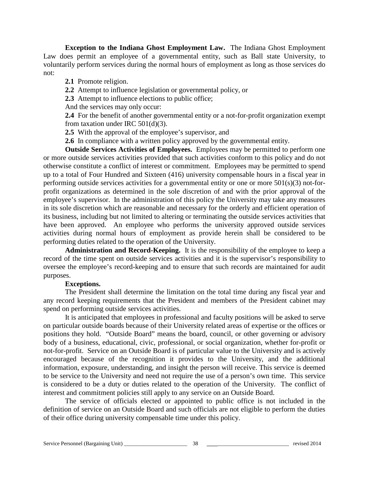**Exception to the Indiana Ghost Employment Law.** The Indiana Ghost Employment Law does permit an employee of a governmental entity, such as Ball state University, to voluntarily perform services during the normal hours of employment as long as those services do not:

**2.1** Promote religion.

**2.2** Attempt to influence legislation or governmental policy, or

**2.3** Attempt to influence elections to public office;

And the services may only occur:

**2.4** For the benefit of another governmental entity or a not-for-profit organization exempt from taxation under IRC 501(d)(3).

**2.5** With the approval of the employee's supervisor, and

**2.6** In compliance with a written policy approved by the governmental entity.

**Outside Services Activities of Employees.** Employees may be permitted to perform one or more outside services activities provided that such activities conform to this policy and do not otherwise constitute a conflict of interest or commitment. Employees may be permitted to spend up to a total of Four Hundred and Sixteen (416) university compensable hours in a fiscal year in performing outside services activities for a governmental entity or one or more 501(s)(3) not-forprofit organizations as determined in the sole discretion of and with the prior approval of the employee's supervisor. In the administration of this policy the University may take any measures in its sole discretion which are reasonable and necessary for the orderly and efficient operation of its business, including but not limited to altering or terminating the outside services activities that have been approved. An employee who performs the university approved outside services activities during normal hours of employment as provide herein shall be considered to be performing duties related to the operation of the University.

**Administration and Record-Keeping.** It is the responsibility of the employee to keep a record of the time spent on outside services activities and it is the supervisor's responsibility to oversee the employee's record-keeping and to ensure that such records are maintained for audit purposes.

#### **Exceptions.**

The President shall determine the limitation on the total time during any fiscal year and any record keeping requirements that the President and members of the President cabinet may spend on performing outside services activities.

It is anticipated that employees in professional and faculty positions will be asked to serve on particular outside boards because of their University related areas of expertise or the offices or positions they hold. "Outside Board" means the board, council, or other governing or advisory body of a business, educational, civic, professional, or social organization, whether for-profit or not-for-profit. Service on an Outside Board is of particular value to the University and is actively encouraged because of the recognition it provides to the University, and the additional information, exposure, understanding, and insight the person will receive. This service is deemed to be service to the University and need not require the use of a person's own time. This service is considered to be a duty or duties related to the operation of the University. The conflict of interest and commitment policies still apply to any service on an Outside Board.

The service of officials elected or appointed to public office is not included in the definition of service on an Outside Board and such officials are not eligible to perform the duties of their office during university compensable time under this policy.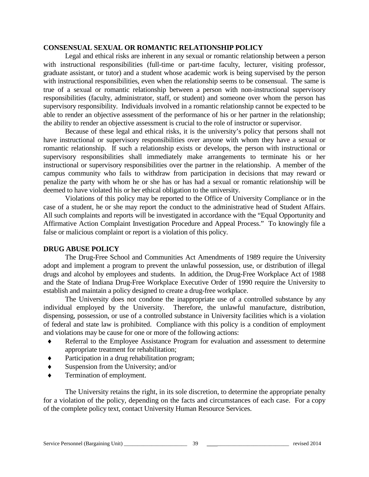#### **CONSENSUAL SEXUAL OR ROMANTIC RELATIONSHIP POLICY**

Legal and ethical risks are inherent in any sexual or romantic relationship between a person with instructional responsibilities (full-time or part-time faculty, lecturer, visiting professor, graduate assistant, or tutor) and a student whose academic work is being supervised by the person with instructional responsibilities, even when the relationship seems to be consensual. The same is true of a sexual or romantic relationship between a person with non-instructional supervisory responsibilities (faculty, administrator, staff, or student) and someone over whom the person has supervisory responsibility. Individuals involved in a romantic relationship cannot be expected to be able to render an objective assessment of the performance of his or her partner in the relationship; the ability to render an objective assessment is crucial to the role of instructor or supervisor.

Because of these legal and ethical risks, it is the university's policy that persons shall not have instructional or supervisory responsibilities over anyone with whom they have a sexual or romantic relationship. If such a relationship exists or develops, the person with instructional or supervisory responsibilities shall immediately make arrangements to terminate his or her instructional or supervisory responsibilities over the partner in the relationship. A member of the campus community who fails to withdraw from participation in decisions that may reward or penalize the party with whom he or she has or has had a sexual or romantic relationship will be deemed to have violated his or her ethical obligation to the university.

Violations of this policy may be reported to the Office of University Compliance or in the case of a student, he or she may report the conduct to the administrative head of Student Affairs. All such complaints and reports will be investigated in accordance with the "Equal Opportunity and Affirmative Action Complaint Investigation Procedure and Appeal Process." To knowingly file a false or malicious complaint or report is a violation of this policy.

## **DRUG ABUSE POLICY**

The Drug-Free School and Communities Act Amendments of 1989 require the University adopt and implement a program to prevent the unlawful possession, use, or distribution of illegal drugs and alcohol by employees and students. In addition, the Drug-Free Workplace Act of 1988 and the State of Indiana Drug-Free Workplace Executive Order of 1990 require the University to establish and maintain a policy designed to create a drug-free workplace.

The University does not condone the inappropriate use of a controlled substance by any individual employed by the University. Therefore, the unlawful manufacture, distribution, dispensing, possession, or use of a controlled substance in University facilities which is a violation of federal and state law is prohibited. Compliance with this policy is a condition of employment and violations may be cause for one or more of the following actions:

- ♦ Referral to the Employee Assistance Program for evaluation and assessment to determine appropriate treatment for rehabilitation;
- Participation in a drug rehabilitation program;
- Suspension from the University; and/or
- Termination of employment.

The University retains the right, in its sole discretion, to determine the appropriate penalty for a violation of the policy, depending on the facts and circumstances of each case. For a copy of the complete policy text, contact University Human Resource Services.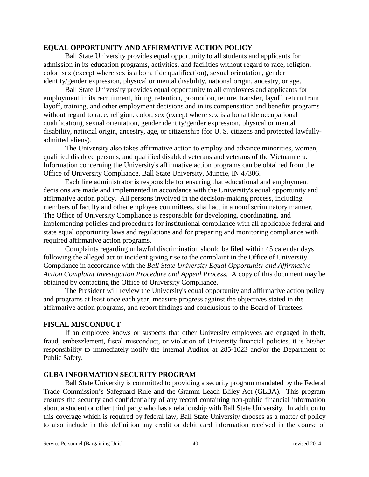#### **EQUAL OPPORTUNITY AND AFFIRMATIVE ACTION POLICY**

Ball State University provides equal opportunity to all students and applicants for admission in its education programs, activities, and facilities without regard to race, religion, color, sex (except where sex is a bona fide qualification), sexual orientation, gender identity/gender expression, physical or mental disability, national origin, ancestry, or age.

Ball State University provides equal opportunity to all employees and applicants for employment in its recruitment, hiring, retention, promotion, tenure, transfer, layoff, return from layoff, training, and other employment decisions and in its compensation and benefits programs without regard to race, religion, color, sex (except where sex is a bona fide occupational qualification), sexual orientation, gender identity/gender expression, physical or mental disability, national origin, ancestry, age, or citizenship (for U. S. citizens and protected lawfullyadmitted aliens).

The University also takes affirmative action to employ and advance minorities, women, qualified disabled persons, and qualified disabled veterans and veterans of the Vietnam era. Information concerning the University's affirmative action programs can be obtained from the Office of University Compliance, Ball State University, Muncie, IN 47306.

Each line administrator is responsible for ensuring that educational and employment decisions are made and implemented in accordance with the University's equal opportunity and affirmative action policy. All persons involved in the decision-making process, including members of faculty and other employee committees, shall act in a nondiscriminatory manner. The Office of University Compliance is responsible for developing, coordinating, and implementing policies and procedures for institutional compliance with all applicable federal and state equal opportunity laws and regulations and for preparing and monitoring compliance with required affirmative action programs.

Complaints regarding unlawful discrimination should be filed within 45 calendar days following the alleged act or incident giving rise to the complaint in the Office of University Compliance in accordance with the *Ball State University Equal Opportunity and Affirmative Action Complaint Investigation Procedure and Appeal Process.* A copy of this document may be obtained by contacting the Office of University Compliance.

The President will review the University's equal opportunity and affirmative action policy and programs at least once each year, measure progress against the objectives stated in the affirmative action programs, and report findings and conclusions to the Board of Trustees.

#### **FISCAL MISCONDUCT**

If an employee knows or suspects that other University employees are engaged in theft, fraud, embezzlement, fiscal misconduct, or violation of University financial policies, it is his/her responsibility to immediately notify the Internal Auditor at 285-1023 and/or the Department of Public Safety.

#### **GLBA INFORMATION SECURITY PROGRAM**

Ball State University is committed to providing a security program mandated by the Federal Trade Commission's Safeguard Rule and the Gramm Leach Bliley Act (GLBA). This program ensures the security and confidentiality of any record containing non-public financial information about a student or other third party who has a relationship with Ball State University. In addition to this coverage which is required by federal law, Ball State University chooses as a matter of policy to also include in this definition any credit or debit card information received in the course of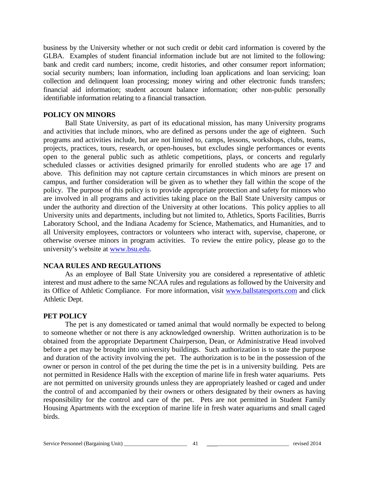business by the University whether or not such credit or debit card information is covered by the GLBA. Examples of student financial information include but are not limited to the following: bank and credit card numbers; income, credit histories, and other consumer report information; social security numbers; loan information, including loan applications and loan servicing; loan collection and delinquent loan processing; money wiring and other electronic funds transfers; financial aid information; student account balance information; other non-public personally identifiable information relating to a financial transaction.

#### **POLICY ON MINORS**

Ball State University, as part of its educational mission, has many University programs and activities that include minors, who are defined as persons under the age of eighteen. Such programs and activities include, but are not limited to, camps, lessons, workshops, clubs, teams, projects, practices, tours, research, or open-houses, but excludes single performances or events open to the general public such as athletic competitions, plays, or concerts and regularly scheduled classes or activities designed primarily for enrolled students who are age 17 and above. This definition may not capture certain circumstances in which minors are present on campus, and further consideration will be given as to whether they fall within the scope of the policy. The purpose of this policy is to provide appropriate protection and safety for minors who are involved in all programs and activities taking place on the Ball State University campus or under the authority and direction of the University at other locations. This policy applies to all University units and departments, including but not limited to, Athletics, Sports Facilities, Burris Laboratory School, and the Indiana Academy for Science, Mathematics, and Humanities, and to all University employees, contractors or volunteers who interact with, supervise, chaperone, or otherwise oversee minors in program activities. To review the entire policy, please go to the university's website at [www.bsu.edu.](http://www.bsu.edu/)

#### **NCAA RULES AND REGULATIONS**

As an employee of Ball State University you are considered a representative of athletic interest and must adhere to the same NCAA rules and regulations as followed by the University and its Office of Athletic Compliance. For more information, visit [www.ballstatesports.com](http://www.ballstatesports.com/) and click Athletic Dept.

#### **PET POLICY**

The pet is any domesticated or tamed animal that would normally be expected to belong to someone whether or not there is any acknowledged ownership. Written authorization is to be obtained from the appropriate Department Chairperson, Dean, or Administrative Head involved before a pet may be brought into university buildings. Such authorization is to state the purpose and duration of the activity involving the pet. The authorization is to be in the possession of the owner or person in control of the pet during the time the pet is in a university building. Pets are not permitted in Residence Halls with the exception of marine life in fresh water aquariums. Pets are not permitted on university grounds unless they are appropriately leashed or caged and under the control of and accompanied by their owners or others designated by their owners as having responsibility for the control and care of the pet. Pets are not permitted in Student Family Housing Apartments with the exception of marine life in fresh water aquariums and small caged birds.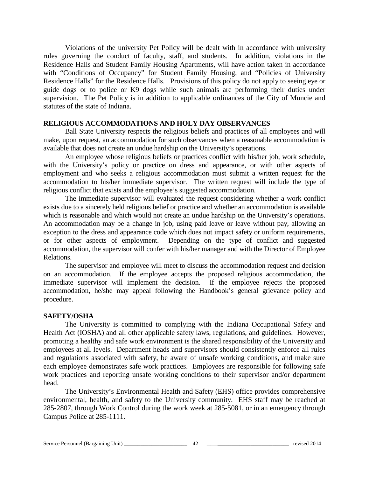Violations of the university Pet Policy will be dealt with in accordance with university rules governing the conduct of faculty, staff, and students. In addition, violations in the Residence Halls and Student Family Housing Apartments, will have action taken in accordance with "Conditions of Occupancy" for Student Family Housing, and "Policies of University Residence Halls" for the Residence Halls. Provisions of this policy do not apply to seeing eye or guide dogs or to police or K9 dogs while such animals are performing their duties under supervision. The Pet Policy is in addition to applicable ordinances of the City of Muncie and statutes of the state of Indiana.

#### **RELIGIOUS ACCOMMODATIONS AND HOLY DAY OBSERVANCES**

Ball State University respects the religious beliefs and practices of all employees and will make, upon request, an accommodation for such observances when a reasonable accommodation is available that does not create an undue hardship on the University's operations.

An employee whose religious beliefs or practices conflict with his/her job, work schedule, with the University's policy or practice on dress and appearance, or with other aspects of employment and who seeks a religious accommodation must submit a written request for the accommodation to his/her immediate supervisor. The written request will include the type of religious conflict that exists and the employee's suggested accommodation.

The immediate supervisor will evaluated the request considering whether a work conflict exists due to a sincerely held religious belief or practice and whether an accommodation is available which is reasonable and which would not create an undue hardship on the University's operations. An accommodation may be a change in job, using paid leave or leave without pay, allowing an exception to the dress and appearance code which does not impact safety or uniform requirements, or for other aspects of employment. Depending on the type of conflict and suggested accommodation, the supervisor will confer with his/her manager and with the Director of Employee Relations.

The supervisor and employee will meet to discuss the accommodation request and decision on an accommodation. If the employee accepts the proposed religious accommodation, the immediate supervisor will implement the decision. If the employee rejects the proposed accommodation, he/she may appeal following the Handbook's general grievance policy and procedure.

#### **SAFETY/OSHA**

The University is committed to complying with the Indiana Occupational Safety and Health Act (IOSHA) and all other applicable safety laws, regulations, and guidelines. However, promoting a healthy and safe work environment is the shared responsibility of the University and employees at all levels. Department heads and supervisors should consistently enforce all rules and regulations associated with safety, be aware of unsafe working conditions, and make sure each employee demonstrates safe work practices. Employees are responsible for following safe work practices and reporting unsafe working conditions to their supervisor and/or department head.

The University's Environmental Health and Safety (EHS) office provides comprehensive environmental, health, and safety to the University community. EHS staff may be reached at 285-2807, through Work Control during the work week at 285-5081, or in an emergency through Campus Police at 285-1111.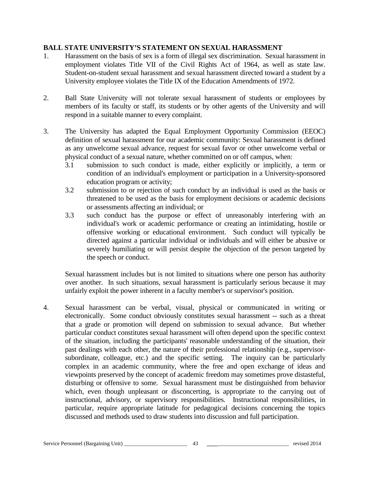## **BALL STATE UNIVERSITY'S STATEMENT ON SEXUAL HARASSMENT**

- 1. Harassment on the basis of sex is a form of illegal sex discrimination. Sexual harassment in employment violates Title VII of the Civil Rights Act of 1964, as well as state law. Student-on-student sexual harassment and sexual harassment directed toward a student by a University employee violates the Title IX of the Education Amendments of 1972.
- 2. Ball State University will not tolerate sexual harassment of students or employees by members of its faculty or staff, its students or by other agents of the University and will respond in a suitable manner to every complaint.
- 3. The University has adapted the Equal Employment Opportunity Commission (EEOC) definition of sexual harassment for our academic community: Sexual harassment is defined as any unwelcome sexual advance, request for sexual favor or other unwelcome verbal or physical conduct of a sexual nature, whether committed on or off campus, when:
	- 3.1 submission to such conduct is made, either explicitly or implicitly, a term or condition of an individual's employment or participation in a University-sponsored education program or activity;
	- 3.2 submission to or rejection of such conduct by an individual is used as the basis or threatened to be used as the basis for employment decisions or academic decisions or assessments affecting an individual; or
	- 3.3 such conduct has the purpose or effect of unreasonably interfering with an individual's work or academic performance or creating an intimidating, hostile or offensive working or educational environment. Such conduct will typically be directed against a particular individual or individuals and will either be abusive or severely humiliating or will persist despite the objection of the person targeted by the speech or conduct.

Sexual harassment includes but is not limited to situations where one person has authority over another. In such situations, sexual harassment is particularly serious because it may unfairly exploit the power inherent in a faculty member's or supervisor's position.

4. Sexual harassment can be verbal, visual, physical or communicated in writing or electronically. Some conduct obviously constitutes sexual harassment -- such as a threat that a grade or promotion will depend on submission to sexual advance. But whether particular conduct constitutes sexual harassment will often depend upon the specific context of the situation, including the participants' reasonable understanding of the situation, their past dealings with each other, the nature of their professional relationship (e.g., supervisorsubordinate, colleague, etc.) and the specific setting. The inquiry can be particularly complex in an academic community, where the free and open exchange of ideas and viewpoints preserved by the concept of academic freedom may sometimes prove distasteful, disturbing or offensive to some. Sexual harassment must be distinguished from behavior which, even though unpleasant or disconcerting, is appropriate to the carrying out of instructional, advisory, or supervisory responsibilities. Instructional responsibilities, in particular, require appropriate latitude for pedagogical decisions concerning the topics discussed and methods used to draw students into discussion and full participation.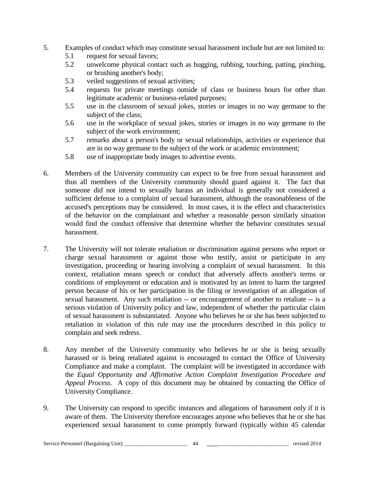- 5. Examples of conduct which may constitute sexual harassment include but are not limited to:
	- 5.1 request for sexual favors;
	- 5.2 unwelcome physical contact such as hugging, rubbing, touching, patting, pinching, or brushing another's body;
	- 5.3 veiled suggestions of sexual activities;
	- 5.4 requests for private meetings outside of class or business hours for other than legitimate academic or business-related purposes;
	- 5.5 use in the classroom of sexual jokes, stories or images in no way germane to the subject of the class;
	- 5.6 use in the workplace of sexual jokes, stories or images in no way germane to the subject of the work environment;
	- 5.7 remarks about a person's body or sexual relationships, activities or experience that are in no way germane to the subject of the work or academic environment;
	- 5.8 use of inappropriate body images to advertise events.
- 6. Members of the University community can expect to be free from sexual harassment and thus all members of the University community should guard against it. The fact that someone did not intend to sexually harass an individual is generally not considered a sufficient defense to a complaint of sexual harassment, although the reasonableness of the accused's perceptions may be considered. In most cases, it is the effect and characteristics of the behavior on the complainant and whether a reasonable person similarly situation would find the conduct offensive that determine whether the behavior constitutes sexual harassment.
- 7. The University will not tolerate retaliation or discrimination against persons who report or charge sexual harassment or against those who testify, assist or participate in any investigation, proceeding or hearing involving a complaint of sexual harassment. In this context, retaliation means speech or conduct that adversely affects another's terms or conditions of employment or education and is motivated by an intent to harm the targeted person because of his or her participation in the filing or investigation of an allegation of sexual harassment. Any such retaliation -- or encouragement of another to retaliate -- is a serious violation of University policy and law, independent of whether the particular claim of sexual harassment is substantiated. Anyone who believes he or she has been subjected to retaliation in violation of this rule may use the procedures described in this policy to complain and seek redress.
- 8. Any member of the University community who believes he or she is being sexually harassed or is being retaliated against is encouraged to contact the Office of University Compliance and make a complaint. The complaint will be investigated in accordance with the *Equal Opportunity and Affirmative Action Complaint Investigation Procedure and Appeal Process*. A copy of this document may be obtained by contacting the Office of University Compliance.
- 9. The University can respond to specific instances and allegations of harassment only if it is aware of them. The University therefore encourages anyone who believes that he or she has experienced sexual harassment to come promptly forward (typically within 45 calendar

#### Service Personnel (Bargaining Unit) \_\_\_\_\_\_\_\_\_\_\_\_\_\_\_\_\_\_\_\_\_\_\_ 44 \_\_\_\_\_\_\_\_\_\_\_\_\_\_\_\_\_\_\_\_\_\_\_\_\_\_\_\_\_ revised 2014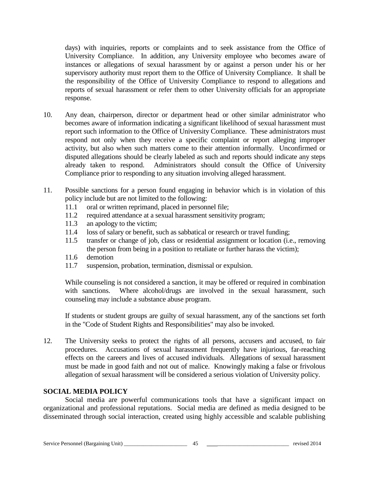days) with inquiries, reports or complaints and to seek assistance from the Office of University Compliance. In addition, any University employee who becomes aware of instances or allegations of sexual harassment by or against a person under his or her supervisory authority must report them to the Office of University Compliance. It shall be the responsibility of the Office of University Compliance to respond to allegations and reports of sexual harassment or refer them to other University officials for an appropriate response.

- 10. Any dean, chairperson, director or department head or other similar administrator who becomes aware of information indicating a significant likelihood of sexual harassment must report such information to the Office of University Compliance. These administrators must respond not only when they receive a specific complaint or report alleging improper activity, but also when such matters come to their attention informally. Unconfirmed or disputed allegations should be clearly labeled as such and reports should indicate any steps already taken to respond. Administrators should consult the Office of University Compliance prior to responding to any situation involving alleged harassment.
- 11. Possible sanctions for a person found engaging in behavior which is in violation of this policy include but are not limited to the following:
	- 11.1 oral or written reprimand, placed in personnel file;
	- 11.2 required attendance at a sexual harassment sensitivity program;
	- 11.3 an apology to the victim;
	- 11.4 loss of salary or benefit, such as sabbatical or research or travel funding;
	- 11.5 transfer or change of job, class or residential assignment or location (i.e., removing the person from being in a position to retaliate or further harass the victim);
	- 11.6 demotion
	- 11.7 suspension, probation, termination, dismissal or expulsion.

While counseling is not considered a sanction, it may be offered or required in combination with sanctions. Where alcohol/drugs are involved in the sexual harassment, such counseling may include a substance abuse program.

If students or student groups are guilty of sexual harassment, any of the sanctions set forth in the "Code of Student Rights and Responsibilities" may also be invoked.

12. The University seeks to protect the rights of all persons, accusers and accused, to fair procedures. Accusations of sexual harassment frequently have injurious, far-reaching effects on the careers and lives of accused individuals. Allegations of sexual harassment must be made in good faith and not out of malice. Knowingly making a false or frivolous allegation of sexual harassment will be considered a serious violation of University policy.

## **SOCIAL MEDIA POLICY**

Social media are powerful communications tools that have a significant impact on organizational and professional reputations. Social media are defined as media designed to be disseminated through social interaction, created using highly accessible and scalable publishing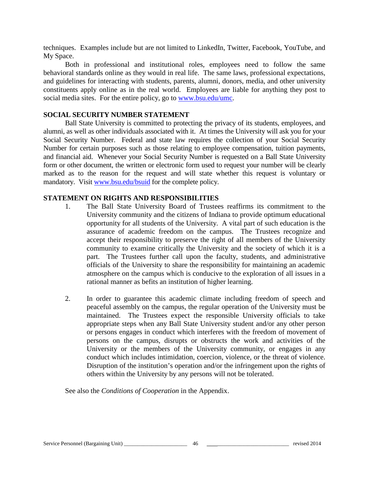techniques. Examples include but are not limited to LinkedIn, Twitter, Facebook, YouTube, and My Space.

Both in professional and institutional roles, employees need to follow the same behavioral standards online as they would in real life. The same laws, professional expectations, and guidelines for interacting with students, parents, alumni, donors, media, and other university constituents apply online as in the real world. Employees are liable for anything they post to social media sites. For the entire policy, go to [www.bsu.edu/umc.](http://www.bsu.edu/umc)

#### **SOCIAL SECURITY NUMBER STATEMENT**

Ball State University is committed to protecting the privacy of its students, employees, and alumni, as well as other individuals associated with it. At times the University will ask you for your Social Security Number. Federal and state law requires the collection of your Social Security Number for certain purposes such as those relating to employee compensation, tuition payments, and financial aid. Whenever your Social Security Number is requested on a Ball State University form or other document, the written or electronic form used to request your number will be clearly marked as to the reason for the request and will state whether this request is voluntary or mandatory. Visit [www.bsu.edu/bsuid](http://www.bsu.edu/bsuid) for the complete policy.

#### **STATEMENT ON RIGHTS AND RESPONSIBILITIES**

- 1. The Ball State University Board of Trustees reaffirms its commitment to the University community and the citizens of Indiana to provide optimum educational opportunity for all students of the University. A vital part of such education is the assurance of academic freedom on the campus. The Trustees recognize and accept their responsibility to preserve the right of all members of the University community to examine critically the University and the society of which it is a part. The Trustees further call upon the faculty, students, and administrative officials of the University to share the responsibility for maintaining an academic atmosphere on the campus which is conducive to the exploration of all issues in a rational manner as befits an institution of higher learning.
- 2. In order to guarantee this academic climate including freedom of speech and peaceful assembly on the campus, the regular operation of the University must be maintained. The Trustees expect the responsible University officials to take appropriate steps when any Ball State University student and/or any other person or persons engages in conduct which interferes with the freedom of movement of persons on the campus, disrupts or obstructs the work and activities of the University or the members of the University community, or engages in any conduct which includes intimidation, coercion, violence, or the threat of violence. Disruption of the institution's operation and/or the infringement upon the rights of others within the University by any persons will not be tolerated.

See also the *Conditions of Cooperation* in the Appendix.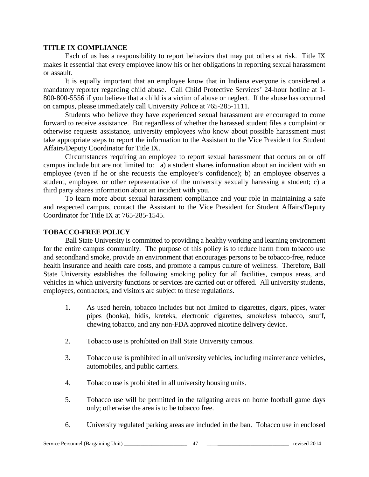#### **TITLE IX COMPLIANCE**

Each of us has a responsibility to report behaviors that may put others at risk. Title IX makes it essential that every employee know his or her obligations in reporting sexual harassment or assault.

It is equally important that an employee know that in Indiana everyone is considered a mandatory reporter regarding child abuse. Call Child Protective Services' 24-hour hotline at 1- 800-800-5556 if you believe that a child is a victim of abuse or neglect. If the abuse has occurred on campus, please immediately call University Police at 765-285-1111.

Students who believe they have experienced sexual harassment are encouraged to come forward to receive assistance. But regardless of whether the harassed student files a complaint or otherwise requests assistance, university employees who know about possible harassment must take appropriate steps to report the information to the Assistant to the Vice President for Student Affairs/Deputy Coordinator for Title IX.

Circumstances requiring an employee to report sexual harassment that occurs on or off campus include but are not limited to: a) a student shares information about an incident with an employee (even if he or she requests the employee's confidence); b) an employee observes a student, employee, or other representative of the university sexually harassing a student; c) a third party shares information about an incident with you.

To learn more about sexual harassment compliance and your role in maintaining a safe and respected campus, contact the Assistant to the Vice President for Student Affairs/Deputy Coordinator for Title IX at 765-285-1545.

## **TOBACCO-FREE POLICY**

Ball State University is committed to providing a healthy working and learning environment for the entire campus community. The purpose of this policy is to reduce harm from tobacco use and secondhand smoke, provide an environment that encourages persons to be tobacco-free, reduce health insurance and health care costs, and promote a campus culture of wellness. Therefore, Ball State University establishes the following smoking policy for all facilities, campus areas, and vehicles in which university functions or services are carried out or offered. All university students, employees, contractors, and visitors are subject to these regulations.

- 1. As used herein, tobacco includes but not limited to cigarettes, cigars, pipes, water pipes (hooka), bidis, kreteks, electronic cigarettes, smokeless tobacco, snuff, chewing tobacco, and any non-FDA approved nicotine delivery device.
- 2. Tobacco use is prohibited on Ball State University campus.
- 3. Tobacco use is prohibited in all university vehicles, including maintenance vehicles, automobiles, and public carriers.
- 4. Tobacco use is prohibited in all university housing units.
- 5. Tobacco use will be permitted in the tailgating areas on home football game days only; otherwise the area is to be tobacco free.
- 6. University regulated parking areas are included in the ban. Tobacco use in enclosed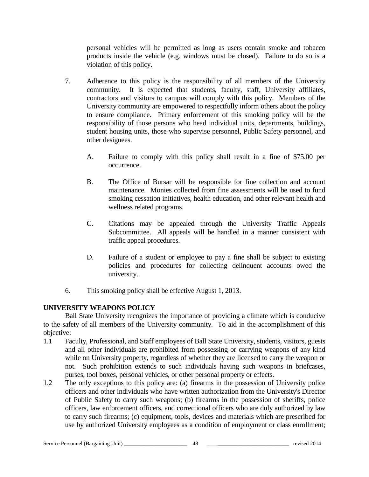personal vehicles will be permitted as long as users contain smoke and tobacco products inside the vehicle (e.g. windows must be closed). Failure to do so is a violation of this policy.

- 7. Adherence to this policy is the responsibility of all members of the University community. It is expected that students, faculty, staff, University affiliates, contractors and visitors to campus will comply with this policy. Members of the University community are empowered to respectfully inform others about the policy to ensure compliance. Primary enforcement of this smoking policy will be the responsibility of those persons who head individual units, departments, buildings, student housing units, those who supervise personnel, Public Safety personnel, and other designees.
	- A. Failure to comply with this policy shall result in a fine of \$75.00 per occurrence.
	- B. The Office of Bursar will be responsible for fine collection and account maintenance. Monies collected from fine assessments will be used to fund smoking cessation initiatives, health education, and other relevant health and wellness related programs.
	- C. Citations may be appealed through the University Traffic Appeals Subcommittee. All appeals will be handled in a manner consistent with traffic appeal procedures.
	- D. Failure of a student or employee to pay a fine shall be subject to existing policies and procedures for collecting delinquent accounts owed the university.
- 6. This smoking policy shall be effective August 1, 2013.

# **UNIVERSITY WEAPONS POLICY**

Ball State University recognizes the importance of providing a climate which is conducive to the safety of all members of the University community. To aid in the accomplishment of this objective:

- 1.1 Faculty, Professional, and Staff employees of Ball State University, students, visitors, guests and all other individuals are prohibited from possessing or carrying weapons of any kind while on University property, regardless of whether they are licensed to carry the weapon or not. Such prohibition extends to such individuals having such weapons in briefcases, purses, tool boxes, personal vehicles, or other personal property or effects.
- 1.2 The only exceptions to this policy are: (a) firearms in the possession of University police officers and other individuals who have written authorization from the University's Director of Public Safety to carry such weapons; (b) firearms in the possession of sheriffs, police officers, law enforcement officers, and correctional officers who are duly authorized by law to carry such firearms; (c) equipment, tools, devices and materials which are prescribed for use by authorized University employees as a condition of employment or class enrollment;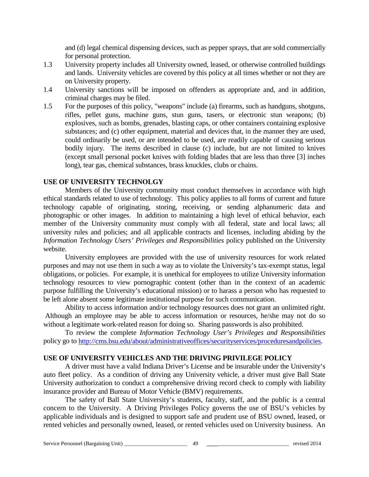and (d) legal chemical dispensing devices, such as pepper sprays, that are sold commercially for personal protection.

- 1.3 University property includes all University owned, leased, or otherwise controlled buildings and lands. University vehicles are covered by this policy at all times whether or not they are on University property.
- 1.4 University sanctions will be imposed on offenders as appropriate and, and in addition, criminal charges may be filed.
- 1.5 For the purposes of this policy, "weapons" include (a) firearms, such as handguns, shotguns, rifles, pellet guns, machine guns, stun guns, tasers, or electronic stun weapons; (b) explosives, such as bombs, grenades, blasting caps, or other containers containing explosive substances; and (c) other equipment, material and devices that, in the manner they are used, could ordinarily be used, or are intended to be used, are readily capable of causing serious bodily injury. The items described in clause (c) include, but are not limited to knives (except small personal pocket knives with folding blades that are less than three [3] inches long), tear gas, chemical substances, brass knuckles, clubs or chains.

## **USE OF UNIVERSITY TECHNOLGY**

Members of the University community must conduct themselves in accordance with high ethical standards related to use of technology. This policy applies to all forms of current and future technology capable of originating, storing, receiving, or sending alphanumeric data and photographic or other images. In addition to maintaining a high level of ethical behavior, each member of the University community must comply with all federal, state and local laws; all university rules and policies; and all applicable contracts and licenses, including abiding by the *Information Technology Users' Privileges and Responsibilities* policy published on the University website.

University employees are provided with the use of university resources for work related purposes and may not use them in such a way as to violate the University's tax-exempt status, legal obligations, or policies. For example, it is unethical for employees to utilize University information technology resources to view pornographic content (other than in the context of an academic purpose fulfilling the University's educational mission) or to harass a person who has requested to be left alone absent some legitimate institutional purpose for such communication.

Ability to access information and/or technology resources does not grant an unlimited right. Although an employee may be able to access information or resources, he/she may not do so without a legitimate work-related reason for doing so. Sharing passwords is also prohibited.

To review the complete *Information Technology User's Privileges and Responsibilities* policy go to [http://cms.bsu.edu/about/administrativeoffices/securityservices/proceduresandpolicies.](http://cms.bsu.edu/about/administrativeoffices/securityservices/proceduresandpolicies)

#### **USE OF UNIVERSITY VEHICLES AND THE DRIVING PRIVILEGE POLICY**

A driver must have a valid Indiana Driver's License and be insurable under the University's auto fleet policy. As a condition of driving any University vehicle, a driver must give Ball State University authorization to conduct a comprehensive driving record check to comply with liability insurance provider and Bureau of Motor Vehicle (BMV) requirements.

The safety of Ball State University's students, faculty, staff, and the public is a central concern to the University. A Driving Privileges Policy governs the use of BSU's vehicles by applicable individuals and is designed to support safe and prudent use of BSU owned, leased, or rented vehicles and personally owned, leased, or rented vehicles used on University business. An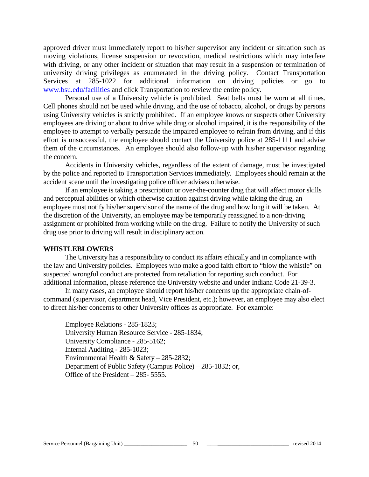approved driver must immediately report to his/her supervisor any incident or situation such as moving violations, license suspension or revocation, medical restrictions which may interfere with driving, or any other incident or situation that may result in a suspension or termination of university driving privileges as enumerated in the driving policy. Contact Transportation Services at 285-1022 for additional information on driving policies or go to [www.bsu.edu/facilities](http://www.bsu.edu/facilities) and click Transportation to review the entire policy.

Personal use of a University vehicle is prohibited. Seat belts must be worn at all times. Cell phones should not be used while driving, and the use of tobacco, alcohol, or drugs by persons using University vehicles is strictly prohibited. If an employee knows or suspects other University employees are driving or about to drive while drug or alcohol impaired, it is the responsibility of the employee to attempt to verbally persuade the impaired employee to refrain from driving, and if this effort is unsuccessful, the employee should contact the University police at 285-1111 and advise them of the circumstances. An employee should also follow-up with his/her supervisor regarding the concern.

Accidents in University vehicles, regardless of the extent of damage, must be investigated by the police and reported to Transportation Services immediately. Employees should remain at the accident scene until the investigating police officer advises otherwise.

If an employee is taking a prescription or over-the-counter drug that will affect motor skills and perceptual abilities or which otherwise caution against driving while taking the drug, an employee must notify his/her supervisor of the name of the drug and how long it will be taken. At the discretion of the University, an employee may be temporarily reassigned to a non-driving assignment or prohibited from working while on the drug. Failure to notify the University of such drug use prior to driving will result in disciplinary action.

#### **WHISTLEBLOWERS**

The University has a responsibility to conduct its affairs ethically and in compliance with the law and University policies. Employees who make a good faith effort to "blow the whistle" on suspected wrongful conduct are protected from retaliation for reporting such conduct. For additional information, please reference the University website and under Indiana Code 21-39-3.

In many cases, an employee should report his/her concerns up the appropriate chain-ofcommand (supervisor, department head, Vice President, etc.); however, an employee may also elect to direct his/her concerns to other University offices as appropriate. For example:

Employee Relations - 285-1823; University Human Resource Service - 285-1834; University Compliance - 285-5162; Internal Auditing - 285-1023; Environmental Health & Safety – 285-2832; Department of Public Safety (Campus Police) – 285-1832; or, Office of the President – 285- 5555.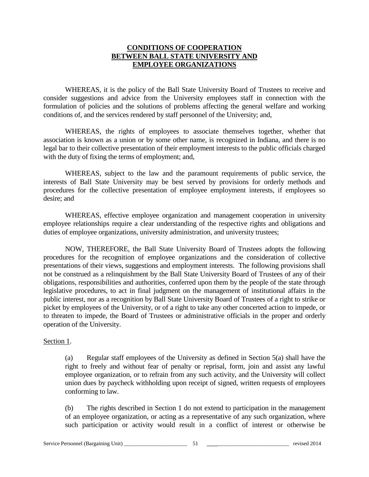## **CONDITIONS OF COOPERATION BETWEEN BALL STATE UNIVERSITY AND EMPLOYEE ORGANIZATIONS**

WHEREAS, it is the policy of the Ball State University Board of Trustees to receive and consider suggestions and advice from the University employees staff in connection with the formulation of policies and the solutions of problems affecting the general welfare and working conditions of, and the services rendered by staff personnel of the University; and,

WHEREAS, the rights of employees to associate themselves together, whether that association is known as a union or by some other name, is recognized in Indiana, and there is no legal bar to their collective presentation of their employment interests to the public officials charged with the duty of fixing the terms of employment; and,

WHEREAS, subject to the law and the paramount requirements of public service, the interests of Ball State University may be best served by provisions for orderly methods and procedures for the collective presentation of employee employment interests, if employees so desire; and

WHEREAS, effective employee organization and management cooperation in university employee relationships require a clear understanding of the respective rights and obligations and duties of employee organizations, university administration, and university trustees;

NOW, THEREFORE, the Ball State University Board of Trustees adopts the following procedures for the recognition of employee organizations and the consideration of collective presentations of their views, suggestions and employment interests. The following provisions shall not be construed as a relinquishment by the Ball State University Board of Trustees of any of their obligations, responsibilities and authorities, conferred upon them by the people of the state through legislative procedures, to act in final judgment on the management of institutional affairs in the public interest, nor as a recognition by Ball State University Board of Trustees of a right to strike or picket by employees of the University, or of a right to take any other concerted action to impede, or to threaten to impede, the Board of Trustees or administrative officials in the proper and orderly operation of the University.

#### Section 1.

(a) Regular staff employees of the University as defined in Section 5(a) shall have the right to freely and without fear of penalty or reprisal, form, join and assist any lawful employee organization, or to refrain from any such activity, and the University will collect union dues by paycheck withholding upon receipt of signed, written requests of employees conforming to law.

(b) The rights described in Section 1 do not extend to participation in the management of an employee organization, or acting as a representative of any such organization, where such participation or activity would result in a conflict of interest or otherwise be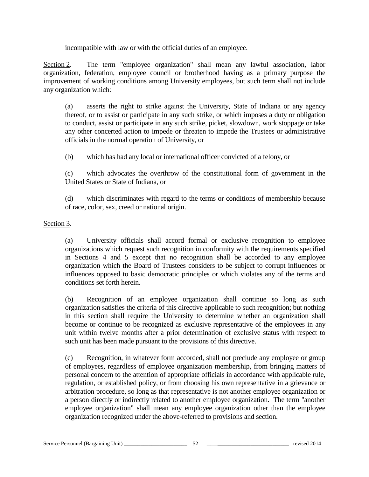incompatible with law or with the official duties of an employee.

Section 2. The term "employee organization" shall mean any lawful association, labor organization, federation, employee council or brotherhood having as a primary purpose the improvement of working conditions among University employees, but such term shall not include any organization which:

(a) asserts the right to strike against the University, State of Indiana or any agency thereof, or to assist or participate in any such strike, or which imposes a duty or obligation to conduct, assist or participate in any such strike, picket, slowdown, work stoppage or take any other concerted action to impede or threaten to impede the Trustees or administrative officials in the normal operation of University, or

(b) which has had any local or international officer convicted of a felony, or

(c) which advocates the overthrow of the constitutional form of government in the United States or State of Indiana, or

(d) which discriminates with regard to the terms or conditions of membership because of race, color, sex, creed or national origin.

## Section 3.

(a) University officials shall accord formal or exclusive recognition to employee organizations which request such recognition in conformity with the requirements specified in Sections 4 and 5 except that no recognition shall be accorded to any employee organization which the Board of Trustees considers to be subject to corrupt influences or influences opposed to basic democratic principles or which violates any of the terms and conditions set forth herein.

(b) Recognition of an employee organization shall continue so long as such organization satisfies the criteria of this directive applicable to such recognition; but nothing in this section shall require the University to determine whether an organization shall become or continue to be recognized as exclusive representative of the employees in any unit within twelve months after a prior determination of exclusive status with respect to such unit has been made pursuant to the provisions of this directive.

(c) Recognition, in whatever form accorded, shall not preclude any employee or group of employees, regardless of employee organization membership, from bringing matters of personal concern to the attention of appropriate officials in accordance with applicable rule, regulation, or established policy, or from choosing his own representative in a grievance or arbitration procedure, so long as that representative is not another employee organization or a person directly or indirectly related to another employee organization. The term "another employee organization" shall mean any employee organization other than the employee organization recognized under the above-referred to provisions and section.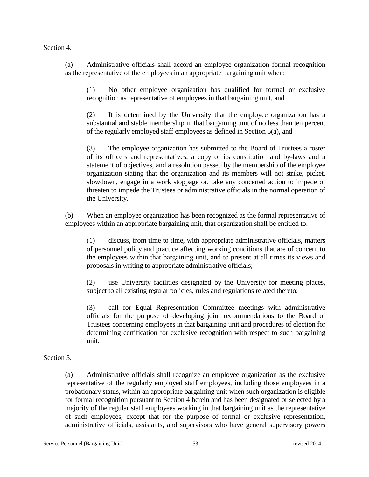#### Section 4.

(a) Administrative officials shall accord an employee organization formal recognition as the representative of the employees in an appropriate bargaining unit when:

(1) No other employee organization has qualified for formal or exclusive recognition as representative of employees in that bargaining unit, and

(2) It is determined by the University that the employee organization has a substantial and stable membership in that bargaining unit of no less than ten percent of the regularly employed staff employees as defined in Section 5(a), and

(3) The employee organization has submitted to the Board of Trustees a roster of its officers and representatives, a copy of its constitution and by-laws and a statement of objectives, and a resolution passed by the membership of the employee organization stating that the organization and its members will not strike, picket, slowdown, engage in a work stoppage or, take any concerted action to impede or threaten to impede the Trustees or administrative officials in the normal operation of the University.

(b) When an employee organization has been recognized as the formal representative of employees within an appropriate bargaining unit, that organization shall be entitled to:

(1) discuss, from time to time, with appropriate administrative officials, matters of personnel policy and practice affecting working conditions that are of concern to the employees within that bargaining unit, and to present at all times its views and proposals in writing to appropriate administrative officials;

(2) use University facilities designated by the University for meeting places, subject to all existing regular policies, rules and regulations related thereto;

(3) call for Equal Representation Committee meetings with administrative officials for the purpose of developing joint recommendations to the Board of Trustees concerning employees in that bargaining unit and procedures of election for determining certification for exclusive recognition with respect to such bargaining unit.

## Section 5.

(a) Administrative officials shall recognize an employee organization as the exclusive representative of the regularly employed staff employees, including those employees in a probationary status, within an appropriate bargaining unit when such organization is eligible for formal recognition pursuant to Section 4 herein and has been designated or selected by a majority of the regular staff employees working in that bargaining unit as the representative of such employees, except that for the purpose of formal or exclusive representation, administrative officials, assistants, and supervisors who have general supervisory powers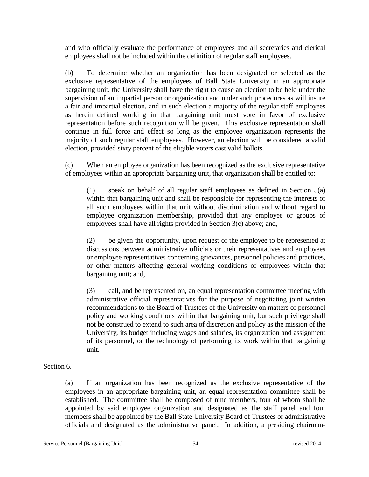and who officially evaluate the performance of employees and all secretaries and clerical employees shall not be included within the definition of regular staff employees.

(b) To determine whether an organization has been designated or selected as the exclusive representative of the employees of Ball State University in an appropriate bargaining unit, the University shall have the right to cause an election to be held under the supervision of an impartial person or organization and under such procedures as will insure a fair and impartial election, and in such election a majority of the regular staff employees as herein defined working in that bargaining unit must vote in favor of exclusive representation before such recognition will be given. This exclusive representation shall continue in full force and effect so long as the employee organization represents the majority of such regular staff employees. However, an election will be considered a valid election, provided sixty percent of the eligible voters cast valid ballots.

(c) When an employee organization has been recognized as the exclusive representative of employees within an appropriate bargaining unit, that organization shall be entitled to:

(1) speak on behalf of all regular staff employees as defined in Section 5(a) within that bargaining unit and shall be responsible for representing the interests of all such employees within that unit without discrimination and without regard to employee organization membership, provided that any employee or groups of employees shall have all rights provided in Section 3(c) above; and,

(2) be given the opportunity, upon request of the employee to be represented at discussions between administrative officials or their representatives and employees or employee representatives concerning grievances, personnel policies and practices, or other matters affecting general working conditions of employees within that bargaining unit; and,

(3) call, and be represented on, an equal representation committee meeting with administrative official representatives for the purpose of negotiating joint written recommendations to the Board of Trustees of the University on matters of personnel policy and working conditions within that bargaining unit, but such privilege shall not be construed to extend to such area of discretion and policy as the mission of the University, its budget including wages and salaries, its organization and assignment of its personnel, or the technology of performing its work within that bargaining unit.

## Section 6.

(a) If an organization has been recognized as the exclusive representative of the employees in an appropriate bargaining unit, an equal representation committee shall be established. The committee shall be composed of nine members, four of whom shall be appointed by said employee organization and designated as the staff panel and four members shall be appointed by the Ball State University Board of Trustees or administrative officials and designated as the administrative panel. In addition, a presiding chairman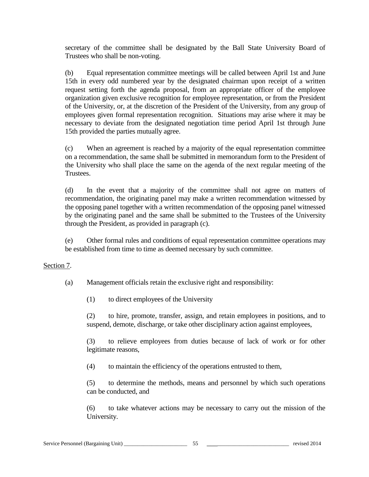secretary of the committee shall be designated by the Ball State University Board of Trustees who shall be non-voting.

(b) Equal representation committee meetings will be called between April 1st and June 15th in every odd numbered year by the designated chairman upon receipt of a written request setting forth the agenda proposal, from an appropriate officer of the employee organization given exclusive recognition for employee representation, or from the President of the University, or, at the discretion of the President of the University, from any group of employees given formal representation recognition. Situations may arise where it may be necessary to deviate from the designated negotiation time period April 1st through June 15th provided the parties mutually agree.

(c) When an agreement is reached by a majority of the equal representation committee on a recommendation, the same shall be submitted in memorandum form to the President of the University who shall place the same on the agenda of the next regular meeting of the Trustees.

(d) In the event that a majority of the committee shall not agree on matters of recommendation, the originating panel may make a written recommendation witnessed by the opposing panel together with a written recommendation of the opposing panel witnessed by the originating panel and the same shall be submitted to the Trustees of the University through the President, as provided in paragraph (c).

(e) Other formal rules and conditions of equal representation committee operations may be established from time to time as deemed necessary by such committee.

#### Section 7.

(a) Management officials retain the exclusive right and responsibility:

(1) to direct employees of the University

(2) to hire, promote, transfer, assign, and retain employees in positions, and to suspend, demote, discharge, or take other disciplinary action against employees,

(3) to relieve employees from duties because of lack of work or for other legitimate reasons,

(4) to maintain the efficiency of the operations entrusted to them,

(5) to determine the methods, means and personnel by which such operations can be conducted, and

(6) to take whatever actions may be necessary to carry out the mission of the University.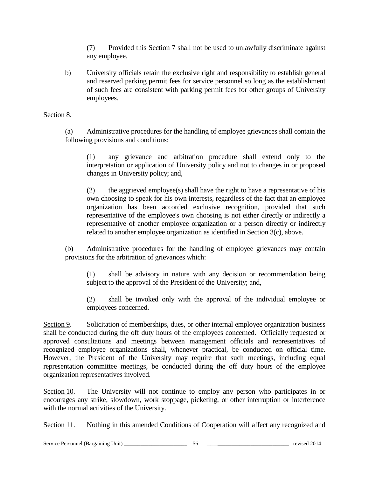(7) Provided this Section 7 shall not be used to unlawfully discriminate against any employee.

b) University officials retain the exclusive right and responsibility to establish general and reserved parking permit fees for service personnel so long as the establishment of such fees are consistent with parking permit fees for other groups of University employees.

## Section 8.

(a) Administrative procedures for the handling of employee grievances shall contain the following provisions and conditions:

(1) any grievance and arbitration procedure shall extend only to the interpretation or application of University policy and not to changes in or proposed changes in University policy; and,

(2) the aggrieved employee(s) shall have the right to have a representative of his own choosing to speak for his own interests, regardless of the fact that an employee organization has been accorded exclusive recognition, provided that such representative of the employee's own choosing is not either directly or indirectly a representative of another employee organization or a person directly or indirectly related to another employee organization as identified in Section 3(c), above.

(b) Administrative procedures for the handling of employee grievances may contain provisions for the arbitration of grievances which:

(1) shall be advisory in nature with any decision or recommendation being subject to the approval of the President of the University; and,

(2) shall be invoked only with the approval of the individual employee or employees concerned.

Section 9. Solicitation of memberships, dues, or other internal employee organization business shall be conducted during the off duty hours of the employees concerned. Officially requested or approved consultations and meetings between management officials and representatives of recognized employee organizations shall, whenever practical, be conducted on official time. However, the President of the University may require that such meetings, including equal representation committee meetings, be conducted during the off duty hours of the employee organization representatives involved.

Section 10. The University will not continue to employ any person who participates in or encourages any strike, slowdown, work stoppage, picketing, or other interruption or interference with the normal activities of the University.

Section 11. Nothing in this amended Conditions of Cooperation will affect any recognized and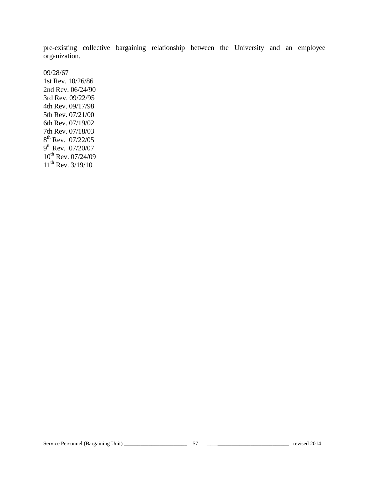pre-existing collective bargaining relationship between the University and an employee organization.

09/28/67

1st Rev. 10/26/86 2nd Rev. 06/24/90 3rd Rev. 09/22/95 4th Rev. 09/17/98 5th Rev. 07/21/00 6th Rev. 07/19/02 7th Rev. 07/18/03  $8^{th}$  Rev. 07/22/05  $9^{th}$  Rev. 07/20/07  $10^{th}$  Rev. 07/24/09  $11^{th}$  Rev.  $3/19/10$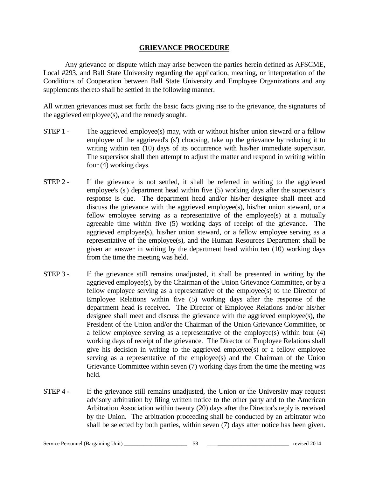#### **GRIEVANCE PROCEDURE**

Any grievance or dispute which may arise between the parties herein defined as AFSCME, Local #293, and Ball State University regarding the application, meaning, or interpretation of the Conditions of Cooperation between Ball State University and Employee Organizations and any supplements thereto shall be settled in the following manner.

All written grievances must set forth: the basic facts giving rise to the grievance, the signatures of the aggrieved employee(s), and the remedy sought.

- STEP 1 The aggrieved employee(s) may, with or without his/her union steward or a fellow employee of the aggrieved's (s') choosing, take up the grievance by reducing it to writing within ten (10) days of its occurrence with his/her immediate supervisor. The supervisor shall then attempt to adjust the matter and respond in writing within four (4) working days.
- STEP 2 If the grievance is not settled, it shall be referred in writing to the aggrieved employee's (s') department head within five (5) working days after the supervisor's response is due. The department head and/or his/her designee shall meet and discuss the grievance with the aggrieved employee(s), his/her union steward, or a fellow employee serving as a representative of the employee(s) at a mutually agreeable time within five (5) working days of receipt of the grievance. The aggrieved employee(s), his/her union steward, or a fellow employee serving as a representative of the employee(s), and the Human Resources Department shall be given an answer in writing by the department head within ten (10) working days from the time the meeting was held.
- STEP 3 If the grievance still remains unadjusted, it shall be presented in writing by the aggrieved employee(s), by the Chairman of the Union Grievance Committee, or by a fellow employee serving as a representative of the employee(s) to the Director of Employee Relations within five (5) working days after the response of the department head is received. The Director of Employee Relations and/or his/her designee shall meet and discuss the grievance with the aggrieved employee(s), the President of the Union and/or the Chairman of the Union Grievance Committee, or a fellow employee serving as a representative of the employee(s) within four (4) working days of receipt of the grievance. The Director of Employee Relations shall give his decision in writing to the aggrieved employee(s) or a fellow employee serving as a representative of the employee(s) and the Chairman of the Union Grievance Committee within seven (7) working days from the time the meeting was held.
- STEP 4 If the grievance still remains unadjusted, the Union or the University may request advisory arbitration by filing written notice to the other party and to the American Arbitration Association within twenty (20) days after the Director's reply is received by the Union. The arbitration proceeding shall be conducted by an arbitrator who shall be selected by both parties, within seven (7) days after notice has been given.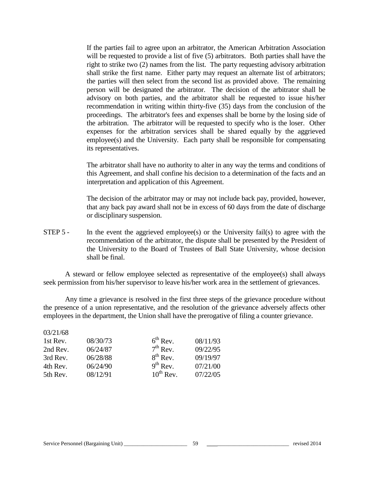If the parties fail to agree upon an arbitrator, the American Arbitration Association will be requested to provide a list of five  $(5)$  arbitrators. Both parties shall have the right to strike two (2) names from the list. The party requesting advisory arbitration shall strike the first name. Either party may request an alternate list of arbitrators; the parties will then select from the second list as provided above. The remaining person will be designated the arbitrator. The decision of the arbitrator shall be advisory on both parties, and the arbitrator shall be requested to issue his/her recommendation in writing within thirty-five (35) days from the conclusion of the proceedings. The arbitrator's fees and expenses shall be borne by the losing side of the arbitration. The arbitrator will be requested to specify who is the loser. Other expenses for the arbitration services shall be shared equally by the aggrieved employee(s) and the University. Each party shall be responsible for compensating its representatives.

The arbitrator shall have no authority to alter in any way the terms and conditions of this Agreement, and shall confine his decision to a determination of the facts and an interpretation and application of this Agreement.

The decision of the arbitrator may or may not include back pay, provided, however, that any back pay award shall not be in excess of 60 days from the date of discharge or disciplinary suspension.

STEP 5 - In the event the aggrieved employee(s) or the University fail(s) to agree with the recommendation of the arbitrator, the dispute shall be presented by the President of the University to the Board of Trustees of Ball State University, whose decision shall be final.

A steward or fellow employee selected as representative of the employee(s) shall always seek permission from his/her supervisor to leave his/her work area in the settlement of grievances.

Any time a grievance is resolved in the first three steps of the grievance procedure without the presence of a union representative, and the resolution of the grievance adversely affects other employees in the department, the Union shall have the prerogative of filing a counter grievance.

| 08/30/73 | $6th$ Rev.    | 08/11/93                                      |
|----------|---------------|-----------------------------------------------|
| 06/24/87 |               | 09/22/95                                      |
| 06/28/88 | $8^{th}$ Rev. | 09/19/97                                      |
| 06/24/90 |               | 07/21/00                                      |
| 08/12/91 |               | 07/22/05                                      |
|          |               | $7th$ Rev.<br>$9^{th}$ Rev.<br>$10^{th}$ Rev. |

 $02/21/68$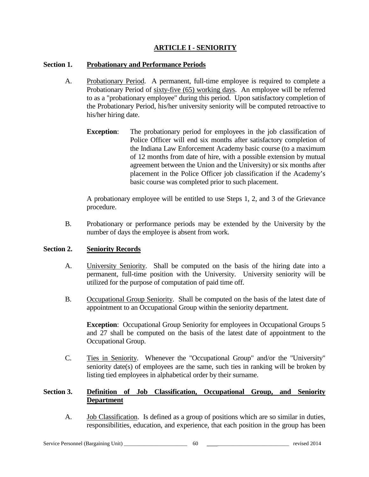## **ARTICLE I - SENIORITY**

## **Section 1. Probationary and Performance Periods**

- A. Probationary Period. A permanent, full-time employee is required to complete a Probationary Period of sixty-five (65) working days. An employee will be referred to as a "probationary employee" during this period. Upon satisfactory completion of the Probationary Period, his/her university seniority will be computed retroactive to his/her hiring date.
	- **Exception:** The probationary period for employees in the job classification of Police Officer will end six months after satisfactory completion of the Indiana Law Enforcement Academy basic course (to a maximum of 12 months from date of hire, with a possible extension by mutual agreement between the Union and the University) or six months after placement in the Police Officer job classification if the Academy's basic course was completed prior to such placement.

A probationary employee will be entitled to use Steps 1, 2, and 3 of the Grievance procedure.

B. Probationary or performance periods may be extended by the University by the number of days the employee is absent from work.

#### **Section 2. Seniority Records**

- A. University Seniority. Shall be computed on the basis of the hiring date into a permanent, full-time position with the University. University seniority will be utilized for the purpose of computation of paid time off.
- B. Occupational Group Seniority. Shall be computed on the basis of the latest date of appointment to an Occupational Group within the seniority department.

**Exception:** Occupational Group Seniority for employees in Occupational Groups 5 and 27 shall be computed on the basis of the latest date of appointment to the Occupational Group.

C. Ties in Seniority. Whenever the "Occupational Group" and/or the "University" seniority date(s) of employees are the same, such ties in ranking will be broken by listing tied employees in alphabetical order by their surname.

## **Section 3. Definition of Job Classification, Occupational Group, and Seniority Department**

A. **Job Classification.** Is defined as a group of positions which are so similar in duties, responsibilities, education, and experience, that each position in the group has been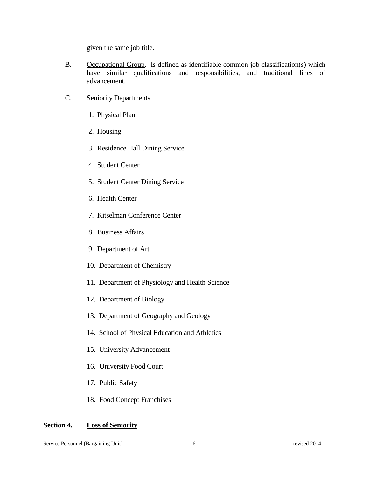given the same job title.

- B. Occupational Group. Is defined as identifiable common job classification(s) which have similar qualifications and responsibilities, and traditional lines of advancement.
- C. Seniority Departments.
	- 1. Physical Plant
	- 2. Housing
	- 3. Residence Hall Dining Service
	- 4. Student Center
	- 5. Student Center Dining Service
	- 6. Health Center
	- 7. Kitselman Conference Center
	- 8. Business Affairs
	- 9. Department of Art
	- 10. Department of Chemistry
	- 11. Department of Physiology and Health Science
	- 12. Department of Biology
	- 13. Department of Geography and Geology
	- 14. School of Physical Education and Athletics
	- 15. University Advancement
	- 16. University Food Court
	- 17. Public Safety
	- 18. Food Concept Franchises

#### **Section 4. Loss of Seniority**

Service Personnel (Bargaining Unit) \_\_\_\_\_\_\_\_\_\_\_\_\_\_\_\_\_\_\_\_\_\_\_ 61 \_\_\_\_\_\_\_\_\_\_\_\_\_\_\_\_\_\_\_\_\_\_\_\_\_\_\_\_\_ revised 2014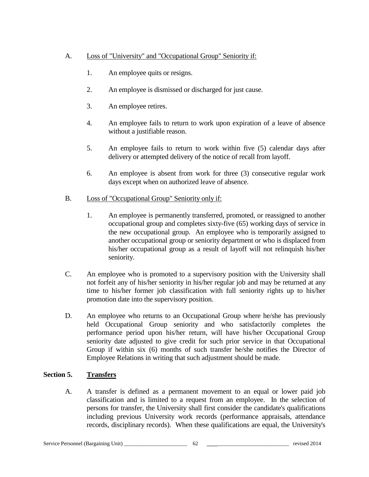## A. Loss of "University" and "Occupational Group" Seniority if:

- 1. An employee quits or resigns.
- 2. An employee is dismissed or discharged for just cause.
- 3. An employee retires.
- 4. An employee fails to return to work upon expiration of a leave of absence without a justifiable reason.
- 5. An employee fails to return to work within five (5) calendar days after delivery or attempted delivery of the notice of recall from layoff.
- 6. An employee is absent from work for three (3) consecutive regular work days except when on authorized leave of absence.
- B. Loss of "Occupational Group" Seniority only if:
	- 1. An employee is permanently transferred, promoted, or reassigned to another occupational group and completes sixty-five (65) working days of service in the new occupational group. An employee who is temporarily assigned to another occupational group or seniority department or who is displaced from his/her occupational group as a result of layoff will not relinquish his/her seniority.
- C. An employee who is promoted to a supervisory position with the University shall not forfeit any of his/her seniority in his/her regular job and may be returned at any time to his/her former job classification with full seniority rights up to his/her promotion date into the supervisory position.
- D. An employee who returns to an Occupational Group where he/she has previously held Occupational Group seniority and who satisfactorily completes the performance period upon his/her return, will have his/her Occupational Group seniority date adjusted to give credit for such prior service in that Occupational Group if within six (6) months of such transfer he/she notifies the Director of Employee Relations in writing that such adjustment should be made.

## **Section 5. Transfers**

A. A transfer is defined as a permanent movement to an equal or lower paid job classification and is limited to a request from an employee. In the selection of persons for transfer, the University shall first consider the candidate's qualifications including previous University work records (performance appraisals, attendance records, disciplinary records). When these qualifications are equal, the University's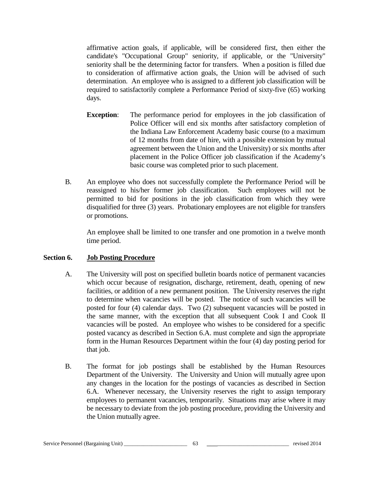affirmative action goals, if applicable, will be considered first, then either the candidate's "Occupational Group" seniority, if applicable, or the "University" seniority shall be the determining factor for transfers. When a position is filled due to consideration of affirmative action goals, the Union will be advised of such determination. An employee who is assigned to a different job classification will be required to satisfactorily complete a Performance Period of sixty-five (65) working days.

- **Exception:** The performance period for employees in the job classification of Police Officer will end six months after satisfactory completion of the Indiana Law Enforcement Academy basic course (to a maximum of 12 months from date of hire, with a possible extension by mutual agreement between the Union and the University) or six months after placement in the Police Officer job classification if the Academy's basic course was completed prior to such placement.
- B. An employee who does not successfully complete the Performance Period will be reassigned to his/her former job classification. Such employees will not be permitted to bid for positions in the job classification from which they were disqualified for three (3) years. Probationary employees are not eligible for transfers or promotions.

An employee shall be limited to one transfer and one promotion in a twelve month time period.

## **Section 6. Job Posting Procedure**

- A. The University will post on specified bulletin boards notice of permanent vacancies which occur because of resignation, discharge, retirement, death, opening of new facilities, or addition of a new permanent position. The University reserves the right to determine when vacancies will be posted. The notice of such vacancies will be posted for four (4) calendar days. Two (2) subsequent vacancies will be posted in the same manner, with the exception that all subsequent Cook I and Cook II vacancies will be posted. An employee who wishes to be considered for a specific posted vacancy as described in Section 6.A. must complete and sign the appropriate form in the Human Resources Department within the four (4) day posting period for that job.
- B. The format for job postings shall be established by the Human Resources Department of the University. The University and Union will mutually agree upon any changes in the location for the postings of vacancies as described in Section 6.A. Whenever necessary, the University reserves the right to assign temporary employees to permanent vacancies, temporarily. Situations may arise where it may be necessary to deviate from the job posting procedure, providing the University and the Union mutually agree.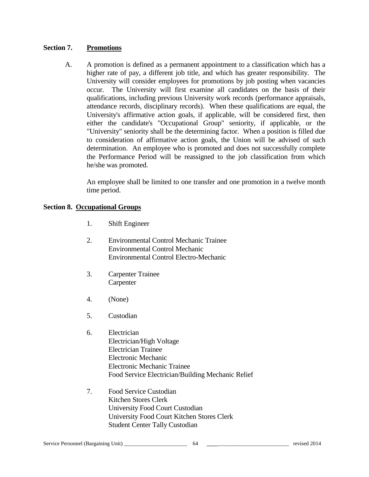## **Section 7. Promotions**

A. A promotion is defined as a permanent appointment to a classification which has a higher rate of pay, a different job title, and which has greater responsibility. The University will consider employees for promotions by job posting when vacancies occur. The University will first examine all candidates on the basis of their qualifications, including previous University work records (performance appraisals, attendance records, disciplinary records). When these qualifications are equal, the University's affirmative action goals, if applicable, will be considered first, then either the candidate's "Occupational Group" seniority, if applicable, or the "University" seniority shall be the determining factor. When a position is filled due to consideration of affirmative action goals, the Union will be advised of such determination. An employee who is promoted and does not successfully complete the Performance Period will be reassigned to the job classification from which he/she was promoted.

An employee shall be limited to one transfer and one promotion in a twelve month time period.

## **Section 8. Occupational Groups**

- 1. Shift Engineer
- 2. Environmental Control Mechanic Trainee Environmental Control Mechanic Environmental Control Electro-Mechanic
- 3. Carpenter Trainee **Carpenter**
- 4. (None)
- 5. Custodian
- 6. Electrician Electrician/High Voltage Electrician Trainee Electronic Mechanic Electronic Mechanic Trainee Food Service Electrician/Building Mechanic Relief
- 7. Food Service Custodian Kitchen Stores Clerk University Food Court Custodian University Food Court Kitchen Stores Clerk Student Center Tally Custodian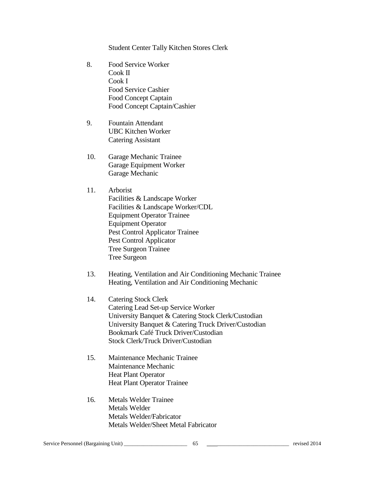Student Center Tally Kitchen Stores Clerk

- 8. Food Service Worker Cook II Cook I Food Service Cashier Food Concept Captain Food Concept Captain/Cashier
- 9. Fountain Attendant UBC Kitchen Worker Catering Assistant
- 10. Garage Mechanic Trainee Garage Equipment Worker Garage Mechanic
- 11. Arborist

Facilities & Landscape Worker Facilities & Landscape Worker/CDL Equipment Operator Trainee Equipment Operator Pest Control Applicator Trainee Pest Control Applicator Tree Surgeon Trainee Tree Surgeon

- 13. Heating, Ventilation and Air Conditioning Mechanic Trainee Heating, Ventilation and Air Conditioning Mechanic
- 14. Catering Stock Clerk Catering Lead Set-up Service Worker University Banquet & Catering Stock Clerk/Custodian University Banquet & Catering Truck Driver/Custodian Bookmark Café Truck Driver/Custodian Stock Clerk/Truck Driver/Custodian
- 15. Maintenance Mechanic Trainee Maintenance Mechanic Heat Plant Operator Heat Plant Operator Trainee
- 16. Metals Welder Trainee Metals Welder Metals Welder/Fabricator Metals Welder/Sheet Metal Fabricator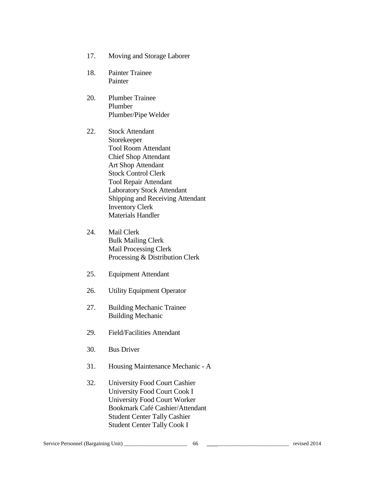- 17. Moving and Storage Laborer
- 18. Painter Trainee Painter
- 20. Plumber Trainee Plumber Plumber/Pipe Welder
- 22. Stock Attendant Storekeeper Tool Room Attendant Chief Shop Attendant Art Shop Attendant Stock Control Clerk Tool Repair Attendant Laboratory Stock Attendant Shipping and Receiving Attendant Inventory Clerk Materials Handler
- 24. Mail Clerk Bulk Mailing Clerk Mail Processing Clerk Processing & Distribution Clerk
- 25. Equipment Attendant
- 26. Utility Equipment Operator
- 27. Building Mechanic Trainee Building Mechanic
- 29. Field/Facilities Attendant
- 30. Bus Driver
- 31. Housing Maintenance Mechanic A
- 32. University Food Court Cashier University Food Court Cook I University Food Court Worker Bookmark Café Cashier/Attendant Student Center Tally Cashier Student Center Tally Cook I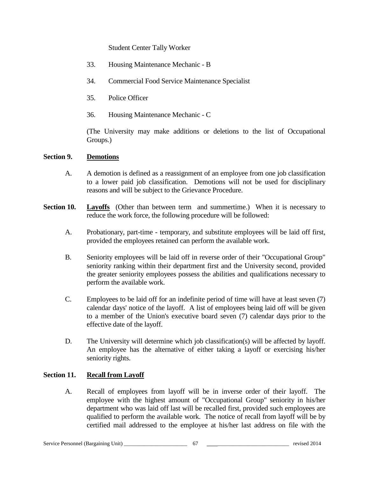Student Center Tally Worker

- 33. Housing Maintenance Mechanic B
- 34. Commercial Food Service Maintenance Specialist
- 35. Police Officer
- 36. Housing Maintenance Mechanic C

(The University may make additions or deletions to the list of Occupational Groups.)

## **Section 9. Demotions**

- A. A demotion is defined as a reassignment of an employee from one job classification to a lower paid job classification. Demotions will not be used for disciplinary reasons and will be subject to the Grievance Procedure.
- **Section 10. Layoffs** (Other than between term and summertime.) When it is necessary to reduce the work force, the following procedure will be followed:
	- A. Probationary, part-time temporary, and substitute employees will be laid off first, provided the employees retained can perform the available work.
	- B. Seniority employees will be laid off in reverse order of their "Occupational Group" seniority ranking within their department first and the University second, provided the greater seniority employees possess the abilities and qualifications necessary to perform the available work.
	- C. Employees to be laid off for an indefinite period of time will have at least seven (7) calendar days' notice of the layoff. A list of employees being laid off will be given to a member of the Union's executive board seven (7) calendar days prior to the effective date of the layoff.
	- D. The University will determine which job classification(s) will be affected by layoff. An employee has the alternative of either taking a layoff or exercising his/her seniority rights.

# **Section 11. Recall from Layoff**

A. Recall of employees from layoff will be in inverse order of their layoff. The employee with the highest amount of "Occupational Group" seniority in his/her department who was laid off last will be recalled first, provided such employees are qualified to perform the available work. The notice of recall from layoff will be by certified mail addressed to the employee at his/her last address on file with the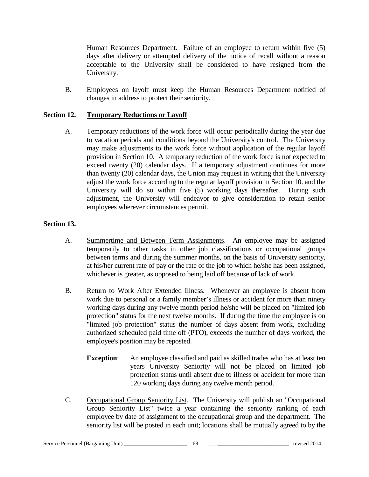Human Resources Department. Failure of an employee to return within five (5) days after delivery or attempted delivery of the notice of recall without a reason acceptable to the University shall be considered to have resigned from the University.

B. Employees on layoff must keep the Human Resources Department notified of changes in address to protect their seniority.

## **Section 12. Temporary Reductions or Layoff**

A. Temporary reductions of the work force will occur periodically during the year due to vacation periods and conditions beyond the University's control. The University may make adjustments to the work force without application of the regular layoff provision in Section 10. A temporary reduction of the work force is not expected to exceed twenty (20) calendar days. If a temporary adjustment continues for more than twenty (20) calendar days, the Union may request in writing that the University adjust the work force according to the regular layoff provision in Section 10. and the University will do so within five (5) working days thereafter. During such adjustment, the University will endeavor to give consideration to retain senior employees wherever circumstances permit.

## **Section 13.**

- A. Summertime and Between Term Assignments. An employee may be assigned temporarily to other tasks in other job classifications or occupational groups between terms and during the summer months, on the basis of University seniority, at his/her current rate of pay or the rate of the job to which he/she has been assigned, whichever is greater, as opposed to being laid off because of lack of work.
- B. Return to Work After Extended Illness. Whenever an employee is absent from work due to personal or a family member's illness or accident for more than ninety working days during any twelve month period he/she will be placed on "limited job protection" status for the next twelve months. If during the time the employee is on "limited job protection" status the number of days absent from work, excluding authorized scheduled paid time off (PTO), exceeds the number of days worked, the employee's position may be reposted.
	- **Exception:** An employee classified and paid as skilled trades who has at least ten years University Seniority will not be placed on limited job protection status until absent due to illness or accident for more than 120 working days during any twelve month period.
- C. Occupational Group Seniority List. The University will publish an "Occupational Group Seniority List" twice a year containing the seniority ranking of each employee by date of assignment to the occupational group and the department. The seniority list will be posted in each unit; locations shall be mutually agreed to by the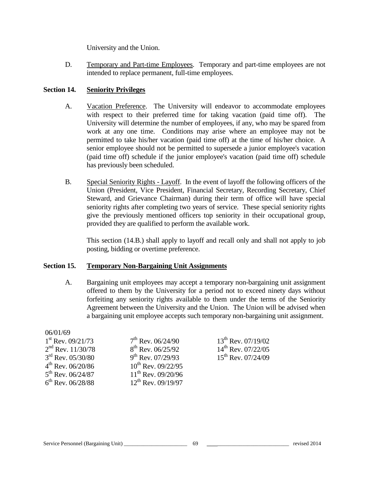University and the Union.

D. Temporary and Part-time Employees. Temporary and part-time employees are not intended to replace permanent, full-time employees.

# **Section 14. Seniority Privileges**

- A. Vacation Preference. The University will endeavor to accommodate employees with respect to their preferred time for taking vacation (paid time off). The University will determine the number of employees, if any, who may be spared from work at any one time. Conditions may arise where an employee may not be permitted to take his/her vacation (paid time off) at the time of his/her choice. A senior employee should not be permitted to supersede a junior employee's vacation (paid time off) schedule if the junior employee's vacation (paid time off) schedule has previously been scheduled.
- B. Special Seniority Rights Layoff. In the event of layoff the following officers of the Union (President, Vice President, Financial Secretary, Recording Secretary, Chief Steward, and Grievance Chairman) during their term of office will have special seniority rights after completing two years of service. These special seniority rights give the previously mentioned officers top seniority in their occupational group, provided they are qualified to perform the available work.

This section (14.B.) shall apply to layoff and recall only and shall not apply to job posting, bidding or overtime preference.

# **Section 15. Temporary Non-Bargaining Unit Assignments**

A. Bargaining unit employees may accept a temporary non-bargaining unit assignment offered to them by the University for a period not to exceed ninety days without forfeiting any seniority rights available to them under the terms of the Seniority Agreement between the University and the Union. The Union will be advised when a bargaining unit employee accepts such temporary non-bargaining unit assignment.

| <b>UO/UI/DY</b>               |                         |                         |
|-------------------------------|-------------------------|-------------------------|
| $1st$ Rev. 09/21/73           | $7th$ Rev. 06/24/90     | $13^{th}$ Rev. 07/19/02 |
| $2nd$ Rev. 11/30/78           | $8^{th}$ Rev. 06/25/92  | $14^{th}$ Rev. 07/22/05 |
| $3rd$ Rev. 05/30/80           | $9^{th}$ Rev. 07/29/93  | $15^{th}$ Rev. 07/24/09 |
| $4^{\text{th}}$ Rev. 06/20/86 | $10^{th}$ Rev. 09/22/95 |                         |
| $5^{\text{th}}$ Rev. 06/24/87 | $11^{th}$ Rev. 09/20/96 |                         |
| $6^{th}$ Rev. 06/28/88        | $12^{th}$ Rev. 09/19/97 |                         |
|                               |                         |                         |

#### Service Personnel (Bargaining Unit) \_\_\_\_\_\_\_\_\_\_\_\_\_\_\_\_\_\_\_\_\_\_\_ 69 \_\_\_\_\_\_\_\_\_\_\_\_\_\_\_\_\_\_\_\_\_\_\_\_\_\_\_\_\_ revised 2014

 $06/01/69$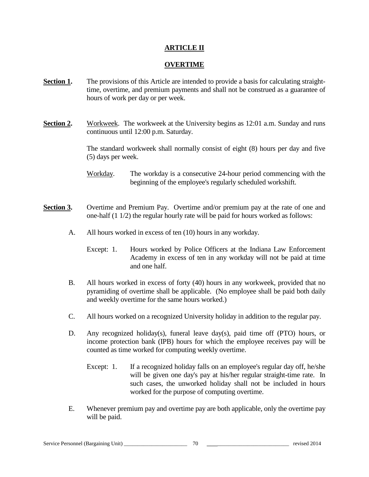# **ARTICLE II**

# **OVERTIME**

- **Section 1.** The provisions of this Article are intended to provide a basis for calculating straighttime, overtime, and premium payments and shall not be construed as a guarantee of hours of work per day or per week.
- **Section 2.** Workweek. The workweek at the University begins as 12:01 a.m. Sunday and runs continuous until 12:00 p.m. Saturday.

The standard workweek shall normally consist of eight (8) hours per day and five (5) days per week.

Workday. The workday is a consecutive 24-hour period commencing with the beginning of the employee's regularly scheduled workshift.

- **Section 3.** Overtime and Premium Pay. Overtime and/or premium pay at the rate of one and one-half (1 1/2) the regular hourly rate will be paid for hours worked as follows:
	- A. All hours worked in excess of ten (10) hours in any workday.
		- Except: 1. Hours worked by Police Officers at the Indiana Law Enforcement Academy in excess of ten in any workday will not be paid at time and one half.
	- B. All hours worked in excess of forty (40) hours in any workweek, provided that no pyramiding of overtime shall be applicable. (No employee shall be paid both daily and weekly overtime for the same hours worked.)
	- C. All hours worked on a recognized University holiday in addition to the regular pay.
	- D. Any recognized holiday(s), funeral leave day(s), paid time off (PTO) hours, or income protection bank (IPB) hours for which the employee receives pay will be counted as time worked for computing weekly overtime.
		- Except: 1. If a recognized holiday falls on an employee's regular day off, he/she will be given one day's pay at his/her regular straight-time rate. In such cases, the unworked holiday shall not be included in hours worked for the purpose of computing overtime.
	- E. Whenever premium pay and overtime pay are both applicable, only the overtime pay will be paid.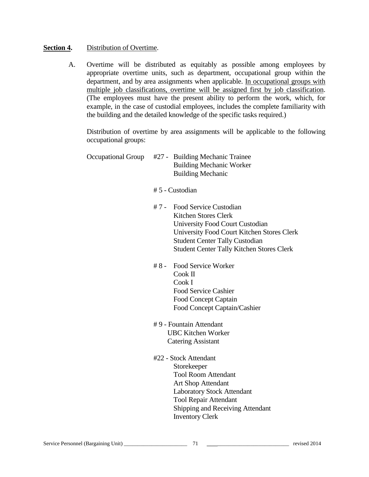# **Section 4.** Distribution of Overtime.

 A. Overtime will be distributed as equitably as possible among employees by appropriate overtime units, such as department, occupational group within the department, and by area assignments when applicable. In occupational groups with multiple job classifications, overtime will be assigned first by job classification. (The employees must have the present ability to perform the work, which, for example, in the case of custodial employees, includes the complete familiarity with the building and the detailed knowledge of the specific tasks required.)

Distribution of overtime by area assignments will be applicable to the following occupational groups:

Occupational Group #27 - Building Mechanic Trainee Building Mechanic Worker Building Mechanic

# 5 - Custodian

- # 7 Food Service Custodian Kitchen Stores Clerk University Food Court Custodian University Food Court Kitchen Stores Clerk Student Center Tally Custodian Student Center Tally Kitchen Stores Clerk
- # 8 Food Service Worker Cook II Cook I Food Service Cashier Food Concept Captain Food Concept Captain/Cashier
- # 9 Fountain Attendant UBC Kitchen Worker Catering Assistant
- #22 Stock Attendant Storekeeper Tool Room Attendant Art Shop Attendant Laboratory Stock Attendant Tool Repair Attendant Shipping and Receiving Attendant Inventory Clerk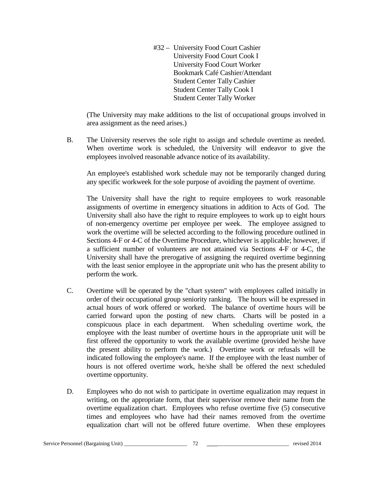#32 – University Food Court Cashier University Food Court Cook I University Food Court Worker Bookmark Café Cashier/Attendant Student Center Tally Cashier Student Center Tally Cook I Student Center Tally Worker

(The University may make additions to the list of occupational groups involved in area assignment as the need arises.)

B. The University reserves the sole right to assign and schedule overtime as needed. When overtime work is scheduled, the University will endeavor to give the employees involved reasonable advance notice of its availability.

An employee's established work schedule may not be temporarily changed during any specific workweek for the sole purpose of avoiding the payment of overtime.

The University shall have the right to require employees to work reasonable assignments of overtime in emergency situations in addition to Acts of God. The University shall also have the right to require employees to work up to eight hours of non-emergency overtime per employee per week. The employee assigned to work the overtime will be selected according to the following procedure outlined in Sections 4-F or 4-C of the Overtime Procedure, whichever is applicable; however, if a sufficient number of volunteers are not attained via Sections 4-F or 4-C, the University shall have the prerogative of assigning the required overtime beginning with the least senior employee in the appropriate unit who has the present ability to perform the work.

- C. Overtime will be operated by the "chart system" with employees called initially in order of their occupational group seniority ranking. The hours will be expressed in actual hours of work offered or worked. The balance of overtime hours will be carried forward upon the posting of new charts. Charts will be posted in a conspicuous place in each department. When scheduling overtime work, the employee with the least number of overtime hours in the appropriate unit will be first offered the opportunity to work the available overtime (provided he/she have the present ability to perform the work.) Overtime work or refusals will be indicated following the employee's name. If the employee with the least number of hours is not offered overtime work, he/she shall be offered the next scheduled overtime opportunity.
- D. Employees who do not wish to participate in overtime equalization may request in writing, on the appropriate form, that their supervisor remove their name from the overtime equalization chart. Employees who refuse overtime five (5) consecutive times and employees who have had their names removed from the overtime equalization chart will not be offered future overtime. When these employees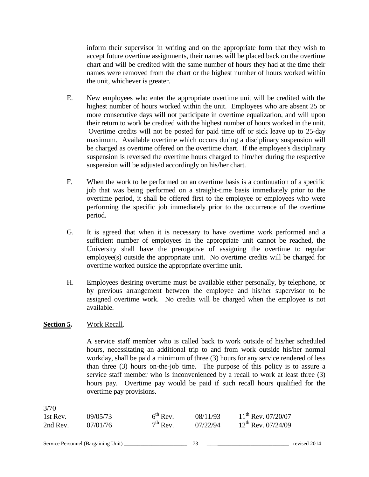inform their supervisor in writing and on the appropriate form that they wish to accept future overtime assignments, their names will be placed back on the overtime chart and will be credited with the same number of hours they had at the time their names were removed from the chart or the highest number of hours worked within the unit, whichever is greater.

- E. New employees who enter the appropriate overtime unit will be credited with the highest number of hours worked within the unit. Employees who are absent 25 or more consecutive days will not participate in overtime equalization, and will upon their return to work be credited with the highest number of hours worked in the unit. Overtime credits will not be posted for paid time off or sick leave up to 25-day maximum. Available overtime which occurs during a disciplinary suspension will be charged as overtime offered on the overtime chart. If the employee's disciplinary suspension is reversed the overtime hours charged to him/her during the respective suspension will be adjusted accordingly on his/her chart.
- F. When the work to be performed on an overtime basis is a continuation of a specific job that was being performed on a straight-time basis immediately prior to the overtime period, it shall be offered first to the employee or employees who were performing the specific job immediately prior to the occurrence of the overtime period.
- G. It is agreed that when it is necessary to have overtime work performed and a sufficient number of employees in the appropriate unit cannot be reached, the University shall have the prerogative of assigning the overtime to regular employee(s) outside the appropriate unit. No overtime credits will be charged for overtime worked outside the appropriate overtime unit.
- H. Employees desiring overtime must be available either personally, by telephone, or by previous arrangement between the employee and his/her supervisor to be assigned overtime work. No credits will be charged when the employee is not available.

# **Section 5.** Work Recall.

A service staff member who is called back to work outside of his/her scheduled hours, necessitating an additional trip to and from work outside his/her normal workday, shall be paid a minimum of three (3) hours for any service rendered of less than three (3) hours on-the-job time. The purpose of this policy is to assure a service staff member who is inconvenienced by a recall to work at least three (3) hours pay. Overtime pay would be paid if such recall hours qualified for the overtime pay provisions.

| 3/70     |          |               |          |                         |
|----------|----------|---------------|----------|-------------------------|
| 1st Rev. | 09/05/73 | $6^{th}$ Rev. | 08/11/93 | $11^{th}$ Rev. 07/20/07 |
| 2nd Rev. | 07/01/76 | $7th$ Rev.    | 07/22/94 | $12^{th}$ Rev. 07/24/09 |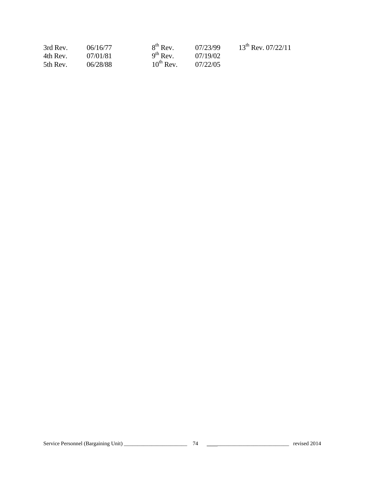| 3rd Rev. | 06/16/77 | $8th$ Rev.     | 07/23/99 | $13^{th}$ Rev. 07/22/11 |
|----------|----------|----------------|----------|-------------------------|
| 4th Rev. | 07/01/81 | $9^{th}$ Rev.  | 07/19/02 |                         |
| 5th Rev. | 06/28/88 | $10^{th}$ Rev. | 07/22/05 |                         |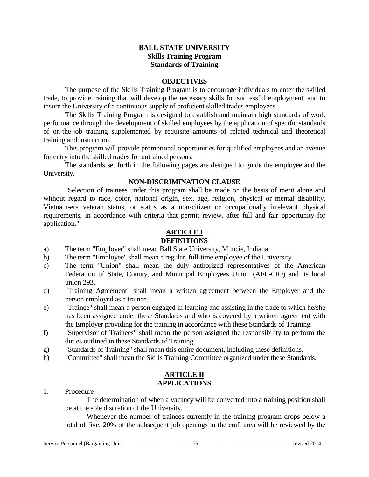# **BALL STATE UNIVERSITY Skills Training Program Standards of Training**

#### **OBJECTIVES**

The purpose of the Skills Training Program is to encourage individuals to enter the skilled trade, to provide training that will develop the necessary skills for successful employment, and to insure the University of a continuous supply of proficient skilled trades employees.

The Skills Training Program is designed to establish and maintain high standards of work performance through the development of skilled employees by the application of specific standards of on-the-job training supplemented by requisite amounts of related technical and theoretical training and instruction.

This program will provide promotional opportunities for qualified employees and an avenue for entry into the skilled trades for untrained persons.

The standards set forth in the following pages are designed to guide the employee and the University.

#### **NON-DISCRIMINATION CLAUSE**

"Selection of trainees under this program shall be made on the basis of merit alone and without regard to race, color, national origin, sex, age, religion, physical or mental disability, Vietnam-era veteran status, or status as a non-citizen or occupationally irrelevant physical requirements, in accordance with criteria that permit review, after full and fair opportunity for application."

# **ARTICLE I**

# **DEFINITIONS**

- a) The term "Employer" shall mean Ball State University, Muncie, Indiana.
- b) The term "Employee" shall mean a regular, full-time employee of the University.
- c) The term "Union" shall mean the duly authorized representatives of the American Federation of State, County, and Municipal Employees Union (AFL-CIO) and its local union 293.
- d) "Training Agreement" shall mean a written agreement between the Employer and the person employed as a trainee.
- e) "Trainee" shall mean a person engaged in learning and assisting in the trade to which he/she has been assigned under these Standards and who is covered by a written agreement with the Employer providing for the training in accordance with these Standards of Training.
- f) "Supervisor of Trainees" shall mean the person assigned the responsibility to perform the duties outlined in these Standards of Training.
- g) "Standards of Training" shall mean this entire document, including these definitions.
- h) "Committee" shall mean the Skills Training Committee organized under these Standards.

## **ARTICLE II APPLICATIONS**

1. Procedure

The determination of when a vacancy will be converted into a training position shall be at the sole discretion of the University.

Whenever the number of trainees currently in the training program drops below a total of five, 20% of the subsequent job openings in the craft area will be reviewed by the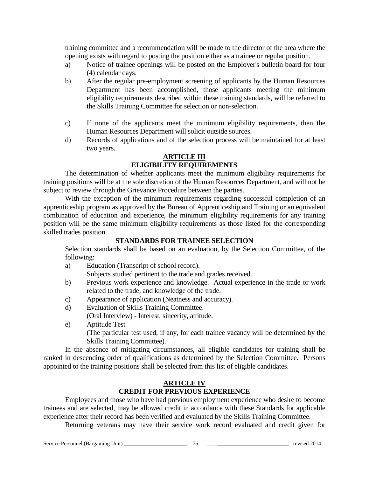training committee and a recommendation will be made to the director of the area where the opening exists with regard to posting the position either as a trainee or regular position.

- a) Notice of trainee openings will be posted on the Employer's bulletin board for four (4) calendar days.
- b) After the regular pre-employment screening of applicants by the Human Resources Department has been accomplished, those applicants meeting the minimum eligibility requirements described within these training standards, will be referred to the Skills Training Committee for selection or non-selection.
- c) If none of the applicants meet the minimum eligibility requirements, then the Human Resources Department will solicit outside sources.
- d) Records of applications and of the selection process will be maintained for at least two years.

## **ARTICLE III ELIGIBILITY REQUIREMENTS**

The determination of whether applicants meet the minimum eligibility requirements for training positions will be at the sole discretion of the Human Resources Department, and will not be subject to review through the Grievance Procedure between the parties.

With the exception of the minimum requirements regarding successful completion of an apprenticeship program as approved by the Bureau of Apprenticeship and Training or an equivalent combination of education and experience, the minimum eligibility requirements for any training position will be the same minimum eligibility requirements as those listed for the corresponding skilled trades position.

# **STANDARDS FOR TRAINEE SELECTION**

Selection standards shall be based on an evaluation, by the Selection Committee, of the following:

a) Education (Transcript of school record).

Subjects studied pertinent to the trade and grades received.

- b) Previous work experience and knowledge. Actual experience in the trade or work related to the trade, and knowledge of the trade.
- c) Appearance of application (Neatness and accuracy).
- d) Evaluation of Skills Training Committee.
- (Oral Interview) Interest, sincerity, attitude.
- e) Aptitude Test

(The particular test used, if any, for each trainee vacancy will be determined by the Skills Training Committee).

In the absence of mitigating circumstances, all eligible candidates for training shall be ranked in descending order of qualifications as determined by the Selection Committee. Persons appointed to the training positions shall be selected from this list of eligible candidates.

# **ARTICLE IV**

# **CREDIT FOR PREVIOUS EXPERIENCE**

Employees and those who have had previous employment experience who desire to become trainees and are selected, may be allowed credit in accordance with these Standards for applicable experience after their record has been verified and evaluated by the Skills Training Committee.

Returning veterans may have their service work record evaluated and credit given for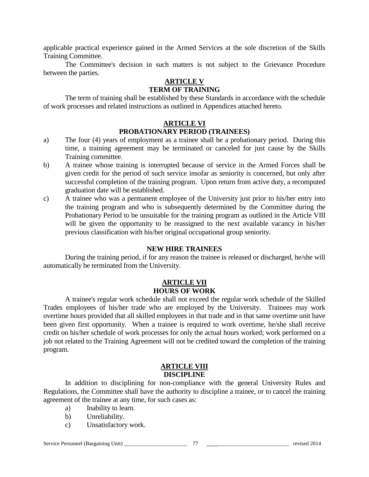applicable practical experience gained in the Armed Services at the sole discretion of the Skills Training Committee.

The Committee's decision in such matters is not subject to the Grievance Procedure between the parties.

# **ARTICLE V**

# **TERM OF TRAINING**

The term of training shall be established by these Standards in accordance with the schedule of work processes and related instructions as outlined in Appendices attached hereto.

# **ARTICLE VI PROBATIONARY PERIOD (TRAINEES)**

- a) The four (4) years of employment as a trainee shall be a probationary period. During this time, a training agreement may be terminated or canceled for just cause by the Skills Training committee.
- b) A trainee whose training is interrupted because of service in the Armed Forces shall be given credit for the period of such service insofar as seniority is concerned, but only after successful completion of the training program. Upon return from active duty, a recomputed graduation date will be established.
- c) A trainee who was a permanent employee of the University just prior to his/her entry into the training program and who is subsequently determined by the Committee during the Probationary Period to be unsuitable for the training program as outlined in the Article VIII will be given the opportunity to be reassigned to the next available vacancy in his/her previous classification with his/her original occupational group seniority.

# **NEW HIRE TRAINEES**

During the training period, if for any reason the trainee is released or discharged, he/she will automatically be terminated from the University.

# **ARTICLE VII HOURS OF WORK**

A trainee's regular work schedule shall not exceed the regular work schedule of the Skilled Trades employees of his/her trade who are employed by the University. Trainees may work overtime hours provided that all skilled employees in that trade and in that same overtime unit have been given first opportunity. When a trainee is required to work overtime, he/she shall receive credit on his/her schedule of work processes for only the actual hours worked; work performed on a job not related to the Training Agreement will not be credited toward the completion of the training program.

#### **ARTICLE VIII DISCIPLINE**

In addition to disciplining for non-compliance with the general University Rules and Regulations, the Committee shall have the authority to discipline a trainee, or to cancel the training agreement of the trainee at any time, for such cases as:

- a) Inability to learn.
- b) Unreliability.
- c) Unsatisfactory work.

#### Service Personnel (Bargaining Unit) \_\_\_\_\_\_\_\_\_\_\_\_\_\_\_\_\_\_\_\_\_\_\_ 77 \_\_\_\_\_\_\_\_\_\_\_\_\_\_\_\_\_\_\_\_\_\_\_\_\_\_\_\_\_ revised 2014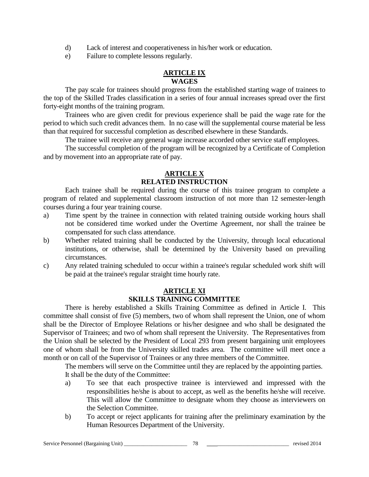- d) Lack of interest and cooperativeness in his/her work or education.
- e) Failure to complete lessons regularly.

# **ARTICLE IX WAGES**

The pay scale for trainees should progress from the established starting wage of trainees to the top of the Skilled Trades classification in a series of four annual increases spread over the first forty-eight months of the training program.

Trainees who are given credit for previous experience shall be paid the wage rate for the period to which such credit advances them. In no case will the supplemental course material be less than that required for successful completion as described elsewhere in these Standards.

The trainee will receive any general wage increase accorded other service staff employees.

The successful completion of the program will be recognized by a Certificate of Completion and by movement into an appropriate rate of pay.

# **ARTICLE X RELATED INSTRUCTION**

Each trainee shall be required during the course of this trainee program to complete a program of related and supplemental classroom instruction of not more than 12 semester-length courses during a four year training course.

- a) Time spent by the trainee in connection with related training outside working hours shall not be considered time worked under the Overtime Agreement, nor shall the trainee be compensated for such class attendance.
- b) Whether related training shall be conducted by the University, through local educational institutions, or otherwise, shall be determined by the University based on prevailing circumstances.
- c) Any related training scheduled to occur within a trainee's regular scheduled work shift will be paid at the trainee's regular straight time hourly rate.

# **ARTICLE XI SKILLS TRAINING COMMITTEE**

There is hereby established a Skills Training Committee as defined in Article I. This committee shall consist of five (5) members, two of whom shall represent the Union, one of whom shall be the Director of Employee Relations or his/her designee and who shall be designated the Supervisor of Trainees; and two of whom shall represent the University. The Representatives from the Union shall be selected by the President of Local 293 from present bargaining unit employees one of whom shall be from the University skilled trades area. The committee will meet once a month or on call of the Supervisor of Trainees or any three members of the Committee.

The members will serve on the Committee until they are replaced by the appointing parties. It shall be the duty of the Committee:

- a) To see that each prospective trainee is interviewed and impressed with the responsibilities he/she is about to accept, as well as the benefits he/she will receive. This will allow the Committee to designate whom they choose as interviewers on the Selection Committee.
- b) To accept or reject applicants for training after the preliminary examination by the Human Resources Department of the University.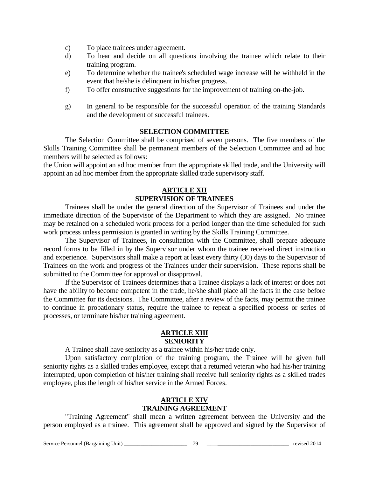- c) To place trainees under agreement.
- d) To hear and decide on all questions involving the trainee which relate to their training program.
- e) To determine whether the trainee's scheduled wage increase will be withheld in the event that he/she is delinquent in his/her progress.
- f) To offer constructive suggestions for the improvement of training on-the-job.
- g) In general to be responsible for the successful operation of the training Standards and the development of successful trainees.

# **SELECTION COMMITTEE**

The Selection Committee shall be comprised of seven persons. The five members of the Skills Training Committee shall be permanent members of the Selection Committee and ad hoc members will be selected as follows:

the Union will appoint an ad hoc member from the appropriate skilled trade, and the University will appoint an ad hoc member from the appropriate skilled trade supervisory staff.

# **ARTICLE XII SUPERVISION OF TRAINEES**

Trainees shall be under the general direction of the Supervisor of Trainees and under the immediate direction of the Supervisor of the Department to which they are assigned. No trainee may be retained on a scheduled work process for a period longer than the time scheduled for such work process unless permission is granted in writing by the Skills Training Committee.

The Supervisor of Trainees, in consultation with the Committee, shall prepare adequate record forms to be filled in by the Supervisor under whom the trainee received direct instruction and experience. Supervisors shall make a report at least every thirty (30) days to the Supervisor of Trainees on the work and progress of the Trainees under their supervision. These reports shall be submitted to the Committee for approval or disapproval.

If the Supervisor of Trainees determines that a Trainee displays a lack of interest or does not have the ability to become competent in the trade, he/she shall place all the facts in the case before the Committee for its decisions. The Committee, after a review of the facts, may permit the trainee to continue in probationary status, require the trainee to repeat a specified process or series of processes, or terminate his/her training agreement.

# **ARTICLE XIII SENIORITY**

A Trainee shall have seniority as a trainee within his/her trade only.

Upon satisfactory completion of the training program, the Trainee will be given full seniority rights as a skilled trades employee, except that a returned veteran who had his/her training interrupted, upon completion of his/her training shall receive full seniority rights as a skilled trades employee, plus the length of his/her service in the Armed Forces.

#### **ARTICLE XIV TRAINING AGREEMENT**

"Training Agreement" shall mean a written agreement between the University and the person employed as a trainee. This agreement shall be approved and signed by the Supervisor of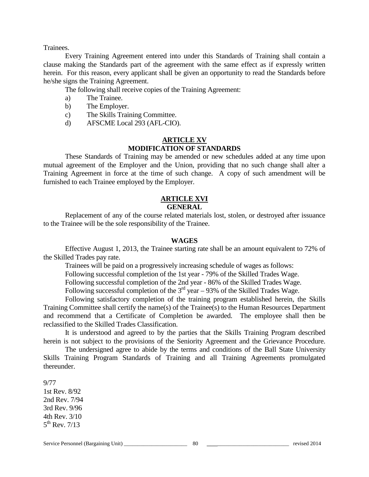Trainees.

Every Training Agreement entered into under this Standards of Training shall contain a clause making the Standards part of the agreement with the same effect as if expressly written herein. For this reason, every applicant shall be given an opportunity to read the Standards before he/she signs the Training Agreement.

The following shall receive copies of the Training Agreement:

- a) The Trainee.
- b) The Employer.
- c) The Skills Training Committee.
- d) AFSCME Local 293 (AFL-CIO).

# **ARTICLE XV MODIFICATION OF STANDARDS**

These Standards of Training may be amended or new schedules added at any time upon mutual agreement of the Employer and the Union, providing that no such change shall alter a Training Agreement in force at the time of such change. A copy of such amendment will be furnished to each Trainee employed by the Employer.

# **ARTICLE XVI**

# **GENERAL**

Replacement of any of the course related materials lost, stolen, or destroyed after issuance to the Trainee will be the sole responsibility of the Trainee.

#### **WAGES**

Effective August 1, 2013, the Trainee starting rate shall be an amount equivalent to 72% of the Skilled Trades pay rate.

Trainees will be paid on a progressively increasing schedule of wages as follows:

Following successful completion of the 1st year - 79% of the Skilled Trades Wage.

Following successful completion of the 2nd year - 86% of the Skilled Trades Wage.

Following successful completion of the  $3<sup>rd</sup>$  year – 93% of the Skilled Trades Wage.

Following satisfactory completion of the training program established herein, the Skills Training Committee shall certify the name(s) of the Trainee(s) to the Human Resources Department and recommend that a Certificate of Completion be awarded. The employee shall then be reclassified to the Skilled Trades Classification.

It is understood and agreed to by the parties that the Skills Training Program described herein is not subject to the provisions of the Seniority Agreement and the Grievance Procedure.

The undersigned agree to abide by the terms and conditions of the Ball State University Skills Training Program Standards of Training and all Training Agreements promulgated thereunder.

9/77

1st Rev. 8/92 2nd Rev. 7/94 3rd Rev. 9/96 4th Rev. 3/10  $5^{th}$  Rev. 7/13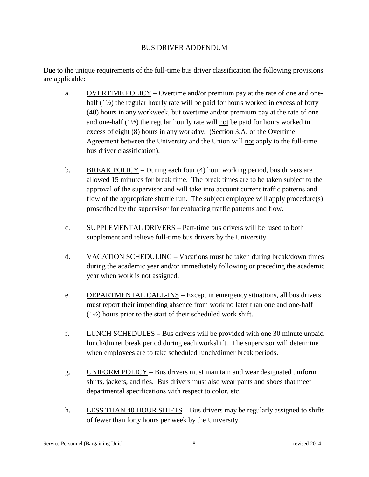# BUS DRIVER ADDENDUM

Due to the unique requirements of the full-time bus driver classification the following provisions are applicable:

- a. OVERTIME POLICY Overtime and/or premium pay at the rate of one and onehalf (1<sup>1</sup>/<sub>2</sub>) the regular hourly rate will be paid for hours worked in excess of forty (40) hours in any workweek, but overtime and/or premium pay at the rate of one and one-half (1½) the regular hourly rate will not be paid for hours worked in excess of eight (8) hours in any workday. (Section 3.A. of the Overtime Agreement between the University and the Union will not apply to the full-time bus driver classification).
- b. BREAK POLICY During each four  $(4)$  hour working period, bus drivers are allowed 15 minutes for break time. The break times are to be taken subject to the approval of the supervisor and will take into account current traffic patterns and flow of the appropriate shuttle run. The subject employee will apply procedure(s) proscribed by the supervisor for evaluating traffic patterns and flow.
- c. SUPPLEMENTAL DRIVERS Part-time bus drivers will be used to both supplement and relieve full-time bus drivers by the University.
- d. VACATION SCHEDULING Vacations must be taken during break/down times during the academic year and/or immediately following or preceding the academic year when work is not assigned.
- e. DEPARTMENTAL CALL-INS Except in emergency situations, all bus drivers must report their impending absence from work no later than one and one-half (1½) hours prior to the start of their scheduled work shift.
- f. LUNCH SCHEDULES Bus drivers will be provided with one 30 minute unpaid lunch/dinner break period during each workshift. The supervisor will determine when employees are to take scheduled lunch/dinner break periods.
- g. UNIFORM POLICY Bus drivers must maintain and wear designated uniform shirts, jackets, and ties. Bus drivers must also wear pants and shoes that meet departmental specifications with respect to color, etc.
- h. LESS THAN 40 HOUR SHIFTS Bus drivers may be regularly assigned to shifts of fewer than forty hours per week by the University.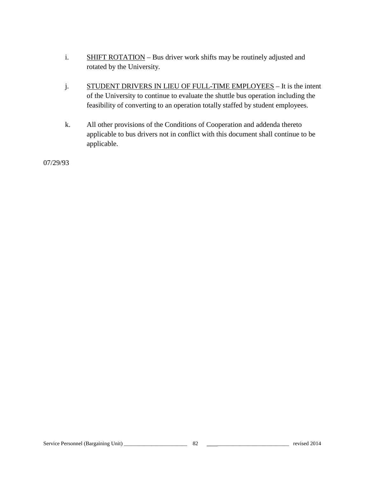- i. SHIFT ROTATION Bus driver work shifts may be routinely adjusted and rotated by the University.
- j. STUDENT DRIVERS IN LIEU OF FULL-TIME EMPLOYEES It is the intent of the University to continue to evaluate the shuttle bus operation including the feasibility of converting to an operation totally staffed by student employees.
- k. All other provisions of the Conditions of Cooperation and addenda thereto applicable to bus drivers not in conflict with this document shall continue to be applicable.

07/29/93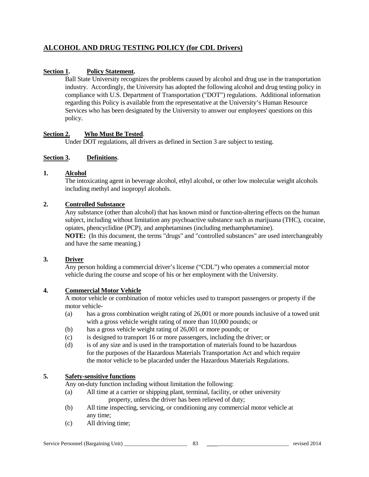# **ALCOHOL AND DRUG TESTING POLICY (for CDL Drivers)**

# **Section 1. Policy Statement.**

Ball State University recognizes the problems caused by alcohol and drug use in the transportation industry. Accordingly, the University has adopted the following alcohol and drug testing policy in compliance with U.S. Department of Transportation ("DOT") regulations. Additional information regarding this Policy is available from the representative at the University's Human Resource Services who has been designated by the University to answer our employees' questions on this policy.

#### **Section 2. Who Must Be Tested**.

Under DOT regulations, all drivers as defined in Section 3 are subject to testing.

#### **Section 3. Definitions**.

#### **1. Alcohol**

The intoxicating agent in beverage alcohol, ethyl alcohol, or other low molecular weight alcohols including methyl and isopropyl alcohols.

#### **2. Controlled Substance**

Any substance (other than alcohol) that has known mind or function-altering effects on the human subject, including without limitation any psychoactive substance such as marijuana (THC), cocaine, opiates, phencyclidine (PCP), and amphetamines (including methamphetamine).

**NOTE:** (In this document, the terms "drugs" and "controlled substances" are used interchangeably and have the same meaning.)

#### **3. Driver**

Any person holding a commercial driver's license ("CDL") who operates a commercial motor vehicle during the course and scope of his or her employment with the University.

#### **4. Commercial Motor Vehicle**

A motor vehicle or combination of motor vehicles used to transport passengers or property if the motor vehicle-

- (a) has a gross combination weight rating of 26,001 or more pounds inclusive of a towed unit with a gross vehicle weight rating of more than 10,000 pounds; or
- (b) has a gross vehicle weight rating of 26,001 or more pounds; or
- (c) is designed to transport 16 or more passengers, including the driver; or
- (d) is of any size and is used in the transportation of materials found to be hazardous for the purposes of the Hazardous Materials Transportation Act and which require the motor vehicle to be placarded under the Hazardous Materials Regulations.

# **5. Safety-sensitive functions**

Any on-duty function including without limitation the following:

- (a) All time at a carrier or shipping plant, terminal, facility, or other university property, unless the driver has been relieved of duty;
- (b) All time inspecting, servicing, or conditioning any commercial motor vehicle at any time;
- (c) All driving time;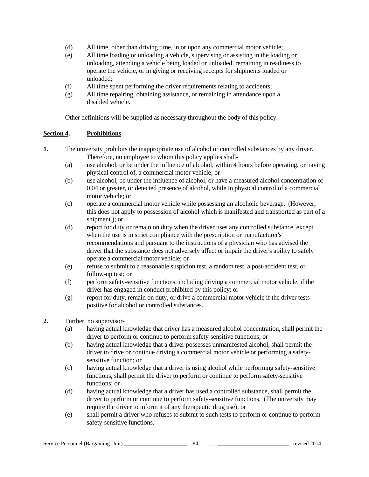- (d) All time, other than driving time, in or upon any commercial motor vehicle;
- (e) All time loading or unloading a vehicle, supervising or assisting in the loading or unloading, attending a vehicle being loaded or unloaded, remaining in readiness to operate the vehicle, or in giving or receiving receipts for shipments loaded or unloaded;
- (f) All time spent performing the driver requirements relating to accidents;
- (g) All time repairing, obtaining assistance, or remaining in attendance upon a disabled vehicle.

Other definitions will be supplied as necessary throughout the body of this policy.

#### **Section 4. Prohibitions**.

- **1.** The university prohibits the inappropriate use of alcohol or controlled substances by any driver. Therefore, no employee to whom this policy applies shall-
	- (a) use alcohol, or be under the influence of alcohol, within 4 hours before operating, or having physical control of, a commercial motor vehicle; or
	- (b) use alcohol, be under the influence of alcohol, or have a measured alcohol concentration of 0.04 or greater, or detected presence of alcohol, while in physical control of a commercial motor vehicle; or
	- (c) operate a commercial motor vehicle while possessing an alcoholic beverage. (However, this does not apply to possession of alcohol which is manifested and transported as part of a shipment.); or
	- (d) report for duty or remain on duty when the driver uses any controlled substance, except when the use is in strict compliance with the prescription or manufacturer's recommendations and pursuant to the instructions of a physician who has advised the driver that the substance does not adversely affect or impair the driver's ability to safely operate a commercial motor vehicle; or
	- (e) refuse to submit to a reasonable suspicion test, a random test, a post-accident test, or follow-up test; or
	- (f) perform safety-sensitive functions, including driving a commercial motor vehicle, if the driver has engaged in conduct prohibited by this policy; or
	- (g) report for duty, remain on duty, or drive a commercial motor vehicle if the driver tests positive for alcohol or controlled substances.
- **2.** Further, no supervisor-
	- (a) having actual knowledge that driver has a measured alcohol concentration, shall permit the driver to perform or continue to perform safety-sensitive functions; or
	- (b) having actual knowledge that a driver possesses unmanifested alcohol, shall permit the driver to drive or continue driving a commercial motor vehicle or performing a safetysensitive function; or
	- (c) having actual knowledge that a driver is using alcohol while performing safety-sensitive functions, shall permit the driver to perform or continue to perform safety-sensitive functions; or
	- (d) having actual knowledge that a driver has used a controlled substance, shall permit the driver to perform or continue to perform safety-sensitive functions. (The university may require the driver to inform it of any therapeutic drug use); or
	- (e) shall permit a driver who refuses to submit to such tests to perform or continue to perform safety-sensitive functions.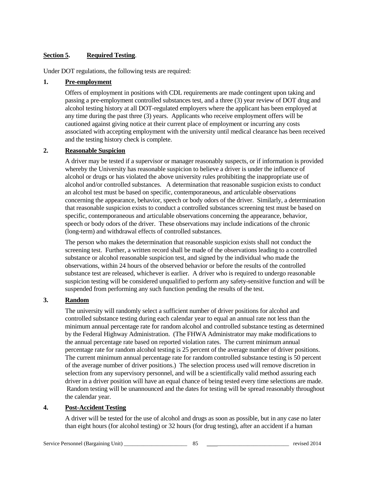# **Section 5. Required Testing**.

Under DOT regulations, the following tests are required:

## **1. Pre-employment**

Offers of employment in positions with CDL requirements are made contingent upon taking and passing a pre-employment controlled substances test, and a three (3) year review of DOT drug and alcohol testing history at all DOT-regulated employers where the applicant has been employed at any time during the past three (3) years. Applicants who receive employment offers will be cautioned against giving notice at their current place of employment or incurring any costs associated with accepting employment with the university until medical clearance has been received and the testing history check is complete.

## **2. Reasonable Suspicion**

A driver may be tested if a supervisor or manager reasonably suspects, or if information is provided whereby the University has reasonable suspicion to believe a driver is under the influence of alcohol or drugs or has violated the above university rules prohibiting the inappropriate use of alcohol and/or controlled substances. A determination that reasonable suspicion exists to conduct an alcohol test must be based on specific, contemporaneous, and articulable observations concerning the appearance, behavior, speech or body odors of the driver. Similarly, a determination that reasonable suspicion exists to conduct a controlled substances screening test must be based on specific, contemporaneous and articulable observations concerning the appearance, behavior, speech or body odors of the driver. These observations may include indications of the chronic (long-term) and withdrawal effects of controlled substances.

The person who makes the determination that reasonable suspicion exists shall not conduct the screening test. Further, a written record shall be made of the observations leading to a controlled substance or alcohol reasonable suspicion test, and signed by the individual who made the observations, within 24 hours of the observed behavior or before the results of the controlled substance test are released, whichever is earlier. A driver who is required to undergo reasonable suspicion testing will be considered unqualified to perform any safety-sensitive function and will be suspended from performing any such function pending the results of the test.

# **3. Random**

The university will randomly select a sufficient number of driver positions for alcohol and controlled substance testing during each calendar year to equal an annual rate not less than the minimum annual percentage rate for random alcohol and controlled substance testing as determined by the Federal Highway Administration. (The FHWA Administrator may make modifications to the annual percentage rate based on reported violation rates. The current minimum annual percentage rate for random alcohol testing is 25 percent of the average number of driver positions. The current minimum annual percentage rate for random controlled substance testing is 50 percent of the average number of driver positions.) The selection process used will remove discretion in selection from any supervisory personnel, and will be a scientifically valid method assuring each driver in a driver position will have an equal chance of being tested every time selections are made. Random testing will be unannounced and the dates for testing will be spread reasonably throughout the calendar year.

#### **4. Post-Accident Testing**

A driver will be tested for the use of alcohol and drugs as soon as possible, but in any case no later than eight hours (for alcohol testing) or 32 hours (for drug testing), after an accident if a human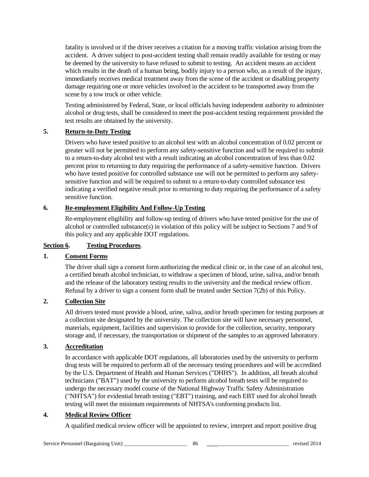fatality is involved or if the driver receives a citation for a moving traffic violation arising from the accident. A driver subject to post-accident testing shall remain readily available for testing or may be deemed by the university to have refused to submit to testing. An accident means an accident which results in the death of a human being, bodily injury to a person who, as a result of the injury, immediately receives medical treatment away from the scene of the accident or disabling property damage requiring one or more vehicles involved in the accident to be transported away from the scene by a tow truck or other vehicle.

Testing administered by Federal, State, or local officials having independent authority to administer alcohol or drug tests, shall be considered to meet the post-accident testing requirement provided the test results are obtained by the university.

# **5. Return-to-Duty Testing**

Drivers who have tested positive to an alcohol test with an alcohol concentration of 0.02 percent or greater will not be permitted to perform any safety-sensitive function and will be required to submit to a return-to-duty alcohol test with a result indicating an alcohol concentration of less than 0.02 percent prior to returning to duty requiring the performance of a safety-sensitive function. Drivers who have tested positive for controlled substance use will not be permitted to perform any safetysensitive function and will be required to submit to a return-to-duty controlled substance test indicating a verified negative result prior to returning to duty requiring the performance of a safety sensitive function.

# **6. Re-employment Eligibility And Follow-Up Testing**

Re-employment eligibility and follow-up testing of drivers who have tested positive for the use of alcohol or controlled substance(s) in violation of this policy will be subject to Sections 7 and 9 of this policy and any applicable DOT regulations.

# **Section 6. Testing Procedures**.

# **1. Consent Forms**

The driver shall sign a consent form authorizing the medical clinic or, in the case of an alcohol test, a certified breath alcohol technician, to withdraw a specimen of blood, urine, saliva, and/or breath and the release of the laboratory testing results to the university and the medical review officer. Refusal by a driver to sign a consent form shall be treated under Section 7(2b) of this Policy.

# **2. Collection Site**

All drivers tested must provide a blood, urine, saliva, and/or breath specimen for testing purposes at a collection site designated by the university. The collection site will have necessary personnel, materials, equipment, facilities and supervision to provide for the collection, security, temporary storage and, if necessary, the transportation or shipment of the samples to an approved laboratory.

# **3. Accreditation**

In accordance with applicable DOT regulations, all laboratories used by the university to perform drug tests will be required to perform all of the necessary testing procedures and will be accredited by the U.S. Department of Health and Human Services ("DHHS"). In addition, all breath alcohol technicians ("BAT") used by the university to perform alcohol breath tests will be required to undergo the necessary model course of the National Highway Traffic Safety Administration ("NHTSA") for evidential breath testing ("EBT") training, and each EBT used for alcohol breath testing will meet the minimum requirements of NHTSA's conforming products list.

# **4. Medical Review Officer**

A qualified medical review officer will be appointed to review, interpret and report positive drug

Service Personnel (Bargaining Unit) \_\_\_\_\_\_\_\_\_\_\_\_\_\_\_\_\_\_\_\_\_\_\_ 86 \_\_\_\_\_\_\_\_\_\_\_\_\_\_\_\_\_\_\_\_\_\_\_\_\_\_\_\_\_ revised 2014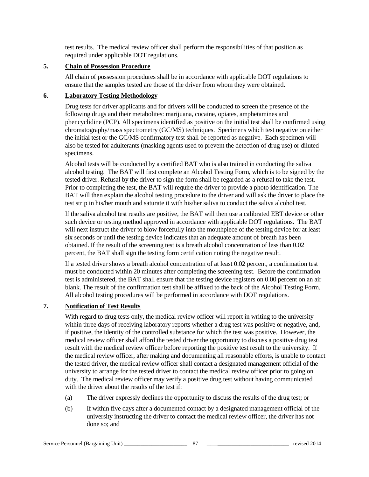test results. The medical review officer shall perform the responsibilities of that position as required under applicable DOT regulations.

# **5. Chain of Possession Procedure**

All chain of possession procedures shall be in accordance with applicable DOT regulations to ensure that the samples tested are those of the driver from whom they were obtained.

## **6. Laboratory Testing Methodology**

Drug tests for driver applicants and for drivers will be conducted to screen the presence of the following drugs and their metabolites: marijuana, cocaine, opiates, amphetamines and phencyclidine (PCP). All specimens identified as positive on the initial test shall be confirmed using chromatography/mass spectrometry (GC/MS) techniques. Specimens which test negative on either the initial test or the GC/MS confirmatory test shall be reported as negative. Each specimen will also be tested for adulterants (masking agents used to prevent the detection of drug use) or diluted specimens.

Alcohol tests will be conducted by a certified BAT who is also trained in conducting the saliva alcohol testing. The BAT will first complete an Alcohol Testing Form, which is to be signed by the tested driver. Refusal by the driver to sign the form shall be regarded as a refusal to take the test. Prior to completing the test, the BAT will require the driver to provide a photo identification. The BAT will then explain the alcohol testing procedure to the driver and will ask the driver to place the test strip in his/her mouth and saturate it with his/her saliva to conduct the saliva alcohol test.

If the saliva alcohol test results are positive, the BAT will then use a calibrated EBT device or other such device or testing method approved in accordance with applicable DOT regulations. The BAT will next instruct the driver to blow forcefully into the mouthpiece of the testing device for at least six seconds or until the testing device indicates that an adequate amount of breath has been obtained. If the result of the screening test is a breath alcohol concentration of less than 0.02 percent, the BAT shall sign the testing form certification noting the negative result.

If a tested driver shows a breath alcohol concentration of at least 0.02 percent, a confirmation test must be conducted within 20 minutes after completing the screening test. Before the confirmation test is administered, the BAT shall ensure that the testing device registers on 0.00 percent on an air blank. The result of the confirmation test shall be affixed to the back of the Alcohol Testing Form. All alcohol testing procedures will be performed in accordance with DOT regulations.

# **7. Notification of Test Results**

With regard to drug tests only, the medical review officer will report in writing to the university within three days of receiving laboratory reports whether a drug test was positive or negative, and, if positive, the identity of the controlled substance for which the test was positive. However, the medical review officer shall afford the tested driver the opportunity to discuss a positive drug test result with the medical review officer before reporting the positive test result to the university. If the medical review officer, after making and documenting all reasonable efforts, is unable to contact the tested driver, the medical review officer shall contact a designated management official of the university to arrange for the tested driver to contact the medical review officer prior to going on duty. The medical review officer may verify a positive drug test without having communicated with the driver about the results of the test if:

- (a) The driver expressly declines the opportunity to discuss the results of the drug test; or
- (b) If within five days after a documented contact by a designated management official of the university instructing the driver to contact the medical review officer, the driver has not done so; and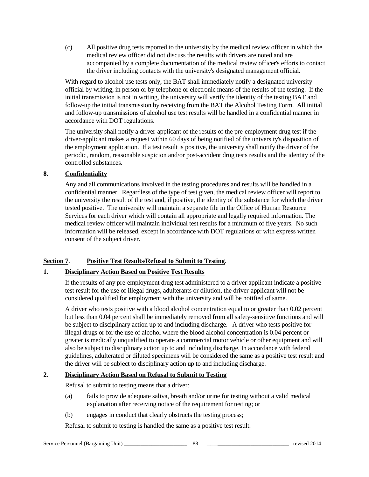(c) All positive drug tests reported to the university by the medical review officer in which the medical review officer did not discuss the results with drivers are noted and are accompanied by a complete documentation of the medical review officer's efforts to contact the driver including contacts with the university's designated management official.

With regard to alcohol use tests only, the BAT shall immediately notify a designated university official by writing, in person or by telephone or electronic means of the results of the testing. If the initial transmission is not in writing, the university will verify the identity of the testing BAT and follow-up the initial transmission by receiving from the BAT the Alcohol Testing Form. All initial and follow-up transmissions of alcohol use test results will be handled in a confidential manner in accordance with DOT regulations.

The university shall notify a driver-applicant of the results of the pre-employment drug test if the driver-applicant makes a request within 60 days of being notified of the university's disposition of the employment application. If a test result is positive, the university shall notify the driver of the periodic, random, reasonable suspicion and/or post-accident drug tests results and the identity of the controlled substances.

# **8. Confidentiality**

Any and all communications involved in the testing procedures and results will be handled in a confidential manner. Regardless of the type of test given, the medical review officer will report to the university the result of the test and, if positive, the identity of the substance for which the driver tested positive. The university will maintain a separate file in the Office of Human Resource Services for each driver which will contain all appropriate and legally required information. The medical review officer will maintain individual test results for a minimum of five years. No such information will be released, except in accordance with DOT regulations or with express written consent of the subject driver.

# **Section 7**. **Positive Test Results/Refusal to Submit to Testing**.

# **1. Disciplinary Action Based on Positive Test Results**

If the results of any pre-employment drug test administered to a driver applicant indicate a positive test result for the use of illegal drugs, adulterants or dilution, the driver-applicant will not be considered qualified for employment with the university and will be notified of same.

A driver who tests positive with a blood alcohol concentration equal to or greater than 0.02 percent but less than 0.04 percent shall be immediately removed from all safety-sensitive functions and will be subject to disciplinary action up to and including discharge. A driver who tests positive for illegal drugs or for the use of alcohol where the blood alcohol concentration is 0.04 percent or greater is medically unqualified to operate a commercial motor vehicle or other equipment and will also be subject to disciplinary action up to and including discharge. In accordance with federal guidelines, adulterated or diluted specimens will be considered the same as a positive test result and the driver will be subject to disciplinary action up to and including discharge.

# **2. Disciplinary Action Based on Refusal to Submit to Testing**

Refusal to submit to testing means that a driver:

- (a) fails to provide adequate saliva, breath and/or urine for testing without a valid medical explanation after receiving notice of the requirement for testing; or
- (b) engages in conduct that clearly obstructs the testing process;

Refusal to submit to testing is handled the same as a positive test result.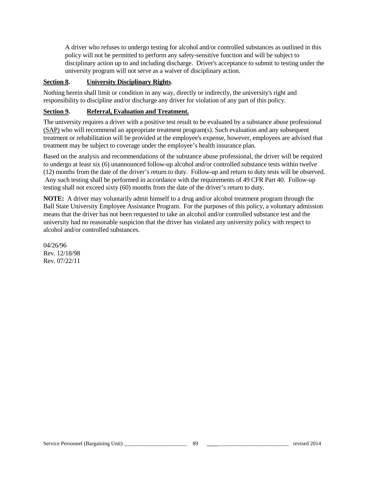A driver who refuses to undergo testing for alcohol and/or controlled substances as outlined in this policy will not be permitted to perform any safety-sensitive function and will be subject to disciplinary action up to and including discharge. Driver's acceptance to submit to testing under the university program will not serve as a waiver of disciplinary action.

# **Section 8. University Disciplinary Rights**.

Nothing herein shall limit or condition in any way, directly or indirectly, the university's right and responsibility to discipline and/or discharge any driver for violation of any part of this policy.

# **Section 9. Referral, Evaluation and Treatment.**

The university requires a driver with a positive test result to be evaluated by a substance abuse professional (SAP) who will recommend an appropriate treatment program(s). Such evaluation and any subsequent treatment or rehabilitation will be provided at the employee's expense, however, employees are advised that treatment may be subject to coverage under the employee's health insurance plan.

Based on the analysis and recommendations of the substance abuse professional, the driver will be required to undergo at least six (6) unannounced follow-up alcohol and/or controlled substance tests within twelve (12) months from the date of the driver's return to duty. Follow-up and return to duty tests will be observed. Any such testing shall be performed in accordance with the requirements of 49 CFR Part 40. Follow-up testing shall not exceed sixty (60) months from the date of the driver's return to duty.

**NOTE:** A driver may voluntarily admit himself to a drug and/or alcohol treatment program through the Ball State University Employee Assistance Program. For the purposes of this policy, a voluntary admission means that the driver has not been requested to take an alcohol and/or controlled substance test and the university had no reasonable suspicion that the driver has violated any university policy with respect to alcohol and/or controlled substances.

04/26/96 Rev. 12/18/98 Rev. 07/22/11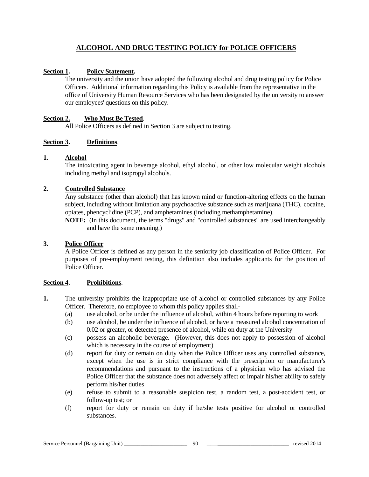# **ALCOHOL AND DRUG TESTING POLICY for POLICE OFFICERS**

## **Section 1. Policy Statement.**

The university and the union have adopted the following alcohol and drug testing policy for Police Officers. Additional information regarding this Policy is available from the representative in the office of University Human Resource Services who has been designated by the university to answer our employees' questions on this policy.

#### **Section 2. Who Must Be Tested**.

All Police Officers as defined in Section 3 are subject to testing.

#### **Section 3. Definitions**.

#### **1. Alcohol**

The intoxicating agent in beverage alcohol, ethyl alcohol, or other low molecular weight alcohols including methyl and isopropyl alcohols.

#### **2. Controlled Substance**

Any substance (other than alcohol) that has known mind or function-altering effects on the human subject, including without limitation any psychoactive substance such as marijuana (THC), cocaine, opiates, phencyclidine (PCP), and amphetamines (including methamphetamine).

**NOTE:** (In this document, the terms "drugs" and "controlled substances" are used interchangeably and have the same meaning.)

# **3. Police Officer**

A Police Officer is defined as any person in the seniority job classification of Police Officer. For purposes of pre-employment testing, this definition also includes applicants for the position of Police Officer.

#### **Section 4. Prohibitions**.

- **1.** The university prohibits the inappropriate use of alcohol or controlled substances by any Police Officer. Therefore, no employee to whom this policy applies shall-
	- (a) use alcohol, or be under the influence of alcohol, within 4 hours before reporting to work
	- (b) use alcohol, be under the influence of alcohol, or have a measured alcohol concentration of 0.02 or greater, or detected presence of alcohol, while on duty at the University
	- (c) possess an alcoholic beverage. (However, this does not apply to possession of alcohol which is necessary in the course of employment)
	- (d) report for duty or remain on duty when the Police Officer uses any controlled substance, except when the use is in strict compliance with the prescription or manufacturer's recommendations and pursuant to the instructions of a physician who has advised the Police Officer that the substance does not adversely affect or impair his/her ability to safely perform his/her duties
	- (e) refuse to submit to a reasonable suspicion test, a random test, a post-accident test, or follow-up test; or
	- (f) report for duty or remain on duty if he/she tests positive for alcohol or controlled substances.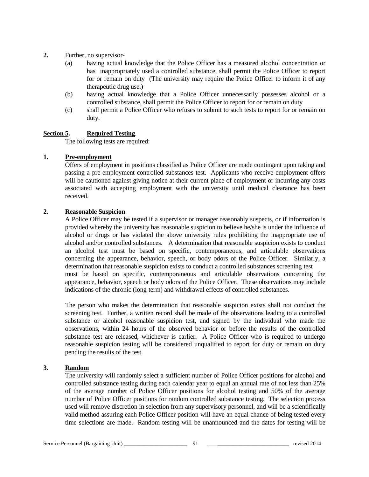- **2.** Further, no supervisor-
	- (a) having actual knowledge that the Police Officer has a measured alcohol concentration or has inappropriately used a controlled substance, shall permit the Police Officer to report for or remain on duty (The university may require the Police Officer to inform it of any therapeutic drug use.)
	- (b) having actual knowledge that a Police Officer unnecessarily possesses alcohol or a controlled substance, shall permit the Police Officer to report for or remain on duty
	- (c) shall permit a Police Officer who refuses to submit to such tests to report for or remain on duty.

#### **Section 5. Required Testing**.

The following tests are required:

#### **1. Pre-employment**

Offers of employment in positions classified as Police Officer are made contingent upon taking and passing a pre-employment controlled substances test. Applicants who receive employment offers will be cautioned against giving notice at their current place of employment or incurring any costs associated with accepting employment with the university until medical clearance has been received.

#### **2. Reasonable Suspicion**

A Police Officer may be tested if a supervisor or manager reasonably suspects, or if information is provided whereby the university has reasonable suspicion to believe he/she is under the influence of alcohol or drugs or has violated the above university rules prohibiting the inappropriate use of alcohol and/or controlled substances. A determination that reasonable suspicion exists to conduct an alcohol test must be based on specific, contemporaneous, and articulable observations concerning the appearance, behavior, speech, or body odors of the Police Officer. Similarly, a determination that reasonable suspicion exists to conduct a controlled substances screening test must be based on specific, contemporaneous and articulable observations concerning the appearance, behavior, speech or body odors of the Police Officer. These observations may include indications of the chronic (long-term) and withdrawal effects of controlled substances.

The person who makes the determination that reasonable suspicion exists shall not conduct the screening test. Further, a written record shall be made of the observations leading to a controlled substance or alcohol reasonable suspicion test, and signed by the individual who made the observations, within 24 hours of the observed behavior or before the results of the controlled substance test are released, whichever is earlier. A Police Officer who is required to undergo reasonable suspicion testing will be considered unqualified to report for duty or remain on duty pending the results of the test.

#### **3. Random**

The university will randomly select a sufficient number of Police Officer positions for alcohol and controlled substance testing during each calendar year to equal an annual rate of not less than 25% of the average number of Police Officer positions for alcohol testing and 50% of the average number of Police Officer positions for random controlled substance testing. The selection process used will remove discretion in selection from any supervisory personnel, and will be a scientifically valid method assuring each Police Officer position will have an equal chance of being tested every time selections are made. Random testing will be unannounced and the dates for testing will be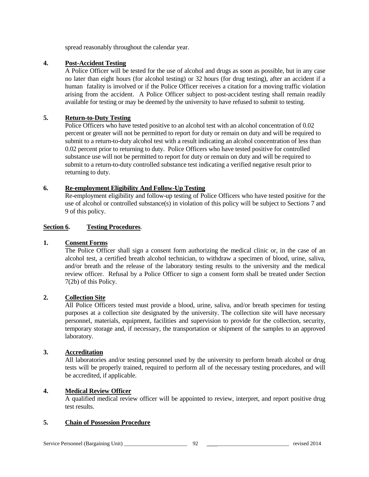spread reasonably throughout the calendar year.

#### **4. Post-Accident Testing**

A Police Officer will be tested for the use of alcohol and drugs as soon as possible, but in any case no later than eight hours (for alcohol testing) or 32 hours (for drug testing), after an accident if a human fatality is involved or if the Police Officer receives a citation for a moving traffic violation arising from the accident. A Police Officer subject to post-accident testing shall remain readily available for testing or may be deemed by the university to have refused to submit to testing.

#### **5. Return-to-Duty Testing**

Police Officers who have tested positive to an alcohol test with an alcohol concentration of 0.02 percent or greater will not be permitted to report for duty or remain on duty and will be required to submit to a return-to-duty alcohol test with a result indicating an alcohol concentration of less than 0.02 percent prior to returning to duty. Police Officers who have tested positive for controlled substance use will not be permitted to report for duty or remain on duty and will be required to submit to a return-to-duty controlled substance test indicating a verified negative result prior to returning to duty.

#### **6. Re-employment Eligibility And Follow-Up Testing**

Re-employment eligibility and follow-up testing of Police Officers who have tested positive for the use of alcohol or controlled substance(s) in violation of this policy will be subject to Sections 7 and 9 of this policy.

#### **Section 6. Testing Procedures**.

#### **1. Consent Forms**

The Police Officer shall sign a consent form authorizing the medical clinic or, in the case of an alcohol test, a certified breath alcohol technician, to withdraw a specimen of blood, urine, saliva, and/or breath and the release of the laboratory testing results to the university and the medical review officer. Refusal by a Police Officer to sign a consent form shall be treated under Section 7(2b) of this Policy.

# **2. Collection Site**

All Police Officers tested must provide a blood, urine, saliva, and/or breath specimen for testing purposes at a collection site designated by the university. The collection site will have necessary personnel, materials, equipment, facilities and supervision to provide for the collection, security, temporary storage and, if necessary, the transportation or shipment of the samples to an approved laboratory.

#### **3. Accreditation**

All laboratories and/or testing personnel used by the university to perform breath alcohol or drug tests will be properly trained, required to perform all of the necessary testing procedures, and will be accredited, if applicable.

#### **4. Medical Review Officer**

A qualified medical review officer will be appointed to review, interpret, and report positive drug test results.

#### **5. Chain of Possession Procedure**

Service Personnel (Bargaining Unit) \_\_\_\_\_\_\_\_\_\_\_\_\_\_\_\_\_\_\_\_\_\_\_ 92 \_\_\_\_\_\_\_\_\_\_\_\_\_\_\_\_\_\_\_\_\_\_\_\_\_\_\_\_\_ revised 2014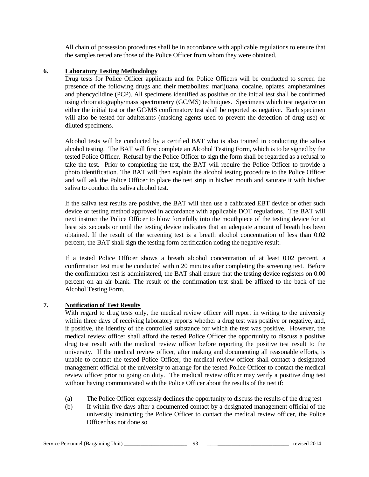All chain of possession procedures shall be in accordance with applicable regulations to ensure that the samples tested are those of the Police Officer from whom they were obtained.

## **6. Laboratory Testing Methodology**

Drug tests for Police Officer applicants and for Police Officers will be conducted to screen the presence of the following drugs and their metabolites: marijuana, cocaine, opiates, amphetamines and phencyclidine (PCP). All specimens identified as positive on the initial test shall be confirmed using chromatography/mass spectrometry (GC/MS) techniques. Specimens which test negative on either the initial test or the GC/MS confirmatory test shall be reported as negative. Each specimen will also be tested for adulterants (masking agents used to prevent the detection of drug use) or diluted specimens.

Alcohol tests will be conducted by a certified BAT who is also trained in conducting the saliva alcohol testing. The BAT will first complete an Alcohol Testing Form, which is to be signed by the tested Police Officer. Refusal by the Police Officer to sign the form shall be regarded as a refusal to take the test. Prior to completing the test, the BAT will require the Police Officer to provide a photo identification. The BAT will then explain the alcohol testing procedure to the Police Officer and will ask the Police Officer to place the test strip in his/her mouth and saturate it with his/her saliva to conduct the saliva alcohol test.

If the saliva test results are positive, the BAT will then use a calibrated EBT device or other such device or testing method approved in accordance with applicable DOT regulations. The BAT will next instruct the Police Officer to blow forcefully into the mouthpiece of the testing device for at least six seconds or until the testing device indicates that an adequate amount of breath has been obtained. If the result of the screening test is a breath alcohol concentration of less than 0.02 percent, the BAT shall sign the testing form certification noting the negative result.

If a tested Police Officer shows a breath alcohol concentration of at least 0.02 percent, a confirmation test must be conducted within 20 minutes after completing the screening test. Before the confirmation test is administered, the BAT shall ensure that the testing device registers on 0.00 percent on an air blank. The result of the confirmation test shall be affixed to the back of the Alcohol Testing Form.

# **7. Notification of Test Results**

With regard to drug tests only, the medical review officer will report in writing to the university within three days of receiving laboratory reports whether a drug test was positive or negative, and, if positive, the identity of the controlled substance for which the test was positive. However, the medical review officer shall afford the tested Police Officer the opportunity to discuss a positive drug test result with the medical review officer before reporting the positive test result to the university. If the medical review officer, after making and documenting all reasonable efforts, is unable to contact the tested Police Officer, the medical review officer shall contact a designated management official of the university to arrange for the tested Police Officer to contact the medical review officer prior to going on duty. The medical review officer may verify a positive drug test without having communicated with the Police Officer about the results of the test if:

- (a) The Police Officer expressly declines the opportunity to discuss the results of the drug test
- (b) If within five days after a documented contact by a designated management official of the university instructing the Police Officer to contact the medical review officer, the Police Officer has not done so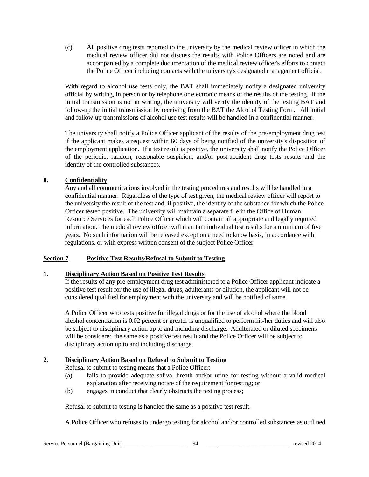(c) All positive drug tests reported to the university by the medical review officer in which the medical review officer did not discuss the results with Police Officers are noted and are accompanied by a complete documentation of the medical review officer's efforts to contact the Police Officer including contacts with the university's designated management official.

With regard to alcohol use tests only, the BAT shall immediately notify a designated university official by writing, in person or by telephone or electronic means of the results of the testing. If the initial transmission is not in writing, the university will verify the identity of the testing BAT and follow-up the initial transmission by receiving from the BAT the Alcohol Testing Form. All initial and follow-up transmissions of alcohol use test results will be handled in a confidential manner.

The university shall notify a Police Officer applicant of the results of the pre-employment drug test if the applicant makes a request within 60 days of being notified of the university's disposition of the employment application. If a test result is positive, the university shall notify the Police Officer of the periodic, random, reasonable suspicion, and/or post-accident drug tests results and the identity of the controlled substances.

# **8. Confidentiality**

Any and all communications involved in the testing procedures and results will be handled in a confidential manner. Regardless of the type of test given, the medical review officer will report to the university the result of the test and, if positive, the identity of the substance for which the Police Officer tested positive. The university will maintain a separate file in the Office of Human Resource Services for each Police Officer which will contain all appropriate and legally required information. The medical review officer will maintain individual test results for a minimum of five years. No such information will be released except on a need to know basis, in accordance with regulations, or with express written consent of the subject Police Officer.

# **Section 7**. **Positive Test Results/Refusal to Submit to Testing**.

#### **1. Disciplinary Action Based on Positive Test Results**

If the results of any pre-employment drug test administered to a Police Officer applicant indicate a positive test result for the use of illegal drugs, adulterants or dilution, the applicant will not be considered qualified for employment with the university and will be notified of same.

A Police Officer who tests positive for illegal drugs or for the use of alcohol where the blood alcohol concentration is 0.02 percent or greater is unqualified to perform his/her duties and will also be subject to disciplinary action up to and including discharge. Adulterated or diluted specimens will be considered the same as a positive test result and the Police Officer will be subject to disciplinary action up to and including discharge.

# **2. Disciplinary Action Based on Refusal to Submit to Testing**

Refusal to submit to testing means that a Police Officer:

- (a) fails to provide adequate saliva, breath and/or urine for testing without a valid medical explanation after receiving notice of the requirement for testing; or
- (b) engages in conduct that clearly obstructs the testing process;

Refusal to submit to testing is handled the same as a positive test result.

A Police Officer who refuses to undergo testing for alcohol and/or controlled substances as outlined